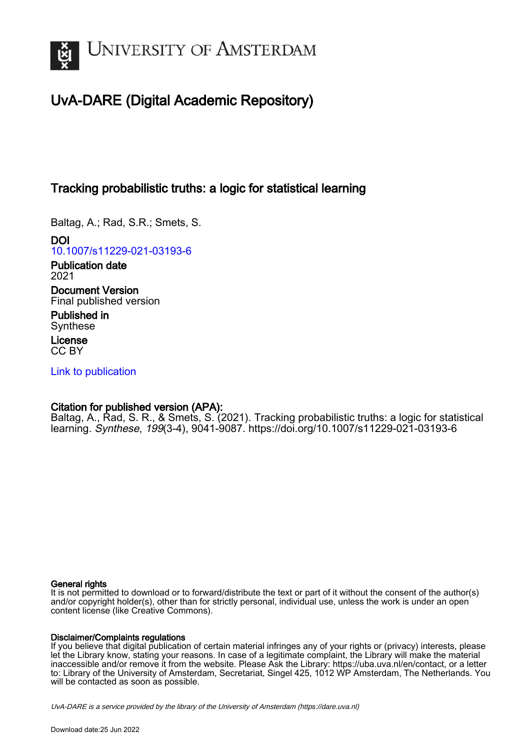

# UvA-DARE (Digital Academic Repository)

## Tracking probabilistic truths: a logic for statistical learning

Baltag, A.; Rad, S.R.; Smets, S.

DOI [10.1007/s11229-021-03193-6](https://doi.org/10.1007/s11229-021-03193-6)

Publication date 2021 Document Version

Final published version

Published in Synthese

License CC BY

[Link to publication](https://dare.uva.nl/personal/pure/en/publications/tracking-probabilistic-truths-a-logic-for-statistical-learning(d86b9494-7edb-4529-8fed-cd4969cf7c09).html)

### Citation for published version (APA):

Baltag, A., Rad, S. R., & Smets, S. (2021). Tracking probabilistic truths: a logic for statistical learning. Synthese, 199(3-4), 9041-9087. <https://doi.org/10.1007/s11229-021-03193-6>

#### General rights

It is not permitted to download or to forward/distribute the text or part of it without the consent of the author(s) and/or copyright holder(s), other than for strictly personal, individual use, unless the work is under an open content license (like Creative Commons).

#### Disclaimer/Complaints regulations

If you believe that digital publication of certain material infringes any of your rights or (privacy) interests, please let the Library know, stating your reasons. In case of a legitimate complaint, the Library will make the material inaccessible and/or remove it from the website. Please Ask the Library: https://uba.uva.nl/en/contact, or a letter to: Library of the University of Amsterdam, Secretariat, Singel 425, 1012 WP Amsterdam, The Netherlands. You will be contacted as soon as possible.

UvA-DARE is a service provided by the library of the University of Amsterdam (http*s*://dare.uva.nl)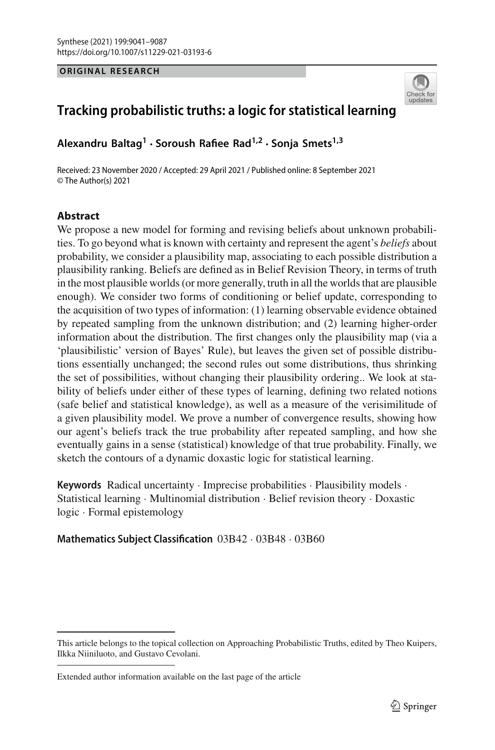#### **ORIGINAL RESEARCH**



## **Tracking probabilistic truths: a logic for statistical learning**

**Alexandru Baltag1 · Soroush Rafiee Rad1,2 · Sonja Smets1,3**

Received: 23 November 2020 / Accepted: 29 April 2021 / Published online: 8 September 2021 © The Author(s) 2021

#### **Abstract**

We propose a new model for forming and revising beliefs about unknown probabilities. To go beyond what is known with certainty and represent the agent's *beliefs* about probability, we consider a plausibility map, associating to each possible distribution a plausibility ranking. Beliefs are defined as in Belief Revision Theory, in terms of truth in the most plausible worlds (or more generally, truth in all the worlds that are plausible enough). We consider two forms of conditioning or belief update, corresponding to the acquisition of two types of information: (1) learning observable evidence obtained by repeated sampling from the unknown distribution; and (2) learning higher-order information about the distribution. The first changes only the plausibility map (via a 'plausibilistic' version of Bayes' Rule), but leaves the given set of possible distributions essentially unchanged; the second rules out some distributions, thus shrinking the set of possibilities, without changing their plausibility ordering.. We look at stability of beliefs under either of these types of learning, defining two related notions (safe belief and statistical knowledge), as well as a measure of the verisimilitude of a given plausibility model. We prove a number of convergence results, showing how our agent's beliefs track the true probability after repeated sampling, and how she eventually gains in a sense (statistical) knowledge of that true probability. Finally, we sketch the contours of a dynamic doxastic logic for statistical learning.

**Keywords** Radical uncertainty · Imprecise probabilities · Plausibility models · Statistical learning · Multinomial distribution · Belief revision theory · Doxastic logic · Formal epistemology

#### **Mathematics Subject Classification** 03B42 · 03B48 · 03B60

This article belongs to the topical collection on Approaching Probabilistic Truths, edited by Theo Kuipers, Ilkka Niiniluoto, and Gustavo Cevolani.

Extended author information available on the last page of the article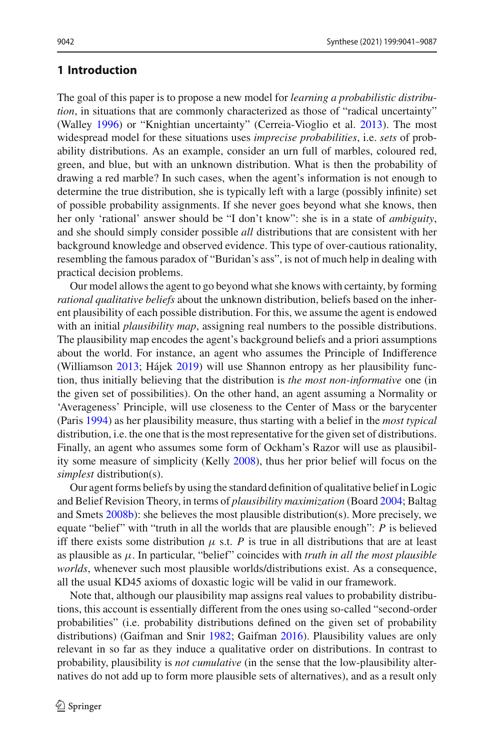#### **1 Introduction**

The goal of this paper is to propose a new model for *learning a probabilistic distribution*, in situations that are commonly characterized as those of "radical uncertainty" (Walle[y](#page-47-0) [1996\)](#page-47-0) or "Knightian uncertainty" (Cerreia-Vioglio et al[.](#page-45-0) [2013\)](#page-45-0). The most widespread model for these situations uses *imprecise probabilities*, i.e. *sets* of probability distributions. As an example, consider an urn full of marbles, coloured red, green, and blue, but with an unknown distribution. What is then the probability of drawing a red marble? In such cases, when the agent's information is not enough to determine the true distribution, she is typically left with a large (possibly infinite) set of possible probability assignments. If she never goes beyond what she knows, then her only 'rational' answer should be "I don't know": she is in a state of *ambiguity*, and she should simply consider possible *all* distributions that are consistent with her background knowledge and observed evidence. This type of over-cautious rationality, resembling the famous paradox of "Buridan's ass", is not of much help in dealing with practical decision problems.

Our model allows the agent to go beyond what she knows with certainty, by forming *rational qualitative beliefs* about the unknown distribution, beliefs based on the inherent plausibility of each possible distribution. For this, we assume the agent is endowed with an initial *plausibility map*, assigning real numbers to the possible distributions. The plausibility map encodes the agent's background beliefs and a priori assumptions about the world. For instance, an agent who assumes the Principle of Indifference (Williamso[n](#page-47-1) [2013](#page-47-1); Háje[k](#page-45-1) [2019\)](#page-45-1) will use Shannon entropy as her plausibility function, thus initially believing that the distribution is *the most non-informative* one (in the given set of possibilities). On the other hand, an agent assuming a Normality or 'Averageness' Principle, will use closeness to the Center of Mass or the barycenter (Pari[s](#page-46-0) [1994](#page-46-0)) as her plausibility measure, thus starting with a belief in the *most typical* distribution, i.e. the one that is the most representative for the given set of distributions. Finally, an agent who assumes some form of Ockham's Razor will use as plausibility some measure of simplicity (Kell[y](#page-45-2) [2008](#page-45-2)), thus her prior belief will focus on the *simplest* distribution(s).

Our agent forms beliefs by using the standard definition of qualitative belief in Logic and Belief Revision Theory, in terms of *plausibility maximization* (Boar[d](#page-45-3) [2004](#page-45-3); Baltag and Smet[s](#page-45-4) [2008b\)](#page-45-4): she believes the most plausible distribution(s). More precisely, we equate "belief" with "truth in all the worlds that are plausible enough": *P* is believed iff there exists some distribution  $\mu$  s.t. *P* is true in all distributions that are at least as plausible as μ. In particular, "belief" coincides with *truth in all the most plausible worlds*, whenever such most plausible worlds/distributions exist. As a consequence, all the usual KD45 axioms of doxastic logic will be valid in our framework.

Note that, although our plausibility map assigns real values to probability distributions, this account is essentially different from the ones using so-called "second-order probabilities" (i.e. probability distributions defined on the given set of probability distributions) (Gaifman and Sni[r](#page-45-5) [1982](#page-45-5); Gaifma[n](#page-45-6) [2016](#page-45-6)). Plausibility values are only relevant in so far as they induce a qualitative order on distributions. In contrast to probability, plausibility is *not cumulative* (in the sense that the low-plausibility alternatives do not add up to form more plausible sets of alternatives), and as a result only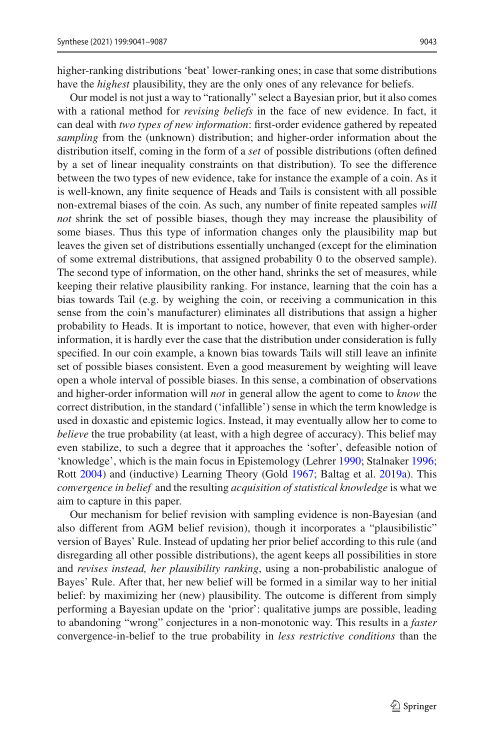higher-ranking distributions 'beat' lower-ranking ones; in case that some distributions have the *highest* plausibility, they are the only ones of any relevance for beliefs.

Our model is not just a way to "rationally" select a Bayesian prior, but it also comes with a rational method for *revising beliefs* in the face of new evidence. In fact, it can deal with *two types of new information*: first-order evidence gathered by repeated *sampling* from the (unknown) distribution; and higher-order information about the distribution itself, coming in the form of a *set* of possible distributions (often defined by a set of linear inequality constraints on that distribution). To see the difference between the two types of new evidence, take for instance the example of a coin. As it is well-known, any finite sequence of Heads and Tails is consistent with all possible non-extremal biases of the coin. As such, any number of finite repeated samples *will not* shrink the set of possible biases, though they may increase the plausibility of some biases. Thus this type of information changes only the plausibility map but leaves the given set of distributions essentially unchanged (except for the elimination of some extremal distributions, that assigned probability 0 to the observed sample). The second type of information, on the other hand, shrinks the set of measures, while keeping their relative plausibility ranking. For instance, learning that the coin has a bias towards Tail (e.g. by weighing the coin, or receiving a communication in this sense from the coin's manufacturer) eliminates all distributions that assign a higher probability to Heads. It is important to notice, however, that even with higher-order information, it is hardly ever the case that the distribution under consideration is fully specified. In our coin example, a known bias towards Tails will still leave an infinite set of possible biases consistent. Even a good measurement by weighting will leave open a whole interval of possible biases. In this sense, a combination of observations and higher-order information will *not* in general allow the agent to come to *know* the correct distribution, in the standard ('infallible') sense in which the term knowledge is used in doxastic and epistemic logics. Instead, it may eventually allow her to come to *believe* the true probability (at least, with a high degree of accuracy). This belief may even stabilize, to such a degree that it approaches the 'softer', defeasible notion of 'knowledge', which is the main focus in Epistemology (Lehre[r](#page-46-1) [1990;](#page-46-1) Stalnake[r](#page-46-2) [1996](#page-46-2); Rot[t](#page-46-3) [2004\)](#page-46-3) and (inductive) Learning Theory (Gol[d](#page-45-7) [1967;](#page-45-7) Baltag et al[.](#page-44-0) [2019a](#page-44-0)). This *convergence in belief* and the resulting *acquisition of statistical knowledge* is what we aim to capture in this paper.

Our mechanism for belief revision with sampling evidence is non-Bayesian (and also different from AGM belief revision), though it incorporates a "plausibilistic" version of Bayes' Rule. Instead of updating her prior belief according to this rule (and disregarding all other possible distributions), the agent keeps all possibilities in store and *revises instead, her plausibility ranking*, using a non-probabilistic analogue of Bayes' Rule. After that, her new belief will be formed in a similar way to her initial belief: by maximizing her (new) plausibility. The outcome is different from simply performing a Bayesian update on the 'prior': qualitative jumps are possible, leading to abandoning "wrong" conjectures in a non-monotonic way. This results in a *faster* convergence-in-belief to the true probability in *less restrictive conditions* than the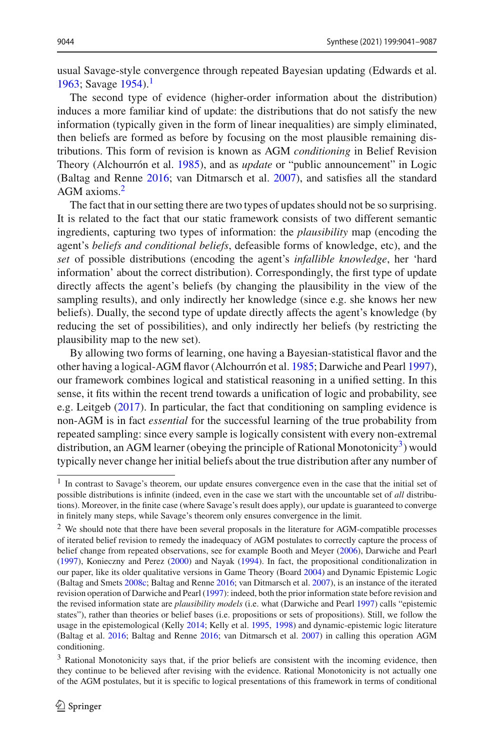usual Savage-style convergence through repeated Bayesian updating (Edwards et al[.](#page-45-8) [1963;](#page-45-8) Savag[e](#page-46-4) [1954\)](#page-46-4).<sup>[1](#page-4-0)</sup>

The second type of evidence (higher-order information about the distribution) induces a more familiar kind of update: the distributions that do not satisfy the new information (typically given in the form of linear inequalities) are simply eliminated, then beliefs are formed as before by focusing on the most plausible remaining distributions. This form of revision is known as AGM *conditioning* in Belief Revision Theory (Alchourrón et al[.](#page-44-1) [1985](#page-44-1)), and as *update* or "public announcement" in Logic (Baltag and Renn[e](#page-45-9) [2016](#page-45-9); van Ditmarsch et al[.](#page-47-2) [2007\)](#page-47-2), and satisfies all the standard AGM axioms[.2](#page-4-1)

The fact that in our setting there are two types of updates should not be so surprising. It is related to the fact that our static framework consists of two different semantic ingredients, capturing two types of information: the *plausibility* map (encoding the agent's *beliefs and conditional beliefs*, defeasible forms of knowledge, etc), and the *set* of possible distributions (encoding the agent's *infallible knowledge*, her 'hard information' about the correct distribution). Correspondingly, the first type of update directly affects the agent's beliefs (by changing the plausibility in the view of the sampling results), and only indirectly her knowledge (since e.g. she knows her new beliefs). Dually, the second type of update directly affects the agent's knowledge (by reducing the set of possibilities), and only indirectly her beliefs (by restricting the plausibility map to the new set).

By allowing two forms of learning, one having a Bayesian-statistical flavor and the other having a logical-AGM flavor (Alchourrón et al[.](#page-44-1) [1985;](#page-44-1) Darwiche and Pear[l](#page-45-10) [1997](#page-45-10)), our framework combines logical and statistical reasoning in a unified setting. In this sense, it fits within the recent trend towards a unification of logic and probability, see e.g. Leitge[b](#page-46-5) [\(2017](#page-46-5)). In particular, the fact that conditioning on sampling evidence is non-AGM is in fact *essential* for the successful learning of the true probability from repeated sampling: since every sample is logically consistent with every non-extremal distribution, an AGM learner (obeying the principle of Rational Monotonicity<sup>3</sup>) would typically never change her initial beliefs about the true distribution after any number of

<span id="page-4-0"></span><sup>&</sup>lt;sup>1</sup> In contrast to Savage's theorem, our update ensures convergence even in the case that the initial set of possible distributions is infinite (indeed, even in the case we start with the uncountable set of *all* distributions). Moreover, in the finite case (where Savage's result does apply), our update is guaranteed to converge in finitely many steps, while Savage's theorem only ensures convergence in the limit.

<span id="page-4-1"></span><sup>2</sup> We should note that there have been several proposals in the literature for AGM-compatible processes of iterated belief revision to remedy the inadequacy of AGM postulates to correctly capture the process of belief change from repeated observations, see for example Booth and Meye[r](#page-45-11) [\(2006\)](#page-45-11), Darwiche and Pear[l](#page-45-10) [\(1997](#page-45-10)), Konieczny and Pere[z](#page-46-6) [\(2000\)](#page-46-6) and Naya[k](#page-46-7) [\(1994\)](#page-46-7). In fact, the propositional conditionalization in our paper, like its older qualitative versions in Game Theory (Boar[d](#page-45-3) [2004\)](#page-45-3) and Dynamic Epistemic Logic (Baltag and Smet[s](#page-45-12) [2008c](#page-45-12); Baltag and Renn[e](#page-45-9) [2016](#page-45-9); van Ditmarsch et al[.](#page-47-2) [2007](#page-47-2)), is an instance of the iterated revision operation of Darwiche and Pear[l](#page-45-10) [\(1997\)](#page-45-10): indeed, both the prior information state before revision and the revised information state are *plausibility models* (i.e. what (Darwiche and Pear[l](#page-45-10) [1997\)](#page-45-10) calls "epistemic states"), rather than theories or belief bases (i.e. propositions or sets of propositions). Still, we follow the usage in the epistemological (Kell[y](#page-45-13) [2014;](#page-45-13) Kelly et al[.](#page-46-8) [1995](#page-46-8), [1998](#page-45-14)) and dynamic-epistemic logic literature (Baltag et al[.](#page-44-2) [2016;](#page-44-2) Baltag and Renn[e](#page-45-9) [2016;](#page-45-9) van Ditmarsch et al[.](#page-47-2) [2007\)](#page-47-2) in calling this operation AGM conditioning.

<span id="page-4-2"></span><sup>&</sup>lt;sup>3</sup> Rational Monotonicity says that, if the prior beliefs are consistent with the incoming evidence, then they continue to be believed after revising with the evidence. Rational Monotonicity is not actually one of the AGM postulates, but it is specific to logical presentations of this framework in terms of conditional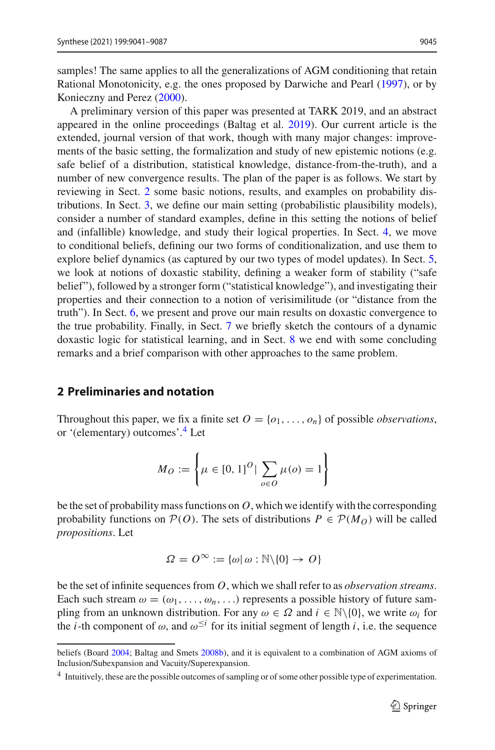samples! The same applies to all the generalizations of AGM conditioning that retain Rational Monotonicity, e.g. the ones proposed by Darwiche and Pear[l](#page-45-10) [\(1997](#page-45-10)), or by Konieczny and Pere[z](#page-46-6) [\(2000\)](#page-46-6).

A preliminary version of this paper was presented at TARK 2019, and an abstract appeared in the online proceedings (Baltag et al[.](#page-45-15) [2019\)](#page-45-15). Our current article is the extended, journal version of that work, though with many major changes: improvements of the basic setting, the formalization and study of new epistemic notions (e.g. safe belief of a distribution, statistical knowledge, distance-from-the-truth), and a number of new convergence results. The plan of the paper is as follows. We start by reviewing in Sect. [2](#page-5-0) some basic notions, results, and examples on probability distributions. In Sect. [3,](#page-9-0) we define our main setting (probabilistic plausibility models), consider a number of standard examples, define in this setting the notions of belief and (infallible) knowledge, and study their logical properties. In Sect. [4,](#page-21-0) we move to conditional beliefs, defining our two forms of conditionalization, and use them to explore belief dynamics (as captured by our two types of model updates). In Sect. [5,](#page-28-0) we look at notions of doxastic stability, defining a weaker form of stability ("safe belief"), followed by a stronger form ("statistical knowledge"), and investigating their properties and their connection to a notion of verisimilitude (or "distance from the truth"). In Sect. [6,](#page-31-0) we present and prove our main results on doxastic convergence to the true probability. Finally, in Sect. [7](#page-38-0) we briefly sketch the contours of a dynamic doxastic logic for statistical learning, and in Sect. [8](#page-41-0) we end with some concluding remarks and a brief comparison with other approaches to the same problem.

#### <span id="page-5-0"></span>**2 Preliminaries and notation**

Throughout this paper, we fix a finite set  $O = \{o_1, \ldots, o_n\}$  of possible *observations*, or '(elementary) outcomes'[.4](#page-5-1) Let

$$
M_O := \left\{ \mu \in [0, 1]^O \, | \, \sum_{o \in O} \mu(o) = 1 \right\}
$$

be the set of probability mass functions on *O*, which we identify with the corresponding probability functions on  $P(O)$ . The sets of distributions  $P \in P(M_O)$  will be called *propositions*. Let

$$
\varOmega=\mathit{O}^\infty:=\{\omega|\,\omega:\mathbb{N}\backslash\{0\}\rightarrow\,\mathit{O}\}
$$

be the set of infinite sequences from *O*, which we shall refer to as *observation streams*. Each such stream  $\omega = (\omega_1, \ldots, \omega_n, \ldots)$  represents a possible history of future sampling from an unknown distribution. For any  $\omega \in \Omega$  and  $i \in \mathbb{N} \setminus \{0\}$ , we write  $\omega_i$  for the *i*-th component of  $\omega$ , and  $\omega^{\leq i}$  for its initial segment of length *i*, i.e. the sequence

beliefs (Boar[d](#page-45-3) [2004;](#page-45-3) Baltag and Smet[s](#page-45-4) [2008b\)](#page-45-4), and it is equivalent to a combination of AGM axioms of Inclusion/Subexpansion and Vacuity/Superexpansion.

<span id="page-5-1"></span><sup>4</sup> Intuitively, these are the possible outcomes of sampling or of some other possible type of experimentation.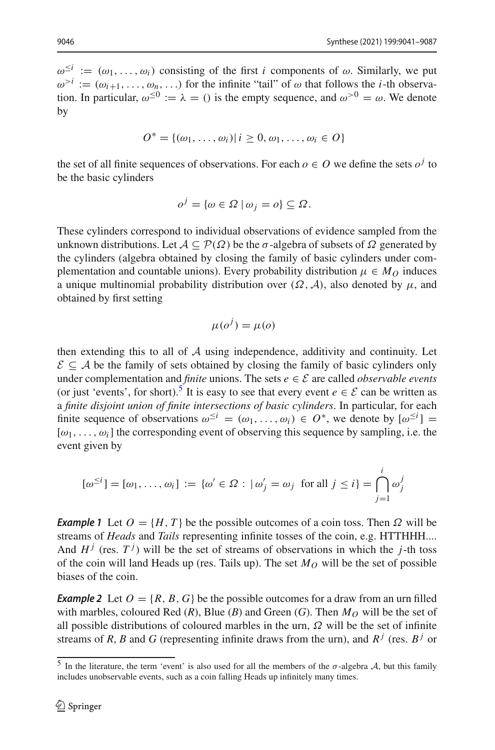$\omega^{\leq i} := (\omega_1, \ldots, \omega_i)$  consisting of the first *i* components of  $\omega$ . Similarly, we put  $\omega^{>i} := (\omega_{i+1}, \ldots, \omega_n, \ldots)$  for the infinite "tail" of  $\omega$  that follows the *i*-th observation. In particular,  $\omega^{\leq 0} := \lambda = 0$  is the empty sequence, and  $\omega^{>0} = \omega$ . We denote by

$$
O^* = \{(\omega_1,\ldots,\omega_i) | i \geq 0, \omega_1,\ldots,\omega_i \in O\}
$$

the set of all finite sequences of observations. For each  $o \in O$  we define the sets  $o^j$  to be the basic cylinders

$$
o^j = \{ \omega \in \Omega \mid \omega_j = o \} \subseteq \Omega.
$$

These cylinders correspond to individual observations of evidence sampled from the unknown distributions. Let  $A \subseteq \mathcal{P}(\Omega)$  be the  $\sigma$ -algebra of subsets of  $\Omega$  generated by the cylinders (algebra obtained by closing the family of basic cylinders under complementation and countable unions). Every probability distribution  $\mu \in M_O$  induces a unique multinomial probability distribution over  $(\Omega, \mathcal{A})$ , also denoted by  $\mu$ , and obtained by first setting

$$
\mu(o^j) = \mu(o)
$$

then extending this to all of *A* using independence, additivity and continuity. Let  $\mathcal{E} \subseteq \mathcal{A}$  be the family of sets obtained by closing the family of basic cylinders only under complementation and *finite* unions. The sets  $e \in \mathcal{E}$  are called *observable events* (or just 'events', for short).<sup>[5](#page-6-0)</sup> It is easy to see that every event  $e \in \mathcal{E}$  can be written as a *finite disjoint union of finite intersections of basic cylinders*. In particular, for each finite sequence of observations  $\omega^{\leq i} = (\omega_1, \dots, \omega_i) \in O^*$ , we denote by  $[\omega^{\leq i}]$  $[\omega_1, \ldots, \omega_i]$  the corresponding event of observing this sequence by sampling, i.e. the event given by

$$
[\omega^{\leq i}] = [\omega_1, \dots, \omega_i] := {\omega' \in \Omega : |\omega'_j = \omega_j \text{ for all } j \leq i} = \bigcap_{j=1}^i \omega_j^j
$$

<span id="page-6-1"></span>*Example 1* Let  $O = \{H, T\}$  be the possible outcomes of a coin toss. Then  $\Omega$  will be streams of *Heads* and *Tails* representing infinite tosses of the coin, e.g. HTTHHH.... And  $H^j$  (res.  $T^j$ ) will be the set of streams of observations in which the *j*-th toss of the coin will land Heads up (res. Tails up). The set  $M<sub>O</sub>$  will be the set of possible biases of the coin.

<span id="page-6-2"></span>*Example 2* Let  $O = \{R, B, G\}$  be the possible outcomes for a draw from an urn filled with marbles, coloured Red  $(R)$ , Blue  $(B)$  and Green  $(G)$ . Then  $M_O$  will be the set of all possible distributions of coloured marbles in the urn,  $\Omega$  will be the set of infinite streams of *R*, *B* and *G* (representing infinite draws from the urn), and  $R^j$  (res.  $B^j$  or

<span id="page-6-0"></span><sup>&</sup>lt;sup>5</sup> In the literature, the term 'event' is also used for all the members of the  $\sigma$ -algebra *A*, but this family includes unobservable events, such as a coin falling Heads up infinitely many times.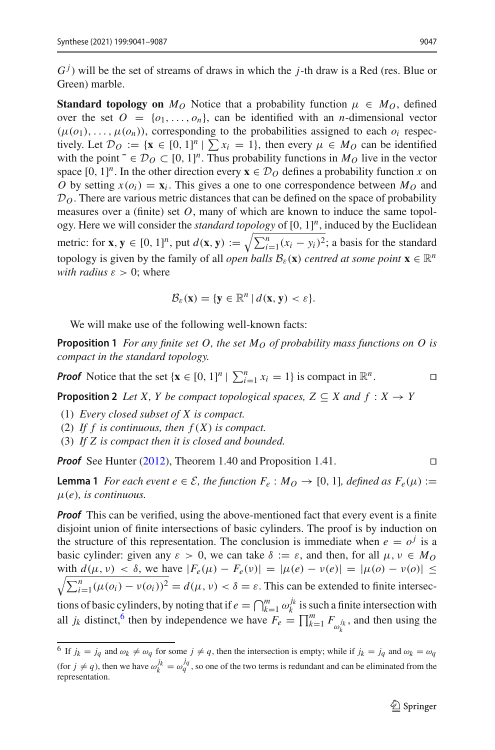$G<sup>j</sup>$ ) will be the set of streams of draws in which the *j*-th draw is a Red (res. Blue or Green) marble.

**Standard topology on**  $M_O$  Notice that a probability function  $\mu \in M_O$ , defined over the set  $O = \{o_1, \ldots, o_n\}$ , can be identified with an *n*-dimensional vector  $(\mu(o_1), \ldots, \mu(o_n))$ , corresponding to the probabilities assigned to each  $o_i$  respectively. Let  $\mathcal{D}_O := \{ \mathbf{x} \in [0, 1]^n \mid \sum x_i = 1 \}$ , then every  $\mu \in M_O$  can be identified with the point  $\bar{\infty} \subset [0, 1]^n$ . Thus probability functions in *M<sub>O</sub>* live in the vector space  $[0, 1]^n$ . In the other direction every  $\mathbf{x} \in \mathcal{D}_O$  defines a probability function *x* on *O* by setting  $x(o_i) = x_i$ . This gives a one to one correspondence between  $M_O$  and  $D<sub>O</sub>$ . There are various metric distances that can be defined on the space of probability measures over a (finite) set *O*, many of which are known to induce the same topology. Here we will consider the *standard topology* of [0, 1] *<sup>n</sup>*, induced by the Euclidean metric: for **x**,  $\mathbf{y} \in [0, 1]^n$ , put  $d(\mathbf{x}, \mathbf{y}) := \sqrt{\sum_{i=1}^n (x_i - y_i)^2}$ ; a basis for the standard topology is given by the family of all *open balls*  $\mathcal{B}_{\varepsilon}(\mathbf{x})$  *centred at some point*  $\mathbf{x} \in \mathbb{R}^n$ *with radius*  $\varepsilon > 0$ ; where

$$
\mathcal{B}_{\varepsilon}(\mathbf{x}) = \{ \mathbf{y} \in \mathbb{R}^n \, | \, d(\mathbf{x}, \mathbf{y}) < \varepsilon \}.
$$

We will make use of the following well-known facts:

**Proposition 1** *For any finite set O, the set*  $M<sub>O</sub>$  *of probability mass functions on O is compact in the standard topology.*

<span id="page-7-2"></span>*Proof* Notice that the set  $\{ \mathbf{x} \in [0, 1]^n \mid \sum_{i=1}^n x_i = 1 \}$  is compact in  $\mathbb{R}^n$ .

**Proposition 2** *Let X, Y be compact topological spaces,*  $Z \subseteq X$  *and*  $f : X \rightarrow Y$ 

- (1) *Every closed subset of X is compact.*
- (2) *If f is continuous, then f* (*X*) *is compact.*
- (3) *If Z is compact then it is closed and bounded.*

<span id="page-7-3"></span>*Proof* See Hunte[r](#page-45-16) [\(2012\)](#page-45-16), Theorem 1.40 and Proposition 1.41. 

**Lemma 1** *For each event e*  $\in \mathcal{E}$ *, the function*  $F_e$  :  $M_O \rightarrow [0, 1]$ *, defined as*  $F_e(\mu)$  := μ(*e*)*, is continuous.*

*Proof* This can be verified, using the above-mentioned fact that every event is a finite disjoint union of finite intersections of basic cylinders. The proof is by induction on the structure of this representation. The conclusion is immediate when  $e = o^j$  is a basic cylinder: given any  $\varepsilon > 0$ , we can take  $\delta := \varepsilon$ , and then, for all  $\mu, \nu \in M_O$  $\sqrt{\sum_{i=1}^{n} (\mu(o_i) - \nu(o_i))^2} = d(\mu, \nu) < \delta = \varepsilon$ . This can be extended to finite intersecwith  $d(\mu, \nu) < \delta$ , we have  $|F_e(\mu) - F_e(\nu)| = |\mu(e) - \nu(e)| = |\mu(o) - \nu(o)| \le$ tions of basic cylinders, by noting that if  $e = \bigcap_{k=1}^m \omega_k^{j_k}$  is such a finite intersection with all *j<sub>k</sub>* distinct,<sup>[6](#page-7-0)</sup> then by independence we have  $\overline{F}_e = \prod_{k=1}^m F_{\omega_k^j}$ , and then using the

<span id="page-7-1"></span>

<span id="page-7-0"></span><sup>&</sup>lt;sup>6</sup> If  $j_k = j_q$  and  $\omega_k \neq \omega_q$  for some  $j \neq q$ , then the intersection is empty; while if  $j_k = j_q$  and  $\omega_k = \omega_q$ (for  $j \neq q$ ), then we have  $\omega_k^{j_k} = \omega_q^{j_q}$ , so one of the two terms is redundant and can be eliminated from the representation.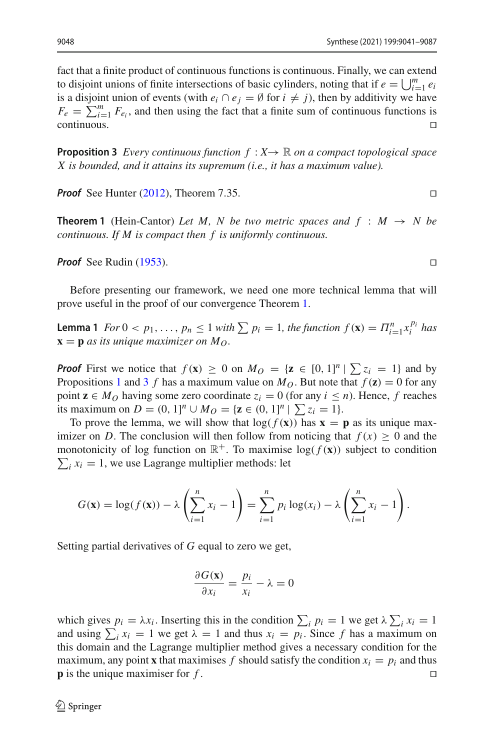fact that a finite product of continuous functions is continuous. Finally, we can extend to disjoint unions of finite intersections of basic cylinders, noting that if  $e = \bigcup_{i=1}^m e_i$ is a disjoint union of events (with  $e_i \cap e_j = \emptyset$  for  $i \neq j$ ), then by additivity we have  $F_e = \sum_{i=1}^{m} F_{e_i}$ , and then using the fact that a finite sum of continuous functions is  $\Box$ continuous. $\Box$ 

<span id="page-8-0"></span>**Proposition 3** *Every continuous function*  $f: X \rightarrow \mathbb{R}$  *on a compact topological space X is bounded, and it attains its supremum (i.e., it has a maximum value).*

*P[r](#page-45-16)oof* See Hunter [\(2012\)](#page-45-16), Theorem 7.35. □

**Theorem 1** (Hein-Cantor) Let M, N be two metric spaces and  $f : M \rightarrow N$  be *continuous. If M is compact then f is uniformly continuous.*

*Proof* See Rudi[n](#page-46-9) [\(1953\)](#page-46-9). □

Before presenting our framework, we need one more technical lemma that will prove useful in the proof of our convergence Theorem [1.](#page-35-0)

**Lemma 1** *For*  $0 < p_1, \ldots, p_n \leq 1$  *with*  $\sum p_i = 1$ *, the function*  $f(\mathbf{x}) = \prod_{i=1}^n x_i^{p_i}$  *has*  $\mathbf{x} = \mathbf{p}$  *as its unique maximizer on*  $M_Q$ .

*Proof* First we notice that  $f(\mathbf{x}) \ge 0$  on  $M_O = {\mathbf{z} \in [0, 1]^n | \sum z_i = 1}$  and by Propositions [1](#page-7-1) and [3](#page-8-0) *f* has a maximum value on  $M<sub>O</sub>$ . But note that  $f(z) = 0$  for any point  $z \in M_O$  having some zero coordinate  $z_i = 0$  (for any  $i \leq n$ ). Hence, f reaches its maximum on  $D = (0, 1]^n \cup M_O = {\mathbf{z} \in (0, 1]^n \mid \sum z_i = 1}.$ 

To prove the lemma, we will show that  $\log(f(\mathbf{x}))$  has  $\mathbf{x} = \mathbf{p}$  as its unique maximizer on *D*. The conclusion will then follow from noticing that  $f(x) \ge 0$  and the monotonicity of log function on  $\mathbb{R}^+$ . To maximise  $\log(f(\mathbf{x}))$  subject to condition  $\sum_i x_i = 1$ , we use Lagrange multiplier methods: let

$$
G(\mathbf{x}) = \log(f(\mathbf{x})) - \lambda \left( \sum_{i=1}^{n} x_i - 1 \right) = \sum_{i=1}^{n} p_i \log(x_i) - \lambda \left( \sum_{i=1}^{n} x_i - 1 \right).
$$

Setting partial derivatives of *G* equal to zero we get,

$$
\frac{\partial G(\mathbf{x})}{\partial x_i} = \frac{p_i}{x_i} - \lambda = 0
$$

which gives  $p_i = \lambda x_i$ . Inserting this in the condition  $\sum_i p_i = 1$  we get  $\lambda \sum_i x_i = 1$ and using  $\sum_i x_i = 1$  we get  $\lambda = 1$  and thus  $x_i = p_i$ . Since f has a maximum on this domain and the Lagrange multiplier method gives a necessary condition for the maximum, any point **x** that maximises *f* should satisfy the condition  $x_i = p_i$  and thus **p** is the unique maximiser for *f*. **p** is the unique maximiser for *f* . 

<span id="page-8-1"></span>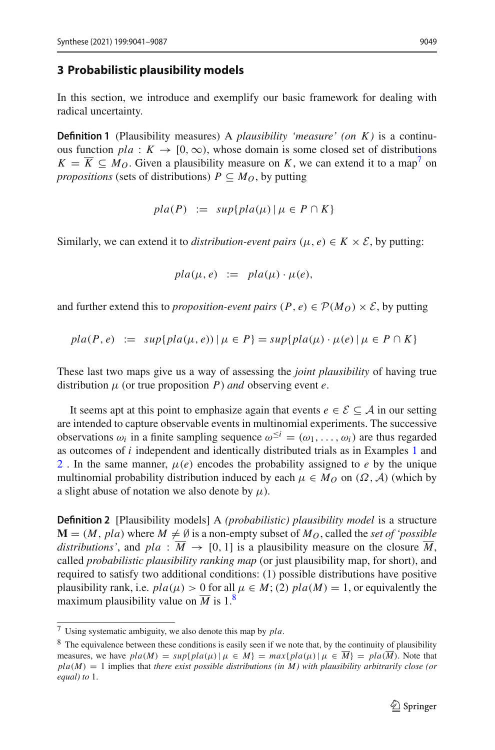#### <span id="page-9-0"></span>**3 Probabilistic plausibility models**

In this section, we introduce and exemplify our basic framework for dealing with radical uncertainty.

**Definition 1** (Plausibility measures) A *plausibility 'measure' (on K )* is a continuous function  $pla: K \to [0, \infty)$ , whose domain is some closed set of distributions  $K = \overline{K} \subseteq M_O$ . Given a plausibility measure on *K*, we can extend it to a map<sup>7</sup> on *propositions* (sets of distributions)  $P \subseteq M_O$ , by putting

$$
pla(P) := sup\{pla(\mu) \mid \mu \in P \cap K\}
$$

Similarly, we can extend it to *distribution-event pairs* ( $\mu$ ,  $e$ )  $\in K \times \mathcal{E}$ , by putting:

$$
pla(\mu, e) := pla(\mu) \cdot \mu(e),
$$

and further extend this to *proposition-event pairs*  $(P, e) \in \mathcal{P}(M_O) \times \mathcal{E}$ , by putting

$$
pla(P, e) := sup\{pla(\mu, e)) \mid \mu \in P\} = sup\{pla(\mu) \cdot \mu(e) \mid \mu \in P \cap K\}
$$

These last two maps give us a way of assessing the *joint plausibility* of having true distribution  $\mu$  (or true proposition  $P$ ) *and* observing event  $e$ .

It seems apt at this point to emphasize again that events  $e \in \mathcal{E} \subseteq \mathcal{A}$  in our setting are intended to capture observable events in multinomial experiments. The successive observations  $\omega_i$  in a finite sampling sequence  $\omega^{\leq i} = (\omega_1, \ldots, \omega_i)$  are thus regarded as outcomes of *i* independent and identically distributed trials as in Examples [1](#page-6-1) and [2](#page-6-2). In the same manner,  $\mu(e)$  encodes the probability assigned to *e* by the unique multinomial probability distribution induced by each  $\mu \in M_O$  on  $(\Omega, \mathcal{A})$  (which by a slight abuse of notation we also denote by  $\mu$ ).

**Definition 2** [Plausibility models] A *(probabilistic) plausibility model* is a structure  $\mathbf{M} = (M, pla)$  where  $M \neq \emptyset$  is a non-empty subset of  $M_Q$ , called the *set of 'possible*' *distributions'*, and  $pla : \overline{M} \rightarrow [0, 1]$  is a plausibility measure on the closure  $\overline{M}$ , called *probabilistic plausibility ranking map* (or just plausibility map, for short), and required to satisfy two additional conditions: (1) possible distributions have positive plausibility rank, i.e.  $pla(\mu) > 0$  for all  $\mu \in M$ ; (2)  $pla(M) = 1$ , or equivalently the maximum plausibility value on  $\overline{M}$  is 1.<sup>[8](#page-9-2)</sup>

<span id="page-9-1"></span><sup>7</sup> Using systematic ambiguity, we also denote this map by *pla*.

<span id="page-9-2"></span><sup>&</sup>lt;sup>8</sup> The equivalence between these conditions is easily seen if we note that, by the continuity of plausibility measures, we have  $pla(M) = sup\{pla(\mu) | \mu \in M\} = max\{pla(\mu) | \mu \in \overline{M}\} = pla(\overline{M})$ . Note that  $pla(M) = 1$  implies that *there exist possible distributions (in M)* with *plausibility arbitrarily close (or equal) to* 1.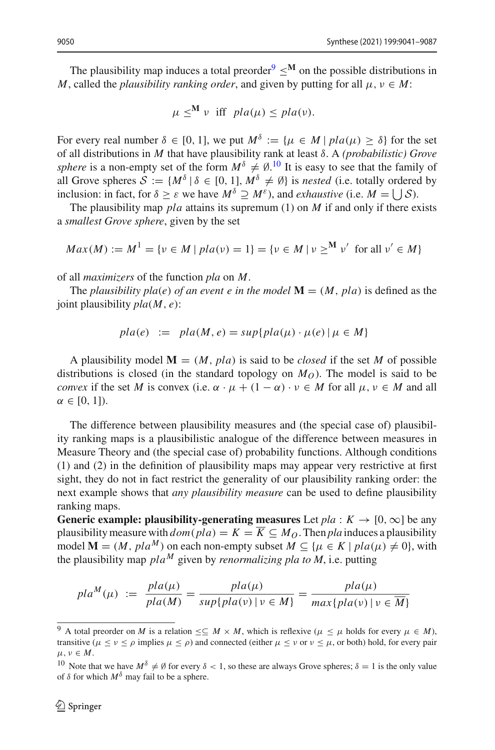The plausibility map induces a total preorder<sup>[9](#page-10-0)</sup>  $\leq$ <sup>M</sup> on the possible distributions in *M*, called the *plausibility ranking order*, and given by putting for all  $\mu, \nu \in M$ :

$$
\mu \leq^M \nu \text{ iff } pla(\mu) \leq pla(\nu).
$$

For every real number  $\delta \in [0, 1]$ , we put  $M^{\delta} := \{u \in M \mid pla(u) \geq \delta\}$  for the set of all distributions in *M* that have plausibility rank at least δ. A *(probabilistic) Grove sphere* is a non-empty set of the form  $M^{\delta} \neq \emptyset$ .<sup>[10](#page-10-1)</sup> It is easy to see that the family of all Grove spheres  $S := \{M^{\delta} | \delta \in [0, 1], M^{\delta} \neq \emptyset\}$  is *nested* (i.e. totally ordered by inclusion: in fact, for  $\delta \geq \varepsilon$  we have  $M^{\delta} \supseteq M^{\varepsilon}$ ), and *exhaustive* (i.e.  $M = \bigcup \mathcal{S}$ ).

The plausibility map *pla* attains its supremum (1) on *M* if and only if there exists a *smallest Grove sphere*, given by the set

$$
Max(M) := M1 = \{v \in M \mid pla(v) = 1\} = \{v \in M \mid v \geq^M v' \text{ for all } v' \in M\}
$$

of all *maximizers* of the function *pla* on *M*.

The *plausibility pla(e) of an event e in the model*  $\mathbf{M} = (M, pla)$  is defined as the joint plausibility *pla*(*M*, *e*):

$$
pla(e) := pla(M, e) = sup\{pla(\mu) \cdot \mu(e) \mid \mu \in M\}
$$

A plausibility model  $M = (M, pla)$  is said to be *closed* if the set M of possible distributions is closed (in the standard topology on  $M_O$ ). The model is said to be *convex* if the set *M* is convex (i.e.  $\alpha \cdot \mu + (1 - \alpha) \cdot \nu \in M$  for all  $\mu, \nu \in M$  and all  $\alpha \in [0, 1]$ ).

The difference between plausibility measures and (the special case of) plausibility ranking maps is a plausibilistic analogue of the difference between measures in Measure Theory and (the special case of) probability functions. Although conditions (1) and (2) in the definition of plausibility maps may appear very restrictive at first sight, they do not in fact restrict the generality of our plausibility ranking order: the next example shows that *any plausibility measure* can be used to define plausibility ranking maps.

**Generic example: plausibility-generating measures** Let  $pla : K \rightarrow [0, \infty]$  be any plausibility measure with  $dom(pla) = K = \overline{K} \subseteq M_Q$ . Then *pla* induces a plausibility model  $\mathbf{M} = (M, pla^M)$  on each non-empty subset  $M \subseteq \{\mu \in K \mid pla(\mu) \neq 0\}$ , with the plausibility map  $pla^M$  given by *renormalizing pla to M*, i.e. putting

$$
pla^{M}(\mu) := \frac{pla(\mu)}{pla(M)} = \frac{pla(\mu)}{sup\{pla(\nu) \mid \nu \in M\}} = \frac{pla(\mu)}{max\{pla(\nu) \mid \nu \in \overline{M}\}}
$$

<span id="page-10-0"></span><sup>&</sup>lt;sup>9</sup> A total preorder on *M* is a relation  $\leq \leq M \times M$ , which is reflexive ( $\mu \leq \mu$  holds for every  $\mu \in M$ ), transitive ( $\mu \leq \nu \leq \rho$  implies  $\mu \leq \rho$ ) and connected (either  $\mu \leq \nu$  or  $\nu \leq \mu$ , or both) hold, for every pair  $\mu, \nu \in M$ .

<span id="page-10-1"></span><sup>&</sup>lt;sup>10</sup> Note that we have  $M^{\delta} \neq \emptyset$  for every  $\delta < 1$ , so these are always Grove spheres;  $\delta = 1$  is the only value of  $\delta$  for which  $M^{\delta}$  may fail to be a sphere.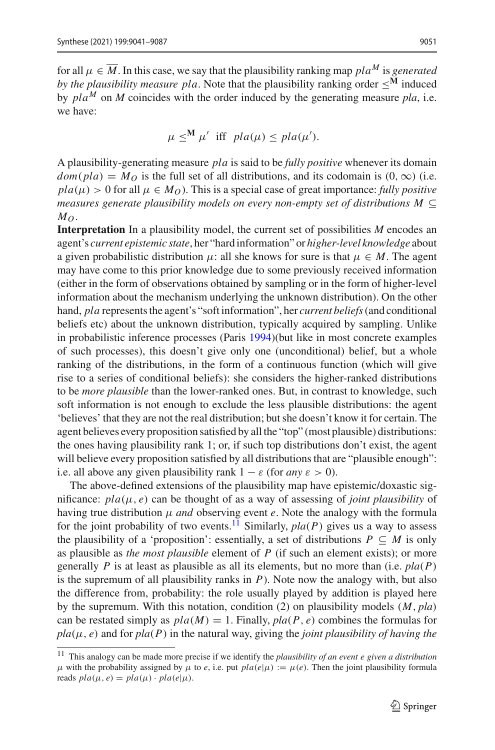for all  $\mu \in \overline{M}$ . In this case, we say that the plausibility ranking map *pla<sup>M</sup>* is *generated by the plausibility measure pla.* Note that the plausibility ranking order  $\leq^{\mathbf{M}}$  induced by  $pla^M$  on M coincides with the order induced by the generating measure pla, i.e. we have:

$$
\mu \leq^{\mathbf{M}} \mu' \text{ iff } pla(\mu) \leq pla(\mu').
$$

A plausibility-generating measure *pla* is said to be *fully positive* whenever its domain  $dom(pla) = M<sub>O</sub>$  is the full set of all distributions, and its codomain is  $(0, \infty)$  (i.e.  $pla(\mu) > 0$  for all  $\mu \in M_0$ ). This is a special case of great importance: *fully positive measures generate plausibility models on every non-empty set of distributions M* ⊆  $M_O$ .

**Interpretation** In a plausibility model, the current set of possibilities *M* encodes an agent's *current epistemic state*, her "hard information" or *higher-level knowledge* about a given probabilistic distribution  $\mu$ : all she knows for sure is that  $\mu \in M$ . The agent may have come to this prior knowledge due to some previously received information (either in the form of observations obtained by sampling or in the form of higher-level information about the mechanism underlying the unknown distribution). On the other hand, *pla* represents the agent's "soft information", her *current beliefs* (and conditional beliefs etc) about the unknown distribution, typically acquired by sampling. Unlike in probabilistic inference processes (Pari[s](#page-46-0) [1994](#page-46-0))(but like in most concrete examples of such processes), this doesn't give only one (unconditional) belief, but a whole ranking of the distributions, in the form of a continuous function (which will give rise to a series of conditional beliefs): she considers the higher-ranked distributions to be *more plausible* than the lower-ranked ones. But, in contrast to knowledge, such soft information is not enough to exclude the less plausible distributions: the agent 'believes' that they are not the real distribution; but she doesn't know it for certain. The agent believes every proposition satisfied by all the "top" (most plausible) distributions: the ones having plausibility rank 1; or, if such top distributions don't exist, the agent will believe every proposition satisfied by all distributions that are "plausible enough": i.e. all above any given plausibility rank  $1 - \varepsilon$  (for *any*  $\varepsilon > 0$ ).

The above-defined extensions of the plausibility map have epistemic/doxastic significance:  $pla(\mu, e)$  can be thought of as a way of assessing of *joint plausibility* of having true distribution μ *and* observing event *e*. Note the analogy with the formula for the joint probability of two events.<sup>[11](#page-11-0)</sup> Similarly,  $pla(P)$  gives us a way to assess the plausibility of a 'proposition': essentially, a set of distributions  $P \subseteq M$  is only as plausible as *the most plausible* element of *P* (if such an element exists); or more generally *P* is at least as plausible as all its elements, but no more than (i.e. *pla*(*P*) is the supremum of all plausibility ranks in *P*). Note now the analogy with, but also the difference from, probability: the role usually played by addition is played here by the supremum. With this notation, condition (2) on plausibility models (*M*, *pla*) can be restated simply as  $pla(M) = 1$ . Finally,  $pla(P, e)$  combines the formulas for  $pla(\mu, e)$  and for  $pla(P)$  in the natural way, giving the *joint plausibility of having the* 

<span id="page-11-0"></span><sup>11</sup> This analogy can be made more precise if we identify the *plausibility of an event e given a distribution* μ with the probability assigned by  $\mu$  to *e*, i.e. put  $pla(e|\mu) := \mu(e)$ . Then the joint plausibility formula reads  $pla(\mu, e) = pla(\mu) \cdot pla(e|\mu)$ .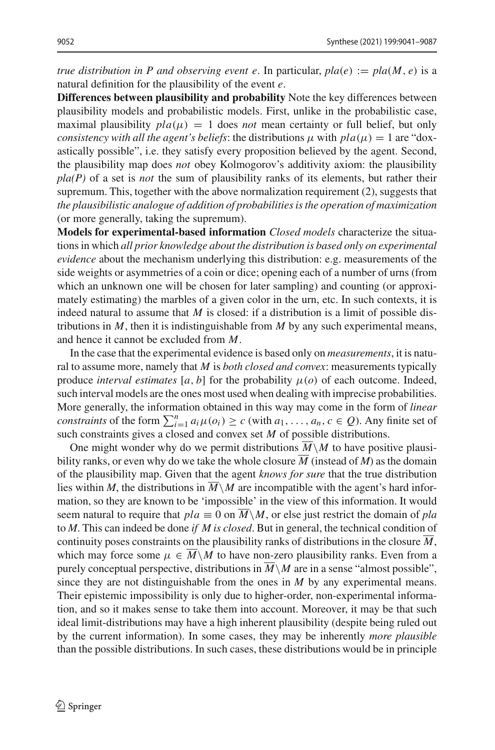*true distribution in P and observing event e. In particular,*  $pla(e) := pla(M, e)$  *is a* natural definition for the plausibility of the event *e*.

**Differences between plausibility and probability** Note the key differences between plausibility models and probabilistic models. First, unlike in the probabilistic case, maximal plausibility  $pla(\mu) = 1$  does *not* mean certainty or full belief, but only *consistency with all the agent's beliefs*: the distributions  $\mu$  with  $pla(\mu) = 1$  are "doxastically possible", i.e. they satisfy every proposition believed by the agent. Second, the plausibility map does *not* obey Kolmogorov's additivity axiom: the plausibility *pla(P)* of a set is *not* the sum of plausibility ranks of its elements, but rather their supremum. This, together with the above normalization requirement (2), suggests that *the plausibilistic analogue of addition of probabilities is the operation of maximization* (or more generally, taking the supremum).

**Models for experimental-based information** *Closed models* characterize the situations in which *all prior knowledge about the distribution is based only on experimental evidence* about the mechanism underlying this distribution: e.g. measurements of the side weights or asymmetries of a coin or dice; opening each of a number of urns (from which an unknown one will be chosen for later sampling) and counting (or approximately estimating) the marbles of a given color in the urn, etc. In such contexts, it is indeed natural to assume that *M* is closed: if a distribution is a limit of possible distributions in  $M$ , then it is indistinguishable from  $M$  by any such experimental means, and hence it cannot be excluded from *M*.

In the case that the experimental evidence is based only on *measurements*, it is natural to assume more, namely that *M* is *both closed and convex*: measurements typically produce *interval estimates* [ $a$ ,  $b$ ] for the probability  $\mu$ ( $o$ ) of each outcome. Indeed, such interval models are the ones most used when dealing with imprecise probabilities. More generally, the information obtained in this way may come in the form of *linear constraints* of the form  $\sum_{i=1}^{n} a_i \mu(o_i) \ge c$  (with  $a_1, \ldots, a_n, c \in Q$ ). Any finite set of such constraints gives a closed and convex set *M* of possible distributions.

One might wonder why do we permit distributions  $\overline{M}\setminus M$  to have positive plausibility ranks, or even why do we take the whole closure  $\overline{M}$  (instead of *M*) as the domain of the plausibility map. Given that the agent *knows for sure* that the true distribution lies within *M*, the distributions in  $M \setminus M$  are incompatible with the agent's hard information, so they are known to be 'impossible' in the view of this information. It would seem natural to require that  $pla \equiv 0$  on  $M \setminus M$ , or else just restrict the domain of *pla* to *M*. This can indeed be done *if M is closed*. But in general, the technical condition of continuity poses constraints on the plausibility ranks of distributions in the closure *M*, which may force some  $\mu \in M \backslash M$  to have non-zero plausibility ranks. Even from a purely conceptual perspective, distributions in  $\overline{M}\setminus M$  are in a sense "almost possible", since they are not distinguishable from the ones in *M* by any experimental means. Their epistemic impossibility is only due to higher-order, non-experimental information, and so it makes sense to take them into account. Moreover, it may be that such ideal limit-distributions may have a high inherent plausibility (despite being ruled out by the current information). In some cases, they may be inherently *more plausible* than the possible distributions. In such cases, these distributions would be in principle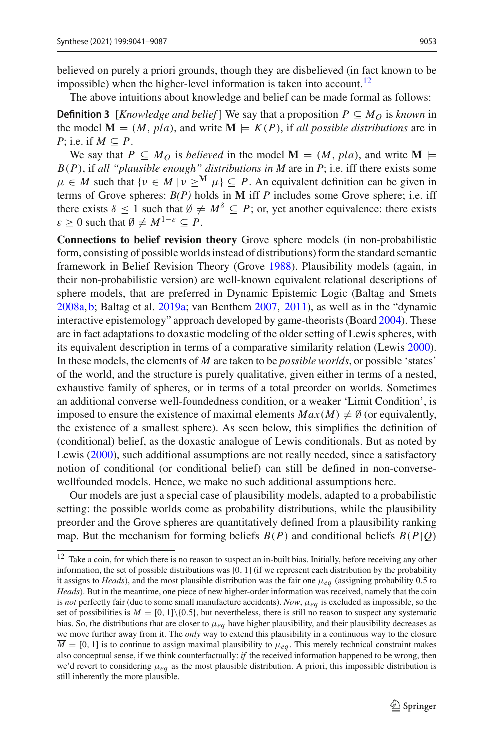believed on purely a priori grounds, though they are disbelieved (in fact known to be impossible) when the higher-level information is taken into account.<sup>[12](#page-13-0)</sup>

The above intuitions about knowledge and belief can be made formal as follows:

**Definition 3** [*Knowledge and belief*] We say that a proposition  $P \subseteq M_O$  is *known* in the model  $M = (M, pla)$ , and write  $M \models K(P)$ , if all possible distributions are in *P*; i.e. if  $M \subseteq P$ .

We say that  $P \subseteq M_O$  is *believed* in the model  $\mathbf{M} = (M, pla)$ , and write  $\mathbf{M} \models$ *B*(*P*), if *all "plausible enough" distributions in M* are in *P*; i.e. iff there exists some  $\mu \in M$  such that  $\{v \in M \mid v \geq^M \mu\} \subseteq P$ . An equivalent definition can be given in terms of Grove spheres: *B(P)* holds in **M** iff *P* includes some Grove sphere; i.e. iff there exists  $\delta \leq 1$  such that  $\emptyset \neq M^{\delta} \subseteq P$ ; or, yet another equivalence: there exists  $\varepsilon > 0$  such that  $\emptyset \neq M^{1-\varepsilon} \subset P$ .

**Connections to belief revision theory** Grove sphere models (in non-probabilistic form, consisting of possible worlds instead of distributions) form the standard semantic framework in Belief Revision Theory (Grov[e](#page-45-17) [1988\)](#page-45-17). Plausibility models (again, in their non-probabilistic version) are well-known equivalent relational descriptions of sphere models, that are preferred in Dynamic Epistemic Logic (Baltag and Smet[s](#page-45-18) [2008a](#page-45-18), [b;](#page-45-4) Baltag et al[.](#page-44-0) [2019a](#page-44-0); van Benthe[m](#page-47-3) [2007](#page-47-3), [2011\)](#page-47-4), as well as in the "dynamic interactive epistemology" approach developed by game-theorists (Boar[d](#page-45-3) [2004\)](#page-45-3). These are in fact adaptations to doxastic modeling of the older setting of Lewis spheres, with its equivalent description in terms of a comparative similarity relation (Lewi[s](#page-46-10) [2000](#page-46-10)). In these models, the elements of *M* are taken to be *possible worlds*, or possible 'states' of the world, and the structure is purely qualitative, given either in terms of a nested, exhaustive family of spheres, or in terms of a total preorder on worlds. Sometimes an additional converse well-foundedness condition, or a weaker 'Limit Condition', is imposed to ensure the existence of maximal elements  $Max(M) \neq \emptyset$  (or equivalently, the existence of a smallest sphere). As seen below, this simplifies the definition of (conditional) belief, as the doxastic analogue of Lewis conditionals. But as noted by Lewi[s](#page-46-10) [\(2000\)](#page-46-10), such additional assumptions are not really needed, since a satisfactory notion of conditional (or conditional belief) can still be defined in non-conversewellfounded models. Hence, we make no such additional assumptions here.

Our models are just a special case of plausibility models, adapted to a probabilistic setting: the possible worlds come as probability distributions, while the plausibility preorder and the Grove spheres are quantitatively defined from a plausibility ranking map. But the mechanism for forming beliefs  $B(P)$  and conditional beliefs  $B(P|Q)$ 

<span id="page-13-0"></span><sup>&</sup>lt;sup>12</sup> Take a coin, for which there is no reason to suspect an in-built bias. Initially, before receiving any other information, the set of possible distributions was [0, 1] (if we represent each distribution by the probability it assigns to *Heads*), and the most plausible distribution was the fair one μ*eq* (assigning probability 0.5 to *Heads*). But in the meantime, one piece of new higher-order information was received, namely that the coin is *not* perfectly fair (due to some small manufacture accidents). *Now*, μ*eq* is excluded as impossible, so the set of possibilities is  $M = [0, 1]\{0.5\}$ , but nevertheless, there is still no reason to suspect any systematic bias. So, the distributions that are closer to  $\mu_{eq}$  have higher plausibility, and their plausibility decreases as we move further away from it. The *only* way to extend this plausibility in a continuous way to the closure  $\overline{M}$  = [0, 1] is to continue to assign maximal plausibility to  $\mu_{eq}$ . This merely technical constraint makes also conceptual sense, if we think counterfactually: *if* the received information happened to be wrong, then we'd revert to considering μ*eq* as the most plausible distribution. A priori, this impossible distribution is still inherently the more plausible.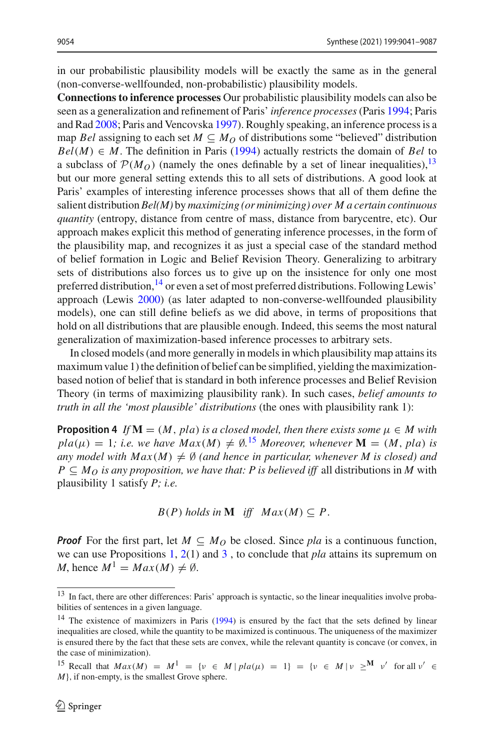in our probabilistic plausibility models will be exactly the same as in the general (non-converse-wellfounded, non-probabilistic) plausibility models.

**Connections to inference processes** Our probabilistic plausibility models can also be [s](#page-46-0)een as a generalization and refinement of Paris' *inference processes* (Paris [1994;](#page-46-0) Paris and Ra[d](#page-46-11) [2008](#page-46-11); Paris and Vencovsk[a](#page-46-12) [1997\)](#page-46-12). Roughly speaking, an inference process is a map *Bel* assigning to each set  $M \subseteq M_O$  of distributions some "believed" distribution  $Bel(M) \in M$ . The definition in Pari[s](#page-46-0) [\(1994\)](#page-46-0) actually restricts the domain of *Bel* to a subclass of  $P(M_O)$  (namely the ones definable by a set of linear inequalities), <sup>[13](#page-14-0)</sup> but our more general setting extends this to all sets of distributions. A good look at Paris' examples of interesting inference processes shows that all of them define the salient distribution *Bel(M)* by *maximizing (or minimizing) over M a certain continuous quantity* (entropy, distance from centre of mass, distance from barycentre, etc). Our approach makes explicit this method of generating inference processes, in the form of the plausibility map, and recognizes it as just a special case of the standard method of belief formation in Logic and Belief Revision Theory. Generalizing to arbitrary sets of distributions also forces us to give up on the insistence for only one most preferred distribution,<sup>[14](#page-14-1)</sup> or even a set of most preferred distributions. Following Lewis' approach (Lewi[s](#page-46-10) [2000](#page-46-10)) (as later adapted to non-converse-wellfounded plausibility models), one can still define beliefs as we did above, in terms of propositions that hold on all distributions that are plausible enough. Indeed, this seems the most natural generalization of maximization-based inference processes to arbitrary sets.

In closed models (and more generally in models in which plausibility map attains its maximum value 1) the definition of belief can be simplified, yielding the maximizationbased notion of belief that is standard in both inference processes and Belief Revision Theory (in terms of maximizing plausibility rank). In such cases, *belief amounts to truth in all the 'most plausible' distributions* (the ones with plausibility rank 1):

**Proposition 4** *If*  $M = (M, pla)$  *is a closed model, then there exists some*  $\mu \in M$  *with*  $pla(\mu) = 1$ ; *i.e.* we have  $Max(M) \neq \emptyset$ .<sup>[15](#page-14-2)</sup> Moreover, whenever **M** = (*M*, *pla*) *is* any model with  $Max(M) \neq \emptyset$  (and hence in particular, whenever M is closed) and  $P \subseteq M_O$  *is any proposition, we have that: P is believed iff all distributions in M with* plausibility 1 satisfy *P; i.e.*

<span id="page-14-3"></span> $B(P)$  *holds in* **M** *iff*  $Max(M) \subseteq P$ .

*Proof* For the first part, let  $M \subseteq M_O$  be closed. Since *pla* is a continuous function, we can use Propositions [1,](#page-7-1) [2\(](#page-7-2)1) and [3](#page-8-0) , to conclude that *pla* attains its supremum on *M*, hence  $M^1 = Max(M) \neq \emptyset$ .

<span id="page-14-0"></span><sup>&</sup>lt;sup>13</sup> In fact, there are other differences: Paris' approach is syntactic, so the linear inequalities involve probabilities of sentences in a given language.

<span id="page-14-1"></span><sup>&</sup>lt;[s](#page-46-0)up>14</sup> The existence of maximizers in Paris [\(1994\)](#page-46-0) is ensured by the fact that the sets defined by linear inequalities are closed, while the quantity to be maximized is continuous. The uniqueness of the maximizer is ensured there by the fact that these sets are convex, while the relevant quantity is concave (or convex, in the case of minimization).

<span id="page-14-2"></span><sup>&</sup>lt;sup>15</sup> Recall that  $Max(M) = M^1 = \{v \in M \mid pla(u) = 1\} = \{v \in M \mid v >^M v' \text{ for all } v' \in \mathbb{R}\}$ *M*}, if non-empty, is the smallest Grove sphere.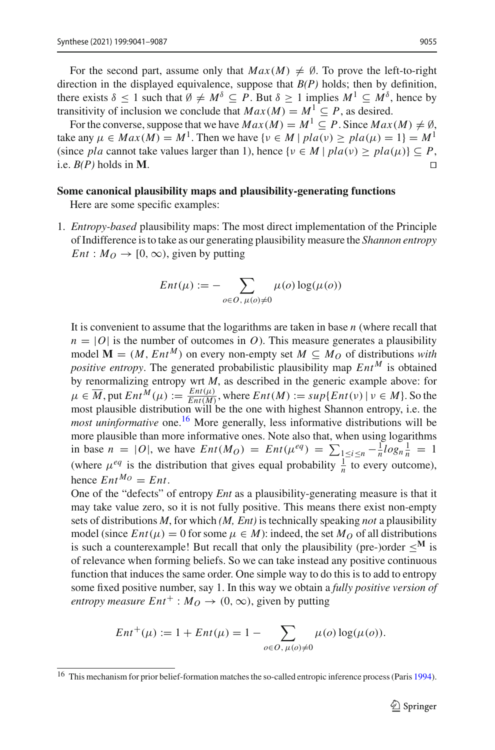For the second part, assume only that  $Max(M) \neq \emptyset$ . To prove the left-to-right direction in the displayed equivalence, suppose that *B(P)* holds; then by definition, there exists  $\delta \leq 1$  such that  $\emptyset \neq M^{\delta} \subseteq P$ . But  $\delta \geq 1$  implies  $M^1 \subseteq M^{\delta}$ , hence by transitivity of inclusion we conclude that  $Max(M) = M^1 \subset P$ , as desired.

For the converse, suppose that we have  $Max(M) = M^1 \subseteq P$ . Since  $Max(M) \neq \emptyset$ , take any  $\mu \in Max(M) = M^1$ . Then we have  $\{v \in M \mid pla(v) \geq pla(\mu) = 1\} = M^1$ (since *pla* cannot take values larger than 1), hence  $\{v \in M \mid pla(v) \geq pla(\mu)\}\subseteq P$ , i.e.  $B(P)$  holds in **M** i.e.  $B(P)$  holds in **M**.

#### **Some canonical plausibility maps and plausibility-generating functions**

Here are some specific examples:

1. *Entropy-based* plausibility maps: The most direct implementation of the Principle of Indifference is to take as our generating plausibility measure the *Shannon entropy Ent* :  $M_Q \rightarrow [0, \infty)$ , given by putting

$$
Ent(\mu) := -\sum_{o \in O, \, \mu(o) \neq 0} \mu(o) \log(\mu(o))
$$

It is convenient to assume that the logarithms are taken in base *n* (where recall that  $n = |O|$  is the number of outcomes in *O*). This measure generates a plausibility model  $\mathbf{M} = (M, Ent^M)$  on every non-empty set  $M \subseteq M_Q$  of distributions with *positive entropy*. The generated probabilistic plausibility map  $Ent^M$  is obtained by renormalizing entropy wrt *M*, as described in the generic example above: for  $\mu \in \overline{M}$ , put  $Ent^M(\mu) := \frac{Ent(\mu)}{Ent(M)}$ , where  $Ent(M) := sup\{Ent(\nu) | \nu \in M\}$ . So the most plausible distribution will be the one with highest Shannon entropy, i.e. the *most uninformative* one.<sup>[16](#page-15-0)</sup> More generally, less informative distributions will be more plausible than more informative ones. Note also that, when using logarithms in base  $n = |O|$ , we have  $Ent(M_O) = Ent(\mu^{eq}) = \sum_{1 \le i \le n} -\frac{1}{n} log_n \frac{1}{n} = 1$ (where  $\mu^{eq}$  is the distribution that gives equal probability  $\frac{1}{n}$  to every outcome), hence  $Ent^{M_O} = Ent$ .

One of the "defects" of entropy *Ent* as a plausibility-generating measure is that it may take value zero, so it is not fully positive. This means there exist non-empty sets of distributions *M*, for which *(M, Ent)* is technically speaking *not* a plausibility model (since  $Ent(\mu) = 0$  for some  $\mu \in M$ ): indeed, the set  $M_O$  of all distributions is such a counterexample! But recall that only the plausibility (pre-)order  $\leq^M$  is of relevance when forming beliefs. So we can take instead any positive continuous function that induces the same order. One simple way to do this is to add to entropy some fixed positive number, say 1. In this way we obtain a *fully positive version of entropy measure*  $Ent^+$ :  $M_O \rightarrow (0, \infty)$ , given by putting

$$
Ent^{+}(\mu) := 1 + Ent(\mu) = 1 - \sum_{o \in O, \mu(o) \neq 0} \mu(o) \log(\mu(o)).
$$

<span id="page-15-0"></span><sup>&</sup>lt;[s](#page-46-0)up>16</sup> This mechanism for prior belief-formation matches the so-called entropic inference process (Paris [1994](#page-46-0)).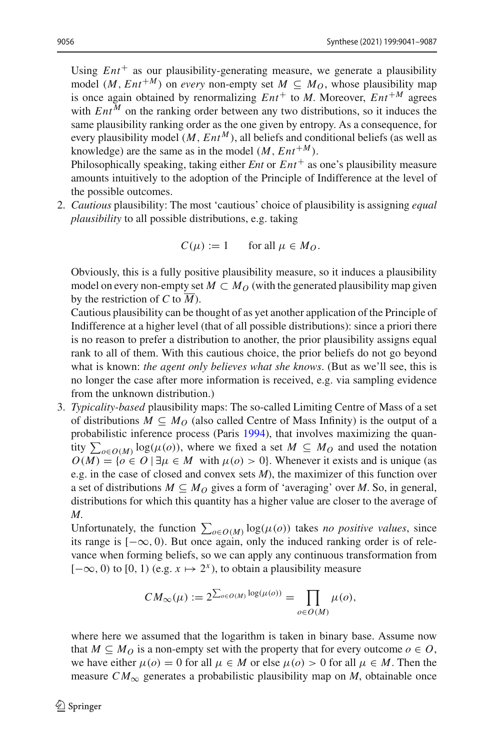Using  $Ent^+$  as our plausibility-generating measure, we generate a plausibility model (*M*,  $Ent^{+M}$ ) on *every* non-empty set  $M \subseteq M_O$ , whose plausibility map is once again obtained by renormalizing  $Ent^+$  to *M*. Moreover,  $Ent^{+M}$  agrees with  $Ent^{M}$  on the ranking order between any two distributions, so it induces the same plausibility ranking order as the one given by entropy. As a consequence, for every plausibility model  $(M, Ent^M)$ , all beliefs and conditional beliefs (as well as knowledge) are the same as in the model  $(M, Ent^{+M})$ .

Philosophically speaking, taking either *Ent* or  $Ent^+$  as one's plausibility measure amounts intuitively to the adoption of the Principle of Indifference at the level of the possible outcomes.

2. *Cautious* plausibility: The most 'cautious' choice of plausibility is assigning *equal plausibility* to all possible distributions, e.g. taking

$$
C(\mu) := 1 \qquad \text{for all } \mu \in M_O.
$$

Obviously, this is a fully positive plausibility measure, so it induces a plausibility model on every non-empty set  $M \subset M_O$  (with the generated plausibility map given by the restriction of *C* to *M*).

Cautious plausibility can be thought of as yet another application of the Principle of Indifference at a higher level (that of all possible distributions): since a priori there is no reason to prefer a distribution to another, the prior plausibility assigns equal rank to all of them. With this cautious choice, the prior beliefs do not go beyond what is known: *the agent only believes what she knows*. (But as we'll see, this is no longer the case after more information is received, e.g. via sampling evidence from the unknown distribution.)

3. *Typicality-based* plausibility maps: The so-called Limiting Centre of Mass of a set of distributions  $M \subseteq M_O$  (also called Centre of Mass Infinity) is the output of a probabilistic inference process (Pari[s](#page-46-0) [1994\)](#page-46-0), that involves maximizing the quantity  $\sum_{o \in O(M)} \log(\mu(o))$ , where we fixed a set  $M \subseteq M_O$  and used the notation  $O(M) = \{o \in O \mid \exists \mu \in M \text{ with } \mu(o) > 0\}.$  Whenever it exists and is unique (as e.g. in the case of closed and convex sets *M*), the maximizer of this function over a set of distributions  $M \subseteq M_Q$  gives a form of 'averaging' over M. So, in general, distributions for which this quantity has a higher value are closer to the average of *M*.

Unfortunately, the function  $\sum_{o \in O(M)} \log(\mu(o))$  takes *no positive values*, since its range is  $[-\infty, 0)$ . But once again, only the induced ranking order is of relevance when forming beliefs, so we can apply any continuous transformation from  $[-\infty, 0)$  to  $[0, 1)$  (e.g.  $x \mapsto 2^x$ ), to obtain a plausibility measure

$$
CM_{\infty}(\mu) := 2^{\sum_{o \in O(M)} \log(\mu(o))} = \prod_{o \in O(M)} \mu(o),
$$

where here we assumed that the logarithm is taken in binary base. Assume now that  $M \subseteq M_O$  is a non-empty set with the property that for every outcome  $o \in O$ , we have either  $\mu(o) = 0$  for all  $\mu \in M$  or else  $\mu(o) > 0$  for all  $\mu \in M$ . Then the measure  $CM_{\infty}$  generates a probabilistic plausibility map on *M*, obtainable once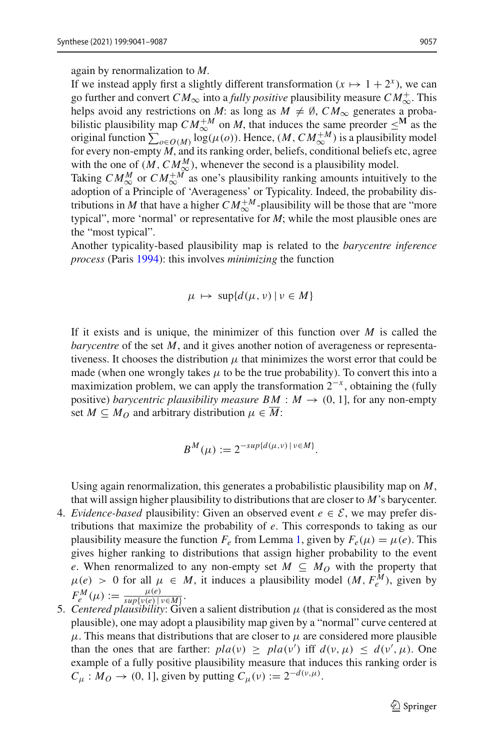again by renormalization to *M*.

If we instead apply first a slightly different transformation  $(x \mapsto 1 + 2^x)$ , we can go further and convert  $CM_{\infty}$  into a *fully positive* plausibility measure  $CM_{\infty}^+$ . This helps avoid any restrictions on *M*: as long as  $M \neq \emptyset$ ,  $CM_{\infty}$  generates a probabilistic plausibility map  $CM_{\infty}^{+M}$  on *M*, that induces the same preorder  $\leq^M$  as the original function  $\sum_{o \in O(M)} \log(\mu(o))$ . Hence,  $(M, CM_{\infty}^{+M})$  is a plausibility model for every non-empty  $\hat{M}$ , and its ranking order, beliefs, conditional beliefs etc, agree with the one of  $(M, CM_{\infty}^M)$ , whenever the second is a plausibility model.

Taking  $CM_{\infty}^M$  or  $CM_{\infty}^{+M}$  as one's plausibility ranking amounts intuitively to the adoption of a Principle of 'Averageness' or Typicality. Indeed, the probability distributions in *M* that have a higher  $CM_{\infty}^{+M}$ -plausibility will be those that are "more typical", more 'normal' or representative for *M*; while the most plausible ones are the "most typical".

Another typicality-based plausibility map is related to the *barycentre inference process* (Pari[s](#page-46-0) [1994](#page-46-0)): this involves *minimizing* the function

$$
\mu \mapsto \sup \{ d(\mu, \nu) \, | \, \nu \in M \}
$$

If it exists and is unique, the minimizer of this function over *M* is called the *barycentre* of the set *M*, and it gives another notion of averageness or representativeness. It chooses the distribution  $\mu$  that minimizes the worst error that could be made (when one wrongly takes  $\mu$  to be the true probability). To convert this into a maximization problem, we can apply the transformation  $2^{-x}$ , obtaining the (fully positive) *barycentric plausibility measure BM* :  $M \rightarrow (0, 1]$ , for any non-empty set  $M \subseteq M_Q$  and arbitrary distribution  $\mu \in \overline{M}$ :

$$
B^M(\mu) := 2^{-sup\{d(\mu,\nu) \,|\, \nu \in M\}}.
$$

Using again renormalization, this generates a probabilistic plausibility map on *M*, that will assign higher plausibility to distributions that are closer to *M*'s barycenter.

- 4. *Evidence-based* plausibility: Given an observed event  $e \in \mathcal{E}$ , we may prefer distributions that maximize the probability of *e*. This corresponds to taking as our plausibility measure the function  $F_e$  from Lemma [1,](#page-7-3) given by  $F_e(\mu) = \mu(e)$ . This gives higher ranking to distributions that assign higher probability to the event *e*. When renormalized to any non-empty set  $M \subseteq M_O$  with the property that  $\mu(e) > 0$  for all  $\mu \in M$ , it induces a plausibility model  $(M, F_e^M)$ , given by  $F_e^M(\mu) := \frac{\mu(e)}{\sup\{v(e) \mid v \in M\}}$ .<br>
5. *Centered plausibility*: Given a salient distribution  $\mu$  (that is considered as the most
- plausible), one may adopt a plausibility map given by a "normal" curve centered at  $\mu$ . This means that distributions that are closer to  $\mu$  are considered more plausible than the ones that are farther:  $pla(v) \geq pla(v')$  iff  $d(v, \mu) \leq d(v', \mu)$ . One example of a fully positive plausibility measure that induces this ranking order is  $C_\mu$  :  $M_O \rightarrow (0, 1]$ , given by putting  $C_\mu(v) := 2^{-d(v, \mu)}$ .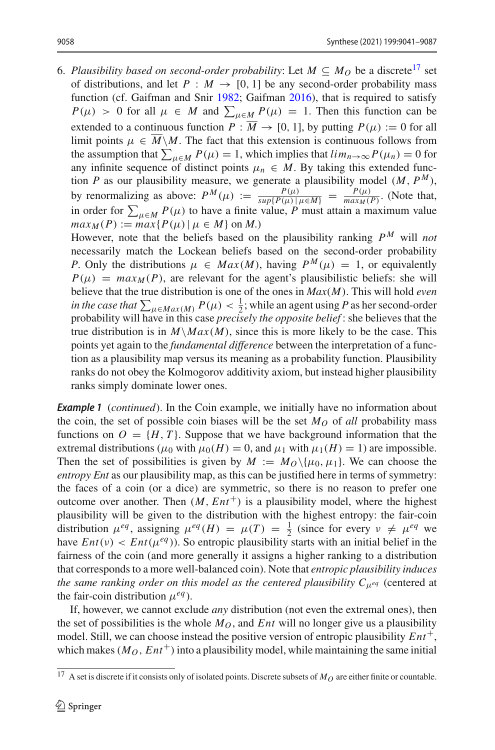6. Plausibility based on second-order probability: Let  $M \subseteq M_O$  be a discrete<sup>[17](#page-18-0)</sup> set of distributions, and let  $P : M \to [0, 1]$  be any second-order probability mass function (cf. Gaifman and Sni[r](#page-45-5) [1982](#page-45-5); Gaifma[n](#page-45-6) [2016\)](#page-45-6), that is required to satisfy  $P(\mu) > 0$  for all  $\mu \in M$  and  $\sum_{\mu \in M} P(\mu) = 1$ . Then this function can be extended to a continuous function  $P : \overline{M} \to [0, 1]$ , by putting  $P(\mu) := 0$  for all limit points  $\mu \in \overline{M} \backslash M$ . The fact that this extension is continuous follows from the assumption that  $\sum_{\mu \in M} P(\mu) = 1$ , which implies that  $\lim_{n \to \infty} P(\mu_n) = 0$  for any infinite sequence of distinct points  $\mu_n \in M$ . By taking this extended function *P* as our plausibility measure, we generate a plausibility model  $(M, P^M)$ , by renormalizing as above:  $P^M(\mu) := \frac{P(\mu)}{\sup\{P(\mu) | \mu \in M\}} = \frac{P(\mu)}{\max_M(P)}$ . (Note that, in order for  $\sum_{\mu \in M} P(\mu)$  to have a finite value, *P* must attain a maximum value  $max_M(P) := max\{P(\mu) | \mu \in M\}$  on *M*.)

However, note that the beliefs based on the plausibility ranking  $P^M$  will *not* necessarily match the Lockean beliefs based on the second-order probability *P*. Only the distributions  $\mu \in Max(M)$ , having  $P^M(\mu) = 1$ , or equivalently  $P(\mu) = max_M(P)$ , are relevant for the agent's plausibilistic beliefs: she will believe that the true distribution is one of the ones in *Max*(*M*). This will hold *even in the case that*  $\sum_{\mu \in Max(M)} P(\mu) < \frac{1}{2}$ ; while an agent using *P* as her second-order probability will have in this case *precisely the opposite belief* : she believes that the true distribution is in  $M\backslash Max(M)$ , since this is more likely to be the case. This points yet again to the *fundamental difference* between the interpretation of a function as a plausibility map versus its meaning as a probability function. Plausibility ranks do not obey the Kolmogorov additivity axiom, but instead higher plausibility ranks simply dominate lower ones.

*Example 1* (*continued*). In the Coin example, we initially have no information about the coin, the set of possible coin biases will be the set  $M<sub>O</sub>$  of *all* probability mass functions on  $O = \{H, T\}$ . Suppose that we have background information that the extremal distributions ( $\mu_0$  with  $\mu_0(H) = 0$ , and  $\mu_1$  with  $\mu_1(H) = 1$ ) are impossible. Then the set of possibilities is given by  $M := M_0 \setminus {\mu_0, \mu_1}$ . We can choose the *entropy Ent* as our plausibility map, as this can be justified here in terms of symmetry: the faces of a coin (or a dice) are symmetric, so there is no reason to prefer one outcome over another. Then  $(M, Ent^+)$  is a plausibility model, where the highest plausibility will be given to the distribution with the highest entropy: the fair-coin distribution  $\mu^{eq}$ , assigning  $\mu^{eq}(H) = \mu(T) = \frac{1}{2}$  (since for every  $\nu \neq \mu^{eq}$  we have  $Ent(v) < Ent(\mu^{eq})$ ). So entropic plausibility starts with an initial belief in the fairness of the coin (and more generally it assigns a higher ranking to a distribution that corresponds to a more well-balanced coin). Note that *entropic plausibility induces the same ranking order on this model as the centered plausibility*  $C_{\mu}$ *<sup><i>eq*</sup> (centered at the fair-coin distribution  $\mu^{eq}$ ).

If, however, we cannot exclude *any* distribution (not even the extremal ones), then the set of possibilities is the whole  $M_O$ , and  $Ent$  will no longer give us a plausibility model. Still, we can choose instead the positive version of entropic plausibility  $Ent^+$ , which makes ( $M_O$ ,  $Ent^+$ ) into a plausibility model, while maintaining the same initial

<span id="page-18-0"></span><sup>&</sup>lt;sup>17</sup> A set is discrete if it consists only of isolated points. Discrete subsets of  $M_O$  are either finite or countable.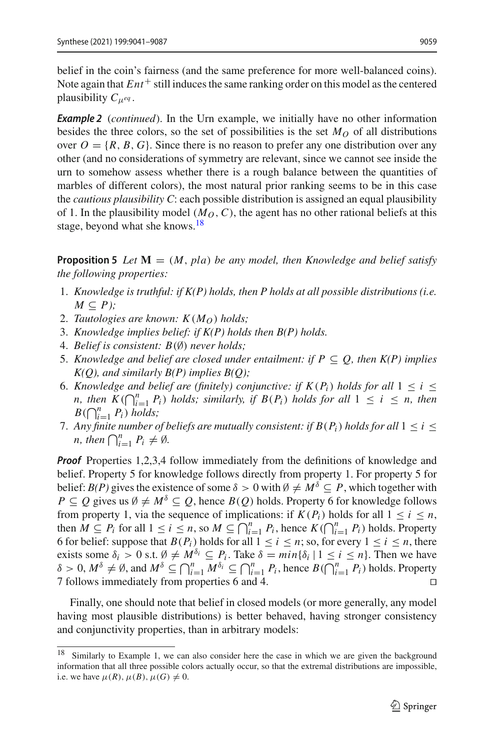belief in the coin's fairness (and the same preference for more well-balanced coins). Note again that  $Ent^+$  still induces the same ranking order on this model as the centered plausibility *C*μ*eq* .

*Example 2* (*continued*). In the Urn example, we initially have no other information besides the three colors, so the set of possibilities is the set  $M<sub>O</sub>$  of all distributions over  $O = \{R, B, G\}$ . Since there is no reason to prefer any one distribution over any other (and no considerations of symmetry are relevant, since we cannot see inside the urn to somehow assess whether there is a rough balance between the quantities of marbles of different colors), the most natural prior ranking seems to be in this case the *cautious plausibility C*: each possible distribution is assigned an equal plausibility of 1. In the plausibility model  $(M_O, C)$ , the agent has no other rational beliefs at this stage, beyond what she knows.<sup>[18](#page-19-0)</sup>

<span id="page-19-1"></span>**Proposition 5** Let  $M = (M, pla)$  be any model, then Knowledge and belief satisfy *the following properties:*

- 1. *Knowledge is truthful: if K(P) holds, then P holds at all possible distributions (i.e.*  $M \subseteq P$ );
- 2. *Tautologies are known:*  $K(M<sub>O</sub>)$  *holds*;
- 3. *Knowledge implies belief: if K(P) holds then B(P) holds.*
- 4. *Belief is consistent: B*(∅) *never holds;*
- 5. *Knowledge and belief are closed under entailment: if*  $P \subseteq Q$ *, then K(P) implies K(Q), and similarly B(P) implies B(Q);*
- 6. *Knowledge and belief are (finitely) conjunctive: if*  $K(P_i)$  *holds for all*  $1 \leq i \leq$ *n, then*  $K(\bigcap_{i=1}^{n} P_i)$  *holds; similarly, if*  $B(P_i)$  *holds for all*  $1 \leq i \leq n$ *, then*  $B(\bigcap_{i=1}^n P_i)$  *holds;*
- 7. Any finite number of beliefs are mutually consistent: if  $B(P_i)$  holds for all  $1 \leq i \leq j$ *n*, then  $\bigcap_{i=1}^{n} P_i \neq \emptyset$ .

*Proof* Properties 1,2,3,4 follow immediately from the definitions of knowledge and belief. Property 5 for knowledge follows directly from property 1. For property 5 for belief: *B(P)* gives the existence of some  $\delta > 0$  with  $\emptyset \neq M^{\delta} \subseteq P$ , which together with *P* ⊆ *Q* gives us  $\emptyset \neq M^{\delta}$  ⊆ *Q*, hence *B*(*Q*) holds. Property 6 for knowledge follows from property 1, via the sequence of implications: if  $K(P_i)$  holds for all  $1 \le i \le n$ , then  $M \subseteq P_i$  for all  $1 \le i \le n$ , so  $M \subseteq \bigcap_{i=1}^n P_i$ , hence  $K(\bigcap_{i=1}^n P_i)$  holds. Property 6 for belief: suppose that  $B(P_i)$  holds for all  $1 \le i \le n$ ; so, for every  $1 \le i \le n$ , there exists some  $\delta_i > 0$  s.t.  $\emptyset \neq M^{\delta_i} \subseteq P_i$ . Take  $\delta = \min{\{\delta_i | 1 \leq i \leq n\}}$ . Then we have  $\delta > 0$ ,  $M^{\delta} \neq \emptyset$ , and  $M^{\delta} \subseteq \bigcap_{i=1}^{n} M^{\delta_i} \subseteq \bigcap_{i=1}^{n} P_i$ , hence  $B(\bigcap_{i=1}^{n} P_i)$  holds. Property 7 follows immediately from properties 6 and 4. 

Finally, one should note that belief in closed models (or more generally, any model having most plausible distributions) is better behaved, having stronger consistency and conjunctivity properties, than in arbitrary models:

<span id="page-19-0"></span><sup>&</sup>lt;sup>18</sup> Similarly to Example 1, we can also consider here the case in which we are given the background information that all three possible colors actually occur, so that the extremal distributions are impossible, i.e. we have  $\mu(R)$ ,  $\mu(B)$ ,  $\mu(G) \neq 0$ .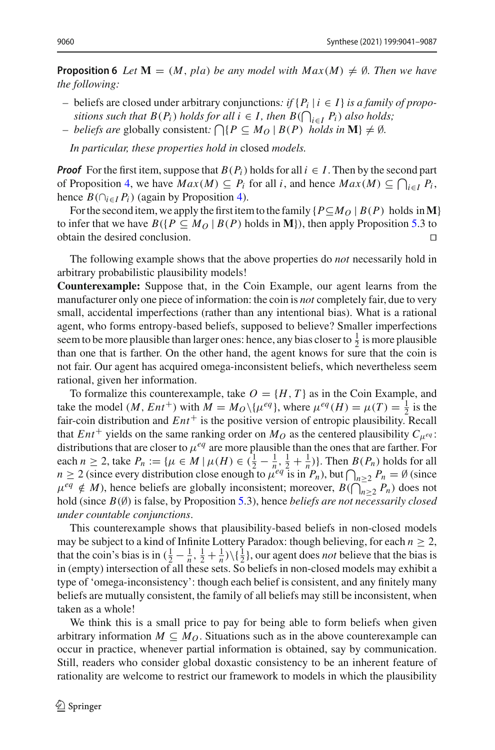**Proposition 6** *Let*  $\mathbf{M} = (M, pla)$  *be any model with*  $Max(M) \neq \emptyset$ *. Then we have the following:*

- *–* beliefs are closed under arbitrary conjunctions*: if* {*Pi* | *i* ∈ *I*} *is a family of propositions such that*  $B(P_i)$  *holds for all i* ∈ *I*, *then*  $B(\bigcap_{i \in I} P_i)$  *also holds;*
- *– beliefs are* globally consistent:  $\bigcap \{ P \subseteq M_O \mid B(P) \text{ holds in } M \} \neq \emptyset$ .

*In particular, these properties hold in* closed *models.*

*Proof* For the first item, suppose that  $B(P_i)$  holds for all  $i \in I$ . Then by the second part of Proposition [4,](#page-14-3) we have  $Max(M) \subseteq P_i$  for all *i*, and hence  $Max(M) \subseteq \bigcap_{i \in I} P_i$ , hence  $B(\bigcap_{i \in I} P_i)$  (again by Proposition [4\)](#page-14-3).

For the second item, we apply the first item to the family  ${P \subseteq M_Q \mid B(P) \text{ holds in } M}$ to infer that we have  $B({P \subseteq M_O | B(P) \text{ holds in } M})$ , then apply Proposition [5.](#page-19-1)3 to obtain the desired conclusion. obtain the desired conclusion. 

The following example shows that the above properties do *not* necessarily hold in arbitrary probabilistic plausibility models!

**Counterexample:** Suppose that, in the Coin Example, our agent learns from the manufacturer only one piece of information: the coin is *not* completely fair, due to very small, accidental imperfections (rather than any intentional bias). What is a rational agent, who forms entropy-based beliefs, supposed to believe? Smaller imperfections seem to be more plausible than larger ones: hence, any bias closer to  $\frac{1}{2}$  is more plausible than one that is farther. On the other hand, the agent knows for sure that the coin is not fair. Our agent has acquired omega-inconsistent beliefs, which nevertheless seem rational, given her information.

To formalize this counterexample, take  $O = \{H, T\}$  as in the Coin Example, and take the model  $(M, Ent^+)$  with  $M = M_O \setminus {\{\mu^{eq}\}},$  where  $\mu^{eq}(H) = \mu(T) = \frac{1}{2}$  is the fair-coin distribution and  $Ent^+$  is the positive version of entropic plausibility. Recall that *Ent*<sup>+</sup> yields on the same ranking order on  $M_O$  as the centered plausibility  $C_{\mu^{eq}}$ : distributions that are closer to  $\mu^{eq}$  are more plausible than the ones that are farther. For each  $n \ge 2$ , take  $P_n := \{ \mu \in M \mid \mu(H) \in (\frac{1}{2} - \frac{1}{n}, \frac{1}{2} + \frac{1}{n}) \}$ . Then  $B(P_n)$  holds for all  $n \geq 2$  (since every distribution close enough to  $\mu^{eq}$  is in  $P_n$ ), but  $\bigcap_{n \geq 2} P_n = \emptyset$  (since  $\mu^{eq} \notin M$ ), hence beliefs are globally inconsistent; moreover,  $B(\bigcap_{n=2}^{\infty} P_n)$  does not hold (since *B*(∅) is false, by Proposition [5.](#page-19-1)3), hence *beliefs are not necessarily closed under countable conjunctions*.

This counterexample shows that plausibility-based beliefs in non-closed models may be subject to a kind of Infinite Lottery Paradox: though believing, for each  $n \geq 2$ , that the coin's bias is in  $(\frac{1}{2} - \frac{1}{n}, \frac{1}{2} + \frac{1}{n})\setminus{\{\frac{1}{2}\}}$ , our agent does *not* believe that the bias is in (empty) intersection of all these sets. So beliefs in non-closed models may exhibit a type of 'omega-inconsistency': though each belief is consistent, and any finitely many beliefs are mutually consistent, the family of all beliefs may still be inconsistent, when taken as a whole!

We think this is a small price to pay for being able to form beliefs when given arbitrary information  $M \subseteq M_O$ . Situations such as in the above counterexample can occur in practice, whenever partial information is obtained, say by communication. Still, readers who consider global doxastic consistency to be an inherent feature of rationality are welcome to restrict our framework to models in which the plausibility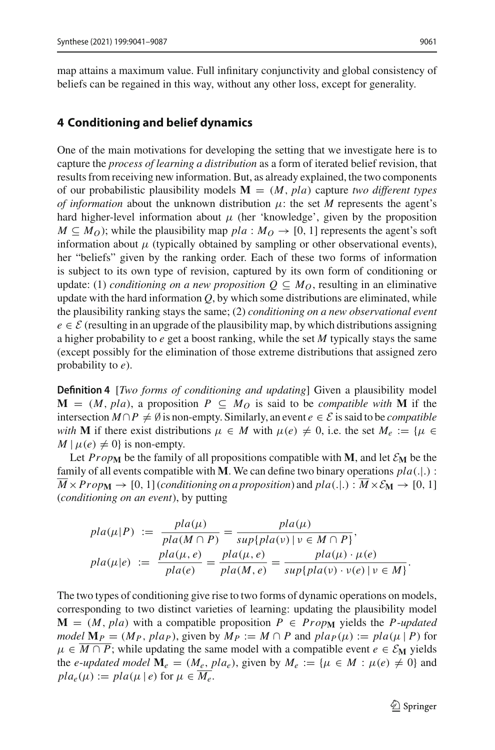map attains a maximum value. Full infinitary conjunctivity and global consistency of beliefs can be regained in this way, without any other loss, except for generality.

#### <span id="page-21-0"></span>**4 Conditioning and belief dynamics**

One of the main motivations for developing the setting that we investigate here is to capture the *process of learning a distribution* as a form of iterated belief revision, that results from receiving new information. But, as already explained, the two components of our probabilistic plausibility models  $M = (M, pla)$  capture *two different types of information* about the unknown distribution  $\mu$ : the set *M* represents the agent's hard higher-level information about  $\mu$  (her 'knowledge', given by the proposition  $M \subseteq M_O$ ); while the plausibility map  $pla : M_O \rightarrow [0, 1]$  represents the agent's soft information about  $\mu$  (typically obtained by sampling or other observational events), her "beliefs" given by the ranking order. Each of these two forms of information is subject to its own type of revision, captured by its own form of conditioning or update: (1) *conditioning on a new proposition*  $Q \subseteq M_O$ , resulting in an eliminative update with the hard information  $Q$ , by which some distributions are eliminated, while the plausibility ranking stays the same; (2) *conditioning on a new observational event*  $e \in \mathcal{E}$  (resulting in an upgrade of the plausibility map, by which distributions assigning a higher probability to *e* get a boost ranking, while the set *M* typically stays the same (except possibly for the elimination of those extreme distributions that assigned zero probability to *e*).

**Definition 4** [*Two forms of conditioning and updating*] Given a plausibility model **M** = (*M*, *pla*), a proposition *P* ⊆ *M*<sub>O</sub> is said to be *compatible with* **M** if the intersection  $M \cap P \neq \emptyset$  is non-empty. Similarly, an event  $e \in \mathcal{E}$  is said to be *compatible with* **M** if there exist distributions  $\mu \in M$  with  $\mu(e) \neq 0$ , i.e. the set  $M_e := \{ \mu \in$  $M | \mu(e) \neq 0$  is non-empty.

Let  $Prop_{\mathbf{M}}$  be the family of all propositions compatible with **M**, and let  $\mathcal{E}_{\mathbf{M}}$  be the family of all events compatible with **M**. We can define two binary operations *pla*(.|.) :  $M \times Prop_{\mathbf{M}} \to [0, 1]$  (*conditioning on a proposition*) and  $pla(.): M \times \mathcal{E}_{\mathbf{M}} \to [0, 1]$ (*conditioning on an event*), by putting

$$
pla(\mu|P) := \frac{pla(\mu)}{pla(M \cap P)} = \frac{pla(\mu)}{sup\{pla(\nu) \mid \nu \in M \cap P\}},
$$
  
\n
$$
pla(\mu|e) := \frac{pla(\mu, e)}{pla(e)} = \frac{pla(\mu, e)}{pla(M, e)} = \frac{pla(\mu) \cdot \mu(e)}{sup\{pla(\nu) \cdot \nu(e) \mid \nu \in M\}}.
$$

The two types of conditioning give rise to two forms of dynamic operations on models, corresponding to two distinct varieties of learning: updating the plausibility model  $M = (M, pla)$  with a compatible proposition  $P \in Prop_M$  yields the *P*-*updated model*  $\mathbf{M}_P = (M_P, \text{plap})$ , given by  $M_P := M \cap P$  and  $\text{plap}(\mu) := \text{pla}(\mu | P)$  for  $\mu \in M \cap P$ ; while updating the same model with a compatible event  $e \in \mathcal{E}_M$  yields the *e-updated model*  $M_e = (M_e, pla_e)$ , given by  $M_e := \{ \mu \in M : \mu(e) \neq 0 \}$  and  $pla_e(\mu) := pla(\mu \mid e)$  for  $\mu \in M_e$ .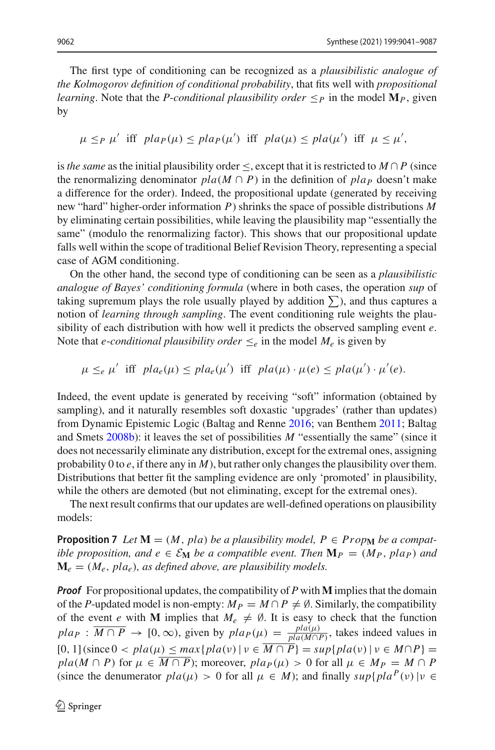The first type of conditioning can be recognized as a *plausibilistic analogue of the Kolmogorov definition of conditional probability*, that fits well with *propositional learning*. Note that the *P-conditional plausibility order*  $\leq_P$  in the model  $\mathbf{M}_P$ , given by

 $\mu \leq_P \mu'$  iff  $plan(\mu) \leq plan(\mu')$  iff  $pla(\mu) \leq pla(\mu')$  iff  $\mu \leq \mu'$ ,

is *the same* as the initial plausibility order <, except that it is restricted to  $M \cap P$  (since the renormalizing denominator  $pla(M \cap P)$  in the definition of  $pla_P$  doesn't make a difference for the order). Indeed, the propositional update (generated by receiving new "hard" higher-order information *P*) shrinks the space of possible distributions *M* by eliminating certain possibilities, while leaving the plausibility map "essentially the same" (modulo the renormalizing factor). This shows that our propositional update falls well within the scope of traditional Belief Revision Theory, representing a special case of AGM conditioning.

On the other hand, the second type of conditioning can be seen as a *plausibilistic analogue of Bayes' conditioning formula* (where in both cases, the operation *sup* of taking supremum plays the role usually played by addition  $\Sigma$ ), and thus captures a notion of *learning through sampling*. The event conditioning rule weights the plausibility of each distribution with how well it predicts the observed sampling event *e*. Note that *e-conditional plausibility order*  $\leq_e$  in the model  $M_e$  is given by

 $\mu \leq_e \mu'$  iff  $pla_e(\mu) \leq pla_e(\mu')$  iff  $pla(\mu) \cdot \mu(e) \leq pla(\mu') \cdot \mu'(e)$ .

Indeed, the event update is generated by receiving "soft" information (obtained by sampling), and it naturally resembles soft doxastic 'upgrades' (rather than updates) from Dynamic Epistemic Logic (Baltag and Renn[e](#page-45-9) [2016](#page-45-9); van Benthe[m](#page-47-4) [2011;](#page-47-4) Baltag and Smet[s](#page-45-4) [2008b](#page-45-4)): it leaves the set of possibilities *M* "essentially the same" (since it does not necessarily eliminate any distribution, except for the extremal ones, assigning probability 0 to  $e$ , if there any in  $M$ ), but rather only changes the plausibility over them. Distributions that better fit the sampling evidence are only 'promoted' in plausibility, while the others are demoted (but not eliminating, except for the extremal ones).

<span id="page-22-0"></span>The next result confirms that our updates are well-defined operations on plausibility models:

**Proposition 7** Let  $M = (M, pla)$  be a plausibility model,  $P \in Prop_M$  be a compat*ible proposition, and e*  $\in \mathcal{E}_{\mathbf{M}}$  *be a compatible event. Then*  $\mathbf{M}_P = (M_P, \text{plap})$  *and*  $\mathbf{M}_e = (M_e, \text{pla}_e)$ , as defined above, are plausibility models.

*Proof* For propositional updates, the compatibility of *P* with **M** implies that the domain of the *P*-updated model is non-empty:  $M_P = M \cap P \neq \emptyset$ . Similarly, the compatibility of the event *e* with **M** implies that  $M_e \neq \emptyset$ . It is easy to check that the function  $pla P$  :  $\overline{M \cap P}$  → [0, ∞), given by  $pla P(\mu) = \frac{pla(\mu)}{pla(\mu)P}$ , takes indeed values in  $[0, 1]$ (since  $0 < pla(\mu) \leq max\{pla(\nu) | \nu \in \overline{M \cap P}\} = sup\{pla(\nu) | \nu \in M \cap P\}$  $pla(M \cap P)$  for  $\mu \in \overline{M \cap P}$ ; moreover,  $pla_P(\mu) > 0$  for all  $\mu \in M_P = M \cap P$ (since the denumerator  $pla(\mu) > 0$  for all  $\mu \in M$ ); and finally  $sup\{pla^{P}(v) | v \in$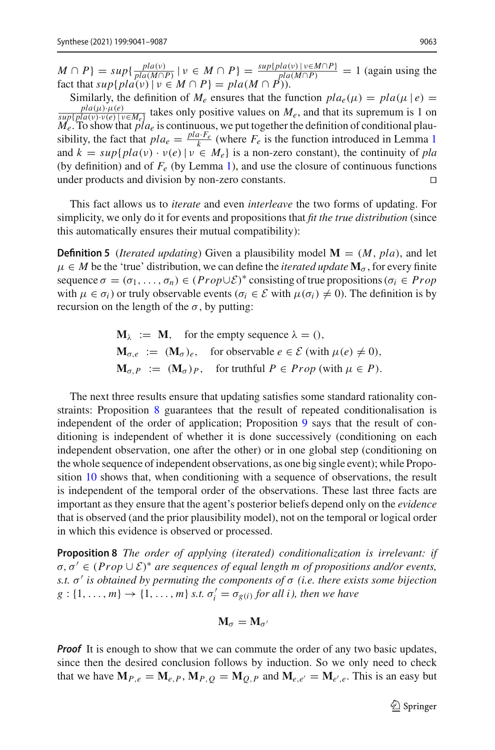$M \cap P$ } =  $sup\{\frac{pla(v)}{pla(M \cap P)} | v \in M \cap P\} = \frac{sup\{pla(v) | v \in M \cap P\}}{pla(M \cap P)} = 1$  (again using the fact that  $sup\{pla(v) | v \in M \cap P\} = pla(M \cap P)$ .

Similarly, the definition of  $M_e$  ensures that the function  $pla_e(\mu) = pla(\mu | e) =$  $\frac{pla(\mu) \cdot \mu(e)}{h_e(\mu) \cdot \mu(e)}$ , takes only positive values on  $M_e$ , and that its supremum is 1 on  $\frac{p_{i}^{H}(\mu)\cdot\mu(e)}{p_{i}^{H}(\mu(e)\cdot\nu(e)|\nu\in M_e)}$  takes only positive values on  $M_e$ , and that its supremum is 1 on  $M_e$ . To show that  $p_l a_e$  is continuous, we put together the definition of conditional plausibility, the fact that  $pla_e = \frac{pla \cdot F_e}{k}$  (where  $F_e$  is the function introduced in Lemma [1](#page-7-3) and  $k = \sup\{pla(v) \cdot v(e) | v \in M_e\}$  is a non-zero constant), the continuity of *pla* (by definition) and of  $F_e$  (by Lemma [1\)](#page-7-3), and use the closure of continuous functions under products and division by non-zero constants.

This fact allows us to *iterate* and even *interleave* the two forms of updating. For simplicity, we only do it for events and propositions that *fit the true distribution* (since this automatically ensures their mutual compatibility):

**Definition 5** (*Iterated updating*) Given a plausibility model  $\mathbf{M} = (M, pla)$ , and let  $\mu \in M$  be the 'true' distribution, we can define the *iterated update*  $\mathbf{M}_{\sigma}$ , for every finite sequence  $\sigma = (\sigma_1, \ldots, \sigma_n) \in (Prop \cup \mathcal{E})^*$  consisting of true propositions ( $\sigma_i \in Prop$ with  $\mu \in \sigma_i$ ) or truly observable events ( $\sigma_i \in \mathcal{E}$  with  $\mu(\sigma_i) \neq 0$ ). The definition is by recursion on the length of the  $\sigma$ , by putting:

$$
\mathbf{M}_{\lambda} := \mathbf{M}, \text{ for the empty sequence } \lambda = 0,
$$
  
\n
$$
\mathbf{M}_{\sigma,e} := (\mathbf{M}_{\sigma})_e, \text{ for observable } e \in \mathcal{E} \text{ (with } \mu(e) \neq 0),
$$
  
\n
$$
\mathbf{M}_{\sigma,P} := (\mathbf{M}_{\sigma})_P, \text{ for truthful } P \in \text{Prop} \text{ (with } \mu \in P).
$$

The next three results ensure that updating satisfies some standard rationality constraints: Proposition [8](#page-23-0) guarantees that the result of repeated conditionalisation is independent of the order of application; Proposition [9](#page-24-0) says that the result of conditioning is independent of whether it is done successively (conditioning on each independent observation, one after the other) or in one global step (conditioning on the whole sequence of independent observations, as one big single event); while Proposition [10](#page-24-1) shows that, when conditioning with a sequence of observations, the result is independent of the temporal order of the observations. These last three facts are important as they ensure that the agent's posterior beliefs depend only on the *evidence* that is observed (and the prior plausibility model), not on the temporal or logical order in which this evidence is observed or processed.

**Proposition 8** *The order of applying (iterated) conditionalization is irrelevant: if*  $\sigma, \sigma' \in (Prop \cup \mathcal{E})^*$  *are sequences of equal length m of propositions and/or events, s.t.* σ *is obtained by permuting the components of* σ *(i.e. there exists some bijection*  $g: \{1, \ldots, m\} \rightarrow \{1, \ldots, m\}$  *s.t.*  $\sigma'_i = \sigma_{g(i)}$  *for all i), then we have* 

<span id="page-23-0"></span>
$$
\mathbf{M}_{\sigma}=\mathbf{M}_{\sigma'}
$$

*Proof* It is enough to show that we can commute the order of any two basic updates, since then the desired conclusion follows by induction. So we only need to check that we have  $M_{P,e} = M_{e,P}$ ,  $M_{P,Q} = M_{Q,P}$  and  $M_{e,e'} = M_{e',e}$ . This is an easy but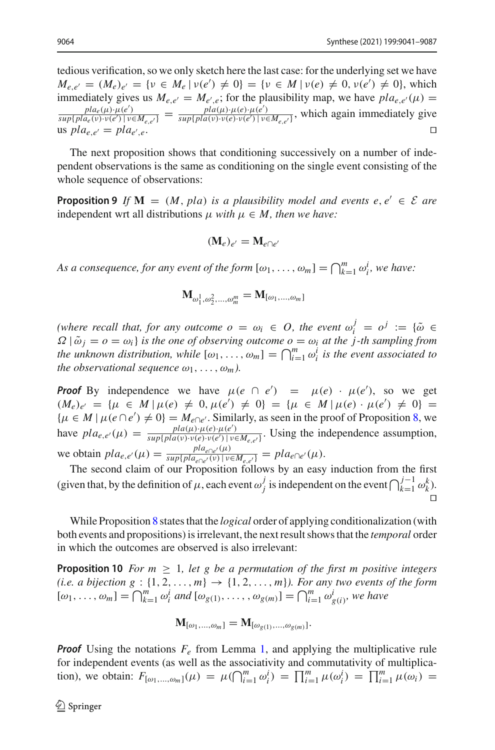tedious verification, so we only sketch here the last case: for the underlying set we have  $M_{e,e'} = (M_e)_{e'} = \{v \in M_e | v(e') \neq 0\} = \{v \in M | v(e) \neq 0, v(e') \neq 0\}$ , which immediately gives us  $M_{e,e'} = M_{e',e}$ ; for the plausibility map, we have  $pla_{e,e'}(\mu)$ fiately gives us  $M_{e,e'} = M_{e',e}$ ; for the plausibility map, we have  $pla_{e,e'}(\mu) =$ <br>  $\frac{pla_{e}(\mu) \cdot \mu(e')}{\mu(e)} = \frac{pla(\mu) \cdot \mu(e) \cdot \mu(e')}{\mu(e)}$ , which again immediately give  $\frac{pla_e(\mu) \cdot \mu(e')}{sup\{pla_e(\nu) \cdot \nu(e') \mid \nu \in M_{e,e'}\}} = \frac{pla(\mu) \cdot \mu(e) \cdot \mu(e')}{sup\{pla(\nu) \cdot \nu(e') \cdot \nu(e') \mid \nu(e')\}}$  $\frac{p_i(a(t), p_i(e), p_i(e))}{\sup\{p_i(a(v)\cdot v(e)\cdot v(e'))\, v\in M_{e,e'}\}},$  which again immediately give us  $pla_{e}e' = pla_{e'}e$ . ,*e*. 

The next proposition shows that conditioning successively on a number of independent observations is the same as conditioning on the single event consisting of the whole sequence of observations:

**Proposition 9** If  $\mathbf{M} = (M, pla)$  *is a plausibility model and events e, e'*  $\in \mathcal{E}$  *are* independent wrt all distributions  $\mu$  *with*  $\mu \in M$ *, then we have:* 

<span id="page-24-0"></span>
$$
(\mathbf{M}_e)_{e'} = \mathbf{M}_{e \cap e'}
$$

*As a consequence, for any event of the form*  $[\omega_1, \ldots, \omega_m] = \bigcap_{k=1}^m \omega_i^i$ , we have:

$$
\mathbf{M}_{\omega_1^1, \omega_2^2, ..., \omega_m^m} = \mathbf{M}_{[\omega_1, ..., \omega_m]}
$$

*(where recall that, for any outcome*  $o = \omega_i \in O$ *, the event*  $\omega_i^j = o^j := \{ \tilde{\omega} \in$  $\Omega | \tilde{\omega}_i = o = \omega_i$  *is the one of observing outcome*  $o = \omega_i$  *at the j-th sampling from the unknown distribution, while*  $[\omega_1, \ldots, \omega_m] = \bigcap_{i=1}^m \omega_i^i$  *is the event associated to the observational sequence*  $\omega_1, \ldots, \omega_m$ *).* 

*Proof* By independence we have  $\mu(e \cap e') = \mu(e) \cdot \mu(e')$ , so we get  $(M_e)_{e'} = {\mu \in M | \mu(e) \neq 0, \mu(e') \neq 0} = {\mu \in M | \mu(e) \cdot \mu(e') \neq 0}$  $\{\mu \in M \mid \mu(e \cap e') \neq 0\} = M_{e \cap e'}$ . Similarly, as seen in the proof of Proposition [8,](#page-23-0) we have  $pla_{e,e'}(\mu) = \frac{pla(\mu) \cdot \mu(e) \cdot \mu(e')}{sup\{pla(\nu) \cdot \nu(e) \cdot \nu(e') \mid \nu(e')\}}$  $\frac{p_i a(\mu) \cdot \mu(e) \cdot \mu(e)}{sup\{p_l a(\nu) \cdot \nu(e) \cdot \nu(e') \mid \nu \in M_{e,e'}\}}$ . Using the independence assumption, we obtain  $pla_{e,e'}(\mu) = \frac{pla_{e\cap e'}(\mu)}{\sup\{pla_{e\cap e'}(v) \mid v \in M_{e,e'}\}} = pla_{e\cap e'}(\mu).$ 

The second claim of our Proposition follows by an easy induction from the first (given that, by the definition of  $\mu$ , each event  $\omega_j^j$  is independent on the event  $\bigcap_{k=1}^{j-1} \omega_k^k$ ).  $\Box$ 

While Proposition [8](#page-23-0) states that the *logical* order of applying conditionalization (with both events and propositions) is irrelevant, the next result shows that the *temporal* order in which the outcomes are observed is also irrelevant:

**Proposition 10** *For m*  $\geq$  1*, let g be a permutation of the first m positive integers (i.e. a bijection g* :  $\{1, 2, ..., m\} \rightarrow \{1, 2, ..., m\}$ *). For any two events of the form*  $[\omega_1, \ldots, \omega_m] = \bigcap_{k=1}^m \omega_i^i$  *and*  $[\omega_{g(1)}, \ldots, \omega_{g(m)}] = \bigcap_{i=1}^m \omega_{g(i)}^i$ *, we have* 

<span id="page-24-1"></span>
$$
\mathbf{M}_{[\omega_1,\dots,\omega_m]} = \mathbf{M}_{[\omega_{g(1)},\dots,\omega_{g(m)}]}.
$$

**Proof** Using the notations  $F_e$  from Lemma [1,](#page-7-3) and applying the multiplicative rule for independent events (as well as the associativity and commutativity of multiplication), we obtain:  $F_{[\omega_1,...,\omega_m]}(\mu) = \mu(\bigcap_{i=1}^m \omega_i^i) = \prod_{i=1}^m \mu(\omega_i^i) = \prod_{i=1}^m \mu(\omega_i) =$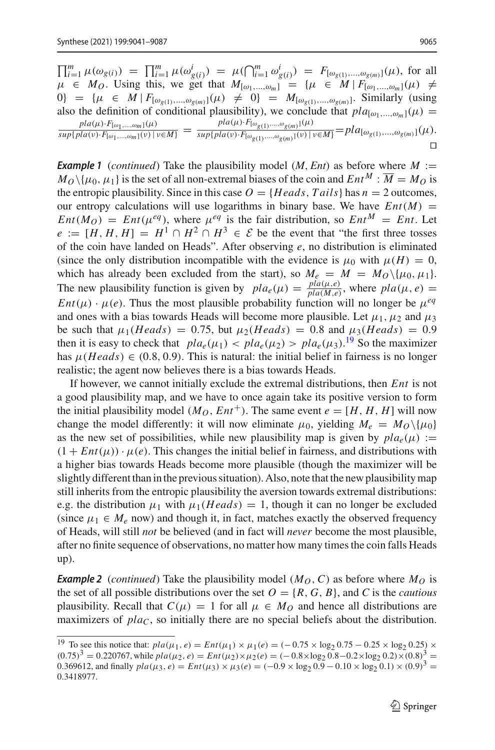$\prod_{i=1}^{m} \mu(\omega_{g(i)}) = \prod_{i=1}^{m} \mu(\omega_{g(i)}^{i}) = \mu(\bigcap_{i=1}^{m} \omega_{g(i)}^{i}) = F_{[\omega_{g(1)},\dots,\omega_{g(m)}]}(\mu)$ , for all  $\mu \in M_0$ . Using this, we get that  $M_{[\omega_1,...,\omega_m]} \cong {\mu \in M \mid F_{[\omega_1,...,\omega_m]}(\mu)} \neq$ 0} = { $\mu \in M \mid F_{[\omega_{g(1)},...,\omega_{g(m)}]}(\mu) \neq 0$ } =  $M_{[\omega_{g(1)},...,\omega_{g(m)}]}$ . Similarly (using also the definition of conditional plausibility), we conclude that  $pla_{[\omega_1,...,\omega_m]}(\mu) =$ <br> $pla(\mu) \cdot F_{[\omega_1,...,\omega_m]}(\mu)$   $\qquad \qquad pl_{a}(\mu) \cdot F_{[\omega_{g(1)},...,\omega_{g(m)}]}(\mu)$  $\frac{pla(\mu) \cdot F_{[\omega_1,...,\omega_m]}(\mu)}{\sup\{pla(\nu) \cdot F_{[\omega_1,...,\omega_m]}(\nu) \mid \nu \in M\}} = \frac{pla(\mu) \cdot F_{[\omega_{g(1)},...,\omega_{g(m)}]}(\mu)}{\sup\{pla(\nu) \cdot F_{[\omega_{g(1)},...,\omega_{g(m)}]}(\nu) \mid \nu \in M\}} = pla_{[\omega_{g(1)},...,\omega_{g(m)}]}(\mu).$  $\Box$ 

*Example 1* (*continued*) Take the plausibility model (*M*, *Ent*) as before where *<sup>M</sup>* :=  $M_O \setminus \{\mu_0, \mu_1\}$  is the set of all non-extremal biases of the coin and  $Ent^M : \overline{M} = M_O$  is the entropic plausibility. Since in this case  $O = {Heads, Tails}$  has  $n = 2$  outcomes, our entropy calculations will use logarithms in binary base. We have  $Ent(M) =$  $Ent(M_O) = Ent(\mu^{eq})$ , where  $\mu^{eq}$  is the fair distribution, so  $Ent^M = Ent$ . Let  $e := [H, H, H] = H^1 \cap H^2 \cap H^3 \in \mathcal{E}$  be the event that "the first three tosses" of the coin have landed on Heads". After observing *e*, no distribution is eliminated (since the only distribution incompatible with the evidence is  $\mu_0$  with  $\mu(H) = 0$ , which has already been excluded from the start), so  $M_e = M = M_O \setminus {\mu_0, \mu_1}.$ The new plausibility function is given by  $pla_e(\mu) = \frac{pla(\mu,e)}{pla(M,e)}$ , where  $pla(\mu,e) =$ *Ent*( $\mu$ ) ·  $\mu$ (*e*). Thus the most plausible probability function will no longer be  $\mu^{eq}$ and ones with a bias towards Heads will become more plausible. Let  $\mu_1$ ,  $\mu_2$  and  $\mu_3$ be such that  $\mu_1(Heads) = 0.75$ , but  $\mu_2(Heads) = 0.8$  and  $\mu_3(Heads) = 0.9$ then it is easy to check that  $pla_e(\mu_1) < pla_e(\mu_2) > pla_e(\mu_3).$ <sup>[19](#page-25-0)</sup> So the maximizer has  $\mu(Heads) \in (0.8, 0.9)$ . This is natural: the initial belief in fairness is no longer realistic; the agent now believes there is a bias towards Heads.

If however, we cannot initially exclude the extremal distributions, then *Ent* is not a good plausibility map, and we have to once again take its positive version to form the initial plausibility model  $(M_O, Ent^+)$ . The same event  $e = [H, H, H]$  will now change the model differently: it will now eliminate  $\mu_0$ , yielding  $M_e = M_O \backslash {\mu_0}$ as the new set of possibilities, while new plausibility map is given by  $pla_{\epsilon}(\mu) :=$  $(1 + Ent(\mu)) \cdot \mu(e)$ . This changes the initial belief in fairness, and distributions with a higher bias towards Heads become more plausible (though the maximizer will be slightly different than in the previous situation). Also, note that the new plausibility map still inherits from the entropic plausibility the aversion towards extremal distributions: e.g. the distribution  $\mu_1$  with  $\mu_1(Heads) = 1$ , though it can no longer be excluded (since  $\mu_1 \in M_e$  now) and though it, in fact, matches exactly the observed frequency of Heads, will still *not* be believed (and in fact will *never* become the most plausible, after no finite sequence of observations, no matter how many times the coin falls Heads up).

**Example 2** (*continued*) Take the plausibility model  $(M<sub>O</sub>, C)$  as before where  $M<sub>O</sub>$  is the set of all possible distributions over the set  $O = \{R, G, B\}$ , and *C* is the *cautious* plausibility. Recall that  $C(\mu) = 1$  for all  $\mu \in M_O$  and hence all distributions are maximizers of  $pla<sub>C</sub>$ , so initially there are no special beliefs about the distribution.

<span id="page-25-0"></span><sup>&</sup>lt;sup>19</sup> To see this notice that:  $pla(\mu_1, e) = Ent(\mu_1) \times \mu_1(e) = (-0.75 \times \log_2 0.75 - 0.25 \times \log_2 0.25) \times$  $(0.75)^3 = 0.220767$ , while  $pla(\mu_2, e) = Ent(\mu_2) \times \mu_2(e) = (-0.8 \times \log_2 0.8 - 0.2 \times \log_2 0.2) \times (0.8)^3$ 0.369612, and finally  $pla(\mu_3, e) = Ent(\mu_3) \times \mu_3(e) = (-0.9 \times \log_2 0.9 - 0.10 \times \log_2 0.1) \times (0.9)^3$ 0.3418977.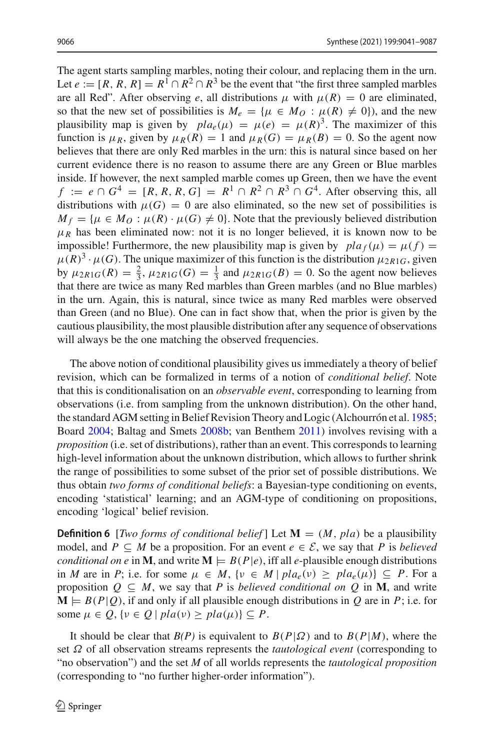The agent starts sampling marbles, noting their colour, and replacing them in the urn. Let  $e := [R, R, R] = R^1 \cap R^2 \cap R^3$  be the event that "the first three sampled marbles" are all Red". After observing *e*, all distributions  $\mu$  with  $\mu(R) = 0$  are eliminated, so that the new set of possibilities is  $M_e = {\mu \in M_O : \mu(R) \neq 0}$ , and the new plausibility map is given by  $pla_e(\mu) = \mu(e) = \mu(R)^3$ . The maximizer of this function is  $\mu_R$ , given by  $\mu_R(R) = 1$  and  $\mu_R(G) = \mu_R(B) = 0$ . So the agent now believes that there are only Red marbles in the urn: this is natural since based on her current evidence there is no reason to assume there are any Green or Blue marbles inside. If however, the next sampled marble comes up Green, then we have the event  $f := e \cap G^4 = [R, R, R, G] = R^1 \cap R^2 \cap R^3 \cap G^4$ . After observing this, all distributions with  $\mu(G) = 0$  are also eliminated, so the new set of possibilities is  $M_f = \{ \mu \in M_O : \mu(R) \cdot \mu(G) \neq 0 \}.$  Note that the previously believed distribution  $\mu_R$  has been eliminated now: not it is no longer believed, it is known now to be impossible! Furthermore, the new plausibility map is given by  $pla_f(\mu) = \mu(f)$  $\mu(R)^3 \cdot \mu(G)$ . The unique maximizer of this function is the distribution  $\mu_{2R1G}$ , given by  $\mu_{2R1G}(R) = \frac{2}{3}$ ,  $\mu_{2R1G}(G) = \frac{1}{3}$  and  $\mu_{2R1G}(B) = 0$ . So the agent now believes that there are twice as many Red marbles than Green marbles (and no Blue marbles) in the urn. Again, this is natural, since twice as many Red marbles were observed than Green (and no Blue). One can in fact show that, when the prior is given by the cautious plausibility, the most plausible distribution after any sequence of observations will always be the one matching the observed frequencies.

The above notion of conditional plausibility gives us immediately a theory of belief revision, which can be formalized in terms of a notion of *conditional belief*. Note that this is conditionalisation on an *observable event*, corresponding to learning from observations (i.e. from sampling from the unknown distribution). On the other hand, the standard AGM setting in Belief Revision Theory and Logic (Alchourrón et al[.](#page-44-1) [1985](#page-44-1); Boar[d](#page-45-3) [2004](#page-45-3); Baltag and Smet[s](#page-45-4) [2008b](#page-45-4); van Benthe[m](#page-47-4) [2011](#page-47-4)) involves revising with a *proposition* (i.e. set of distributions), rather than an event. This corresponds to learning high-level information about the unknown distribution, which allows to further shrink the range of possibilities to some subset of the prior set of possible distributions. We thus obtain *two forms of conditional beliefs*: a Bayesian-type conditioning on events, encoding 'statistical' learning; and an AGM-type of conditioning on propositions, encoding 'logical' belief revision.

**Definition 6** [*Two forms of conditional belief*] Let  $M = (M, pla)$  be a plausibility model, and  $P \subseteq M$  be a proposition. For an event  $e \in \mathcal{E}$ , we say that P is *believed conditional on e* in **M**, and write  $\mathbf{M} \models B(P|e)$ , iff all *e*-plausible enough distributions in *M* are in *P*; i.e. for some  $\mu \in M$ ,  $\{v \in M \mid pla_{e}(v) \geq pla_{e}(\mu)\} \subseteq P$ . For a proposition  $Q \subseteq M$ , we say that *P* is *believed conditional on*  $Q$  in **M**, and write  $\mathbf{M} \models B(P|Q)$ , if and only if all plausible enough distributions in Q are in P; i.e. for some  $\mu \in Q$ ,  $\{v \in Q \mid pla(v) \geq pla(\mu)\}\subseteq P$ .

It should be clear that  $B(P)$  is equivalent to  $B(P|\Omega)$  and to  $B(P|M)$ , where the set Ω of all observation streams represents the *tautological event* (corresponding to "no observation") and the set *M* of all worlds represents the *tautological proposition* (corresponding to "no further higher-order information").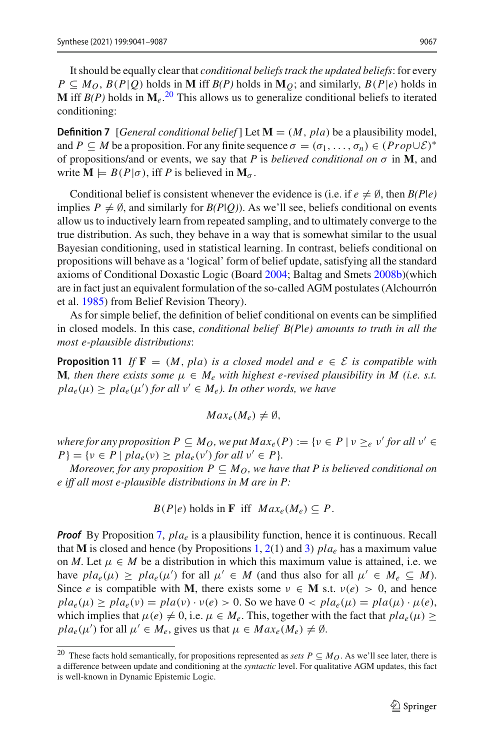It should be equally clear that *conditional beliefs track the updated beliefs*: for every  $P \subseteq M_O$ ,  $B(P|Q)$  holds in **M** iff  $B(P)$  holds in  $M_O$ ; and similarly,  $B(P|e)$  holds in **M** iff  $B(P)$  holds in  $\mathbf{M}_e$ .<sup>[20](#page-27-0)</sup> This allows us to generalize conditional beliefs to iterated conditioning:

**Definition 7** [*General conditional belief*] Let  $\mathbf{M} = (M, pla)$  be a plausibility model, and *P*  $\subseteq$  *M* be a proposition. For any finite sequence  $\sigma = (\sigma_1, \ldots, \sigma_n) \in (Prop \cup \mathcal{E})^*$ of propositions/and or events, we say that *P* is *believed conditional on*  $\sigma$  in **M**, and write  $M \models B(P|\sigma)$ , iff *P* is believed in  $M_{\sigma}$ .

Conditional belief is consistent whenever the evidence is (i.e. if  $e \neq \emptyset$ , then  $B(P|e)$ ) implies  $P \neq \emptyset$ , and similarly for  $B(P|Q)$ ). As we'll see, beliefs conditional on events allow us to inductively learn from repeated sampling, and to ultimately converge to the true distribution. As such, they behave in a way that is somewhat similar to the usual Bayesian conditioning, used in statistical learning. In contrast, beliefs conditional on propositions will behave as a 'logical' form of belief update, satisfying all the standard axioms of Conditional Doxastic Logic (Boar[d](#page-45-3) [2004](#page-45-3); Baltag and Smet[s](#page-45-4) [2008b](#page-45-4))(which are in fact just an equivalent formulation of the so-called AGM postulates (Alchourrón et al[.](#page-44-1) [1985\)](#page-44-1) from Belief Revision Theory).

As for simple belief, the definition of belief conditional on events can be simplified in closed models. In this case, *conditional belief B(P|e) amounts to truth in all the most e-plausible distributions*:

**Proposition 11** *If*  $\mathbf{F} = (M, pla)$  *is a closed model and*  $e \in \mathcal{E}$  *is compatible with* **M***, then there exists some*  $\mu \in M_e$  *with highest e-revised plausibility in M (i.e. s.t.*)  $pla_e(\mu) \geq pla_e(\mu')$  for all  $\nu' \in M_e$ ). In other words, we have

$$
Max_e(M_e)\neq\emptyset,
$$

*where for any proposition*  $P \subseteq M_O$ *, we put*  $Max_e(P) := \{v \in P \mid v \geq_e v' \text{ for all } v' \in E\}$  $P$ } = { $\nu \in P$  |  $pla_e(\nu) \geq pla_e(\nu')$  *for all*  $\nu' \in P$ }*.* 

*Moreover, for any proposition P*  $\subseteq$  *M*<sub>*O</sub>*, we have that P is believed conditional on</sub> *e iff all most e-plausible distributions in M are in P:*

 $B(P|e)$  holds in **F** iff  $Max_e(M_e) \subseteq P$ .

*Proof* By Proposition [7,](#page-22-0) *plae* is a plausibility function, hence it is continuous. Recall that **M** is closed and hence (by Propositions [1,](#page-7-1) [2\(](#page-7-2)1) and [3\)](#page-8-0)  $pla_e$  has a maximum value on *M*. Let  $\mu \in M$  be a distribution in which this maximum value is attained, i.e. we have  $pla_e(\mu) \geq pla_e(\mu')$  for all  $\mu' \in M$  (and thus also for all  $\mu' \in M_e \subseteq M$ ). Since *e* is compatible with **M**, there exists some  $\nu \in M$  s.t.  $\nu(e) > 0$ , and hence  $pla_e(\mu) \geq pla_e(\nu) = pla(\nu) \cdot \nu(e) > 0$ . So we have  $0 < pla_e(\mu) = pla(\mu) \cdot \mu(e)$ , which implies that  $\mu(e) \neq 0$ , i.e.  $\mu \in M_e$ . This, together with the fact that  $pla_e(\mu) \ge$  $pla_e(\mu')$  for all  $\mu' \in M_e$ , gives us that  $\mu \in Max_e(M_e) \neq \emptyset$ .

<span id="page-27-0"></span><sup>&</sup>lt;sup>20</sup> These facts hold semantically, for propositions represented as *sets*  $P \subseteq M_O$ . As we'll see later, there is a difference between update and conditioning at the *syntactic* level. For qualitative AGM updates, this fact is well-known in Dynamic Epistemic Logic.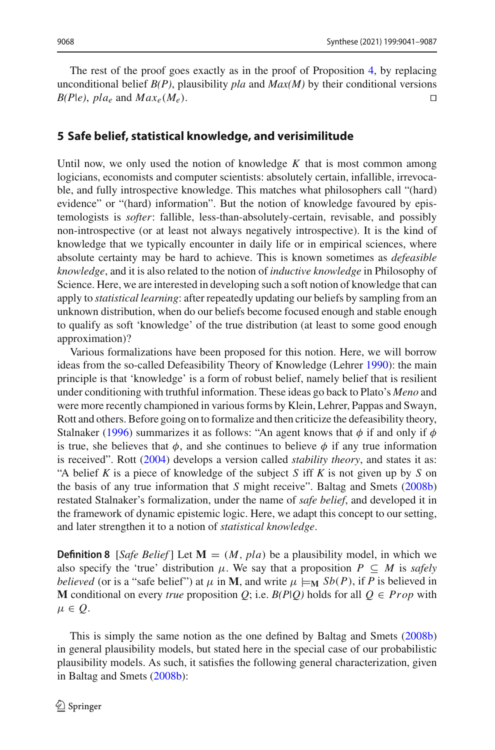The rest of the proof goes exactly as in the proof of Proposition [4,](#page-14-3) by replacing unconditional belief  $B(P)$ , plausibility *pla* and  $Max(M)$  by their conditional versions  $B(P|e)$ ,  $pla_e$  and  $Max_e(M_e)$ .

#### <span id="page-28-0"></span>**5 Safe belief, statistical knowledge, and verisimilitude**

Until now, we only used the notion of knowledge  $K$  that is most common among logicians, economists and computer scientists: absolutely certain, infallible, irrevocable, and fully introspective knowledge. This matches what philosophers call "(hard) evidence" or "(hard) information". But the notion of knowledge favoured by epistemologists is *softer*: fallible, less-than-absolutely-certain, revisable, and possibly non-introspective (or at least not always negatively introspective). It is the kind of knowledge that we typically encounter in daily life or in empirical sciences, where absolute certainty may be hard to achieve. This is known sometimes as *defeasible knowledge*, and it is also related to the notion of *inductive knowledge* in Philosophy of Science. Here, we are interested in developing such a soft notion of knowledge that can apply to *statistical learning*: after repeatedly updating our beliefs by sampling from an unknown distribution, when do our beliefs become focused enough and stable enough to qualify as soft 'knowledge' of the true distribution (at least to some good enough approximation)?

Various formalizations have been proposed for this notion. Here, we will borrow ideas from the so-called Defeasibility Theory of Knowledge (Lehre[r](#page-46-1) [1990\)](#page-46-1): the main principle is that 'knowledge' is a form of robust belief, namely belief that is resilient under conditioning with truthful information. These ideas go back to Plato's *Meno* and were more recently championed in various forms by Klein, Lehrer, Pappas and Swayn, Rott and others. Before going on to formalize and then criticize the defeasibility theory, Stalnake[r](#page-46-2) [\(1996](#page-46-2)) summarizes it as follows: "An agent knows that  $\phi$  if and only if  $\phi$ is true, she believes that  $\phi$ , and she continues to believe  $\phi$  if any true information is received". Rot[t](#page-46-3) [\(2004\)](#page-46-3) develops a version called *stability theory*, and states it as: "A belief *K* is a piece of knowledge of the subject *S* iff *K* is not given up by *S* on the basis of any true information that *S* might receive". Baltag and Smet[s](#page-45-4) [\(2008b\)](#page-45-4) restated Stalnaker's formalization, under the name of *safe belief*, and developed it in the framework of dynamic epistemic logic. Here, we adapt this concept to our setting, and later strengthen it to a notion of *statistical knowledge*.

**Definition 8** [*Safe Belief*] Let  $M = (M, pla)$  be a plausibility model, in which we also specify the 'true' distribution  $\mu$ . We say that a proposition  $P \subseteq M$  is *safely believed* (or is a "safe belief") at  $\mu$  in **M**, and write  $\mu \models_M Sb(P)$ , if P is believed in **M** conditional on every *true* proposition *Q*; i.e. *B*(*P*|*Q*) holds for all  $Q \in Prop$  with  $\mu \in O$ .

This is simply the same notion as the one defined by Baltag and Smet[s](#page-45-4) [\(2008b\)](#page-45-4) in general plausibility models, but stated here in the special case of our probabilistic plausibility models. As such, it satisfies the following general characterization, given in Baltag and Smet[s](#page-45-4) [\(2008b](#page-45-4)):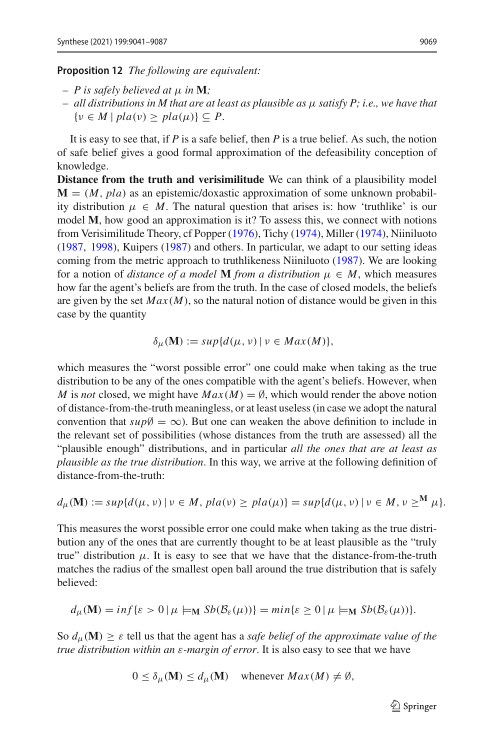#### <span id="page-29-0"></span>**Proposition 12** *The following are equivalent:*

- *P is safely believed at* μ *in* **M***;*
- *all distributions in M that are at least as plausible as* μ *satisfy P; i.e., we have that*  $\{v \in M \mid pla(v) \geq pla(\mu)\} \subseteq P.$

It is easy to see that, if *P* is a safe belief, then *P* is a true belief. As such, the notion of safe belief gives a good formal approximation of the defeasibility conception of knowledge.

**Distance from the truth and verisimilitude** We can think of a plausibility model  **as an epistemic/doxastic approximation of some unknown probabil**ity distribution  $\mu \in M$ . The natural question that arises is: how 'truthlike' is our model **M**, how good an approximation is it? To assess this, we connect with notions from Verisimilitude Theory, cf Poppe[r](#page-46-13) [\(1976\)](#page-46-13), Tich[y](#page-47-5) [\(1974\)](#page-47-5), Mille[r](#page-46-14) [\(1974](#page-46-14)), Niiniluot[o](#page-46-15) [\(1987,](#page-46-15) [1998](#page-46-16)), Kuiper[s](#page-46-17) [\(1987](#page-46-17)) and others. In particular, we adapt to our setting ideas coming from the metric approach to truthlikeness Niiniluot[o](#page-46-15) [\(1987\)](#page-46-15). We are looking for a notion of *distance of a model* **M** *from a distribution*  $\mu \in M$ , which measures how far the agent's beliefs are from the truth. In the case of closed models, the beliefs are given by the set  $Max(M)$ , so the natural notion of distance would be given in this case by the quantity

$$
\delta_{\mu}(\mathbf{M}) := sup\{d(\mu, \nu) \mid \nu \in Max(M)\},\
$$

which measures the "worst possible error" one could make when taking as the true distribution to be any of the ones compatible with the agent's beliefs. However, when *M* is *not* closed, we might have  $Max(M) = \emptyset$ , which would render the above notion of distance-from-the-truth meaningless, or at least useless (in case we adopt the natural convention that  $sup\emptyset = \infty$ ). But one can weaken the above definition to include in the relevant set of possibilities (whose distances from the truth are assessed) all the "plausible enough" distributions, and in particular *all the ones that are at least as plausible as the true distribution*. In this way, we arrive at the following definition of distance-from-the-truth:

$$
d_{\mu}(\mathbf{M}) := sup\{d(\mu, \nu) \mid \nu \in M, \, pla(\nu) \geq pla(\mu)\} = sup\{d(\mu, \nu) \mid \nu \in M, \, \nu \geq^{\mathbf{M}} \mu\}.
$$

This measures the worst possible error one could make when taking as the true distribution any of the ones that are currently thought to be at least plausible as the "truly true" distribution  $\mu$ . It is easy to see that we have that the distance-from-the-truth matches the radius of the smallest open ball around the true distribution that is safely believed:

$$
d_{\mu}(\mathbf{M}) = \inf \{ \varepsilon > 0 \, | \, \mu \models_{\mathbf{M}} Sb(\mathcal{B}_{\varepsilon}(\mu)) \} = \min \{ \varepsilon \ge 0 \, | \, \mu \models_{\mathbf{M}} Sb(\mathcal{B}_{\varepsilon}(\mu)) \}.
$$

So  $d_{\mu}(\mathbf{M}) \geq \varepsilon$  tell us that the agent has a *safe belief of the approximate value of the true distribution within an* ε*-margin of error*. It is also easy to see that we have

$$
0 \le \delta_{\mu}(\mathbf{M}) \le d_{\mu}(\mathbf{M}) \quad \text{whenever } Max(M) \ne \emptyset,
$$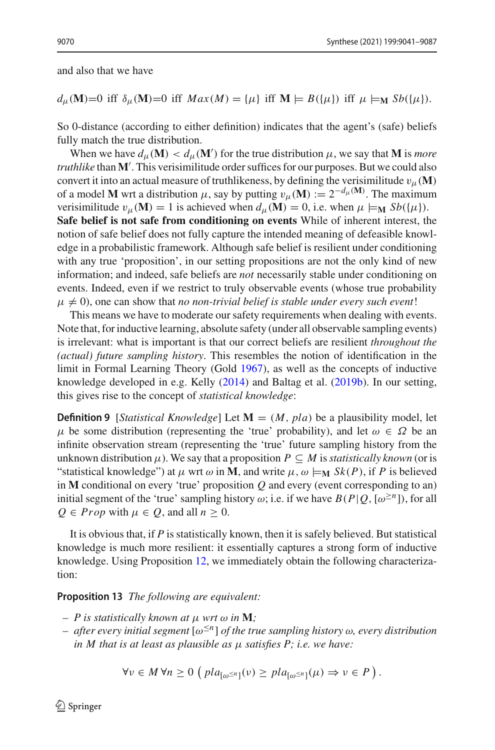and also that we have

#### $d_{\mu}(\mathbf{M})=0$  iff  $\delta_{\mu}(\mathbf{M})=0$  iff  $Max(M) = {\mu}$  iff  $\mathbf{M} \models B({\mu})$  iff  $\mu \models_{\mathbf{M}} Sb({\mu}).$

So 0-distance (according to either definition) indicates that the agent's (safe) beliefs fully match the true distribution.

When we have  $d_{\mu}(\mathbf{M}) < d_{\mu}(\mathbf{M}')$  for the true distribution  $\mu$ , we say that **M** is *more truthlike* than **M** . This verisimilitude order suffices for our purposes. But we could also convert it into an actual measure of truthlikeness, by defining the verisimilitude  $v_{\mu}(\mathbf{M})$ of a model **M** wrt a distribution  $\mu$ , say by putting  $v_{\mu}(\mathbf{M}) := 2^{-d_{\mu}(\mathbf{M})}$ . The maximum verisimilitude  $v_{\mu}(\mathbf{M}) = 1$  is achieved when  $d_{\mu}(\mathbf{M}) = 0$ , i.e. when  $\mu \models_{\mathbf{M}} Sb(\{\mu\})$ .

**Safe belief is not safe from conditioning on events** While of inherent interest, the notion of safe belief does not fully capture the intended meaning of defeasible knowledge in a probabilistic framework. Although safe belief is resilient under conditioning with any true 'proposition', in our setting propositions are not the only kind of new information; and indeed, safe beliefs are *not* necessarily stable under conditioning on events. Indeed, even if we restrict to truly observable events (whose true probability  $\mu \neq 0$ ), one can show that *no non-trivial belief is stable under every such event!* 

This means we have to moderate our safety requirements when dealing with events. Note that, for inductive learning, absolute safety (under all observable sampling events) is irrelevant: what is important is that our correct beliefs are resilient *throughout the (actual) future sampling history*. This resembles the notion of identification in the limit in Formal Learning Theory (Gol[d](#page-45-7) [1967\)](#page-45-7), as well as the concepts of inductive knowledge developed in e.g. Kell[y](#page-45-13) [\(2014\)](#page-45-13) and Baltag et al[.](#page-44-3) [\(2019b](#page-44-3)). In our setting, this gives rise to the concept of *statistical knowledge*:

**Definition 9** [*Statistical Knowledge*] Let  $M = (M, pla)$  be a plausibility model, let  $\mu$  be some distribution (representing the 'true' probability), and let  $\omega \in \Omega$  be an infinite observation stream (representing the 'true' future sampling history from the unknown distribution  $\mu$ ). We say that a proposition  $P \subseteq M$  is *statistically known* (or is "statistical knowledge") at  $\mu$  wrt  $\omega$  in **M**, and write  $\mu$ ,  $\omega \models_M Sk(P)$ , if P is believed in **M** conditional on every 'true' proposition *Q* and every (event corresponding to an) initial segment of the 'true' sampling history  $\omega$ ; i.e. if we have  $B(P|Q, [\omega^{\geq n}])$ , for all  $Q \in Prop$  with  $\mu \in Q$ , and all  $n > 0$ .

It is obvious that, if *P* is statistically known, then it is safely believed. But statistical knowledge is much more resilient: it essentially captures a strong form of inductive knowledge. Using Proposition [12,](#page-29-0) we immediately obtain the following characterization:

#### **Proposition 13** *The following are equivalent:*

- $P$  *is statistically known at*  $\mu$  *wrt*  $\omega$  *in* **M***;*
- *after every initial segment* [ω≤*n*] *of the true sampling history* <sup>ω</sup>*, every distribution in M that is at least as plausible as* μ *satisfies P; i.e. we have:*

$$
\forall v \in M \,\forall n \geq 0 \,\left(\, pla_{\left[\omega^{\leq n}\right]}(v) \geq pla_{\left[\omega^{\leq n}\right]}(\mu) \Rightarrow v \in P\,\right).
$$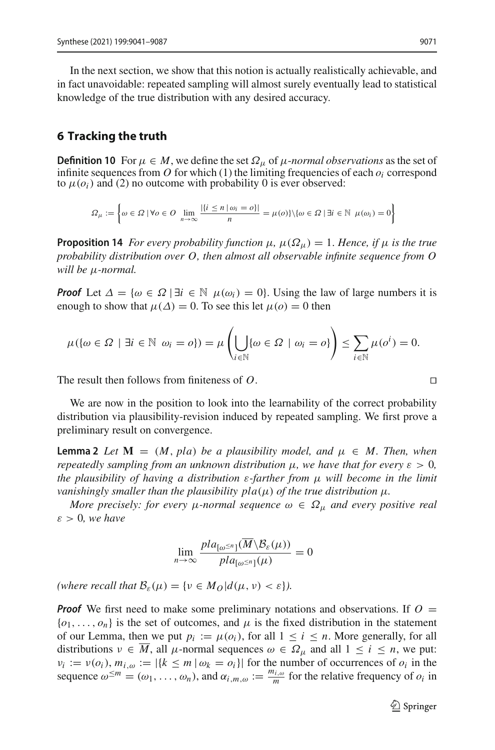In the next section, we show that this notion is actually realistically achievable, and in fact unavoidable: repeated sampling will almost surely eventually lead to statistical knowledge of the true distribution with any desired accuracy.

#### <span id="page-31-0"></span>**6 Tracking the truth**

**Definition 10** For  $\mu \in M$ , we define the set  $\Omega_{\mu}$  of  $\mu$ -*normal observations* as the set of infinite sequences from  $O$  for which (1) the limiting frequencies of each  $o_i$  correspond to  $\mu(o_i)$  and (2) no outcome with probability 0 is ever observed:

$$
\Omega_{\mu} := \left\{ \omega \in \Omega \mid \forall o \in O \ \lim_{n \to \infty} \frac{|\{i \leq n \mid \omega_i = o\}|}{n} = \mu(o) \} \setminus \{ \omega \in \Omega \mid \exists i \in \mathbb{N} \ \mu(\omega_i) = 0 \right\}
$$

**Proposition 14** *For every probability function*  $\mu$ ,  $\mu(\Omega_{\mu}) = 1$ . *Hence, if*  $\mu$  *is the true probability distribution over O, then almost all observable infinite sequence from O will be* μ*-normal.*

*Proof* Let  $\Delta = {\omega \in \Omega \mid \exists i \in \mathbb{N} \mu(\omega_i) = 0}$ . Using the law of large numbers it is enough to show that  $\mu(\Delta) = 0$ . To see this let  $\mu(o) = 0$  then

$$
\mu(\{\omega \in \Omega \mid \exists i \in \mathbb{N} \ \omega_i = o\}) = \mu\left(\bigcup_{i \in \mathbb{N}} \{\omega \in \Omega \mid \omega_i = o\}\right) \le \sum_{i \in \mathbb{N}} \mu(o^i) = 0.
$$

The result then follows from finiteness of *O*. 

We are now in the position to look into the learnability of the correct probability distribution via plausibility-revision induced by repeated sampling. We first prove a preliminary result on convergence.

**Lemma 2** *Let*  $M = (M, pla)$  *be a plausibility model, and*  $\mu \in M$ *. Then, when repeatedly sampling from an unknown distribution*  $\mu$ *, we have that for every*  $\varepsilon > 0$ *, the plausibility of having a distribution* ε*-farther from* μ *will become in the limit vanishingly smaller than the plausibility pla*( $\mu$ ) *of the true distribution*  $\mu$ *.* 

*More precisely: for every*  $\mu$ *-normal sequence*  $\omega \in \Omega_{\mu}$  *and every positive real*  $\varepsilon > 0$ *, we have* 

<span id="page-31-1"></span>
$$
\lim_{n\to\infty}\frac{pla_{[\omega^{\leq n}]}(M\setminus\mathcal{B}_{\varepsilon}(\mu))}{pla_{[\omega^{\leq n}]}(\mu)}=0
$$

*(where recall that*  $\mathcal{B}_{\varepsilon}(\mu) = \{v \in M_O | d(\mu, v) < \varepsilon\}$ ).

*Proof* We first need to make some preliminary notations and observations. If  $O =$  $\{o_1, \ldots, o_n\}$  is the set of outcomes, and  $\mu$  is the fixed distribution in the statement of our Lemma, then we put  $p_i := \mu(o_i)$ , for all  $1 \le i \le n$ . More generally, for all distributions  $v \in \overline{M}$ , all  $\mu$ -normal sequences  $\omega \in \Omega_{\mu}$  and all  $1 \le i \le n$ , we put:  $\nu_i := \nu(o_i)$ ,  $m_{i,\omega} := |\{k \leq m \mid \omega_k = o_i\}|$  for the number of occurrences of  $o_i$  in the sequence  $\omega^{\leq m} = (\omega_1, \dots, \omega_n)$ , and  $\alpha_{i,m,\omega} := \frac{m_{i,\omega}}{m}$  for the relative frequency of  $o_i$  in

$$
\Box
$$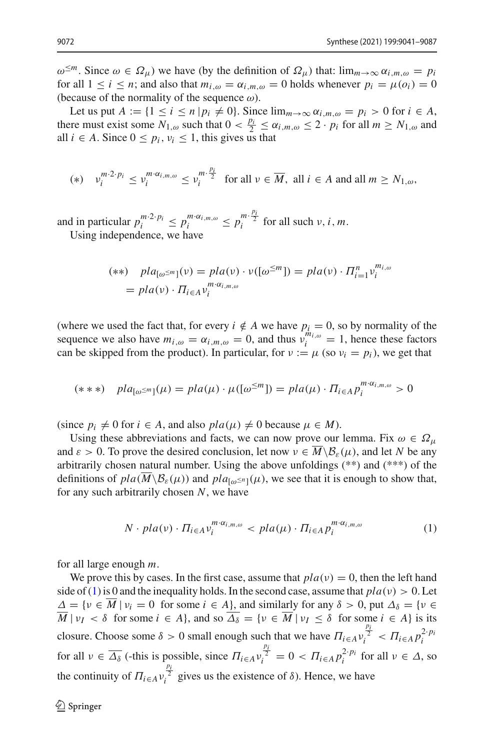$ω^{\leq m}$ . Since  $ω ∈ Ω<sub>μ</sub>$ ) we have (by the definition of  $Ω<sub>μ</sub>$ ) that: lim<sub>*m*→∞</sub>  $α<sub>i,m,ω</sub> = p<sub>i</sub>$ for all  $1 \le i \le n$ ; and also that  $m_{i,\omega} = \alpha_{i,m,\omega} = 0$  holds whenever  $p_i = \mu(o_i) = 0$ (because of the normality of the sequence  $\omega$ ).

Let us put  $A := \{1 \le i \le n | p_i \neq 0\}$ . Since  $\lim_{m \to \infty} \alpha_{i,m,\omega} = p_i > 0$  for  $i \in A$ , there must exist some  $N_{1,\omega}$  such that  $0 < \frac{p_i}{2} \le \alpha_{i,m,\omega} \le 2 \cdot p_i$  for all  $m \ge N_{1,\omega}$  and all  $i \in A$ . Since  $0 \leq p_i, v_i \leq 1$ , this gives us that

$$
(*) \quad \nu_i^{m \cdot 2 \cdot p_i} \le \nu_i^{m \cdot \alpha_{i,m,\omega}} \le \nu_i^{m \cdot \frac{p_i}{2}} \quad \text{for all } \nu \in \overline{M}, \text{ all } i \in A \text{ and all } m \ge N_{1,\omega},
$$

and in particular  $p_i^{m \cdot 2 \cdot p_i} \leq p_i^{m \cdot \alpha_{i,m,\omega}} \leq p_i^{m \cdot \frac{p_i}{2}}$  for all such  $\nu, i, m$ .

Using independence, we have

$$
(**) \quad pla_{[\omega^{\leq m}]}(v) = pla(v)\cdot v([\omega^{\leq m}]) = pla(v)\cdot \Pi_{i=1}^n v_i^{m_{i,\omega}}
$$

$$
= pla(v)\cdot \Pi_{i\in A}v_i^{m\cdot \alpha_{i,m,\omega}}
$$

(where we used the fact that, for every  $i \notin A$  we have  $p_i = 0$ , so by normality of the sequence we also have  $m_{i,\omega} = \alpha_{i,m,\omega} = 0$ , and thus  $v_i^{m_{i,\omega}} = 1$ , hence these factors can be skipped from the product). In particular, for  $v := \mu$  (so  $v_i = p_i$ ), we get that

$$
(***)\quad pla_{[\omega^{\leq m}]}(\mu)=pla(\mu)\cdot\mu([\omega^{\leq m}])=pla(\mu)\cdot\Pi_{i\in A}p_i^{m\cdot\alpha_{i,m,\omega}}>0
$$

(since  $p_i \neq 0$  for  $i \in A$ , and also  $pla(\mu) \neq 0$  because  $\mu \in M$ ).

Using these abbreviations and facts, we can now prove our lemma. Fix  $\omega \in \Omega_{\mu}$ and  $\varepsilon > 0$ . To prove the desired conclusion, let now  $v \in M \setminus \mathcal{B}_{\varepsilon}(\mu)$ , and let N be any arbitrarily chosen natural number. Using the above unfoldings (\*\*) and (\*\*\*) of the definitions of  $pla(M \setminus \mathcal{B}_{\varepsilon}(\mu))$  and  $pla_{[\omega] \leq n}(\mu)$ , we see that it is enough to show that, for any such arbitrarily chosen *N*, we have

<span id="page-32-0"></span>
$$
N \cdot pla(\nu) \cdot \Pi_{i \in A} \nu_i^{m \cdot \alpha_{i, m, \omega}} < pla(\mu) \cdot \Pi_{i \in A} p_i^{m \cdot \alpha_{i, m, \omega}} \tag{1}
$$

for all large enough *m*.

We prove this by cases. In the first case, assume that  $pla(v) = 0$ , then the left hand side of [\(1\)](#page-32-0) is 0 and the inequality holds. In the second case, assume that  $pla(\nu) > 0$ . Let  $\Delta = \{v \in \overline{M} \mid v_i = 0 \text{ for some } i \in A\}$ , and similarly for any  $\delta > 0$ , put  $\Delta_{\delta} = \{v \in \overline{M} \mid v_i = 0 \text{ for some } i \in A\}$  $\overline{M}$  |  $\nu_I < \delta$  for some  $i \in A$ }, and so  $\overline{\Delta_{\delta}} = {\nu \in \overline{M} \mid \nu_I \leq \delta}$  for some  $i \in A$ } is its closure. Choose some  $\delta > 0$  small enough such that we have  $\Pi_{i \in A} v_i^{\frac{p_i}{2}} < \Pi_{i \in A} p_i^{2 \cdot p_i}$ for all  $\nu \in \overline{\Delta_{\delta}}$  (-this is possible, since  $\Pi_{i \in A} v_i^{\frac{p_i}{2}} = 0 < \Pi_{i \in A} p_i^{2 \cdot p_i}$  for all  $\nu \in \Delta$ , so the continuity of  $\Pi_{i \in A} v_i^{\frac{p_i}{2}}$  gives us the existence of  $\delta$ ). Hence, we have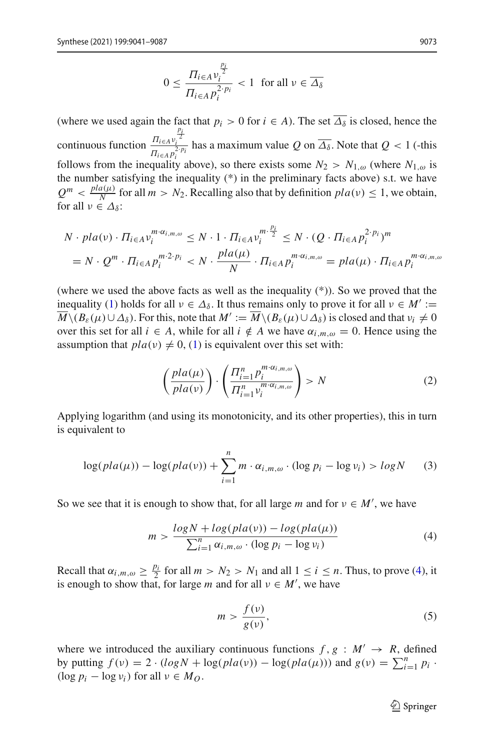$$
0 \le \frac{\prod_{i \in A} v_i^{\frac{p_i}{2}}}{\prod_{i \in A} p_i^{2 \cdot p_i}} < 1 \text{ for all } v \in \overline{\Delta_{\delta}}
$$

(where we used again the fact that  $p_i > 0$  for  $i \in A$ ). The set  $\overline{\Delta_{\delta}}$  is closed, hence the continuous function  $\frac{\Pi_{i\in A}v}{\pi}$ *pi* 2 *i*  $\frac{H_{\text{EAP}}}{\prod_{i\in A} p_i^2}$  has a maximum value *Q* on  $\Delta_{\delta}$ . Note that *Q* < 1 (-this follows from the inequality above), so there exists some  $N_2 > N_{1,\omega}$  (where  $N_{1,\omega}$  is the number satisfying the inequality (\*) in the preliminary facts above) s.t. we have  $Q^m < \frac{pla(\mu)}{N}$  for all  $m > N_2$ . Recalling also that by definition  $pla(\nu) \le 1$ , we obtain, for all  $\nu \in \Delta_{\delta}$ :

$$
N \cdot pla(v) \cdot \Pi_{i \in A} v_i^{m \cdot \alpha_{i,m,\omega}} \leq N \cdot 1 \cdot \Pi_{i \in A} v_i^{m \cdot \frac{p_i}{2}} \leq N \cdot (Q \cdot \Pi_{i \in A} p_i^{2 \cdot p_i})^m
$$
  
= 
$$
N \cdot Q^m \cdot \Pi_{i \in A} p_i^{m \cdot 2 \cdot p_i} < N \cdot \frac{pla(\mu)}{N} \cdot \Pi_{i \in A} p_i^{m \cdot \alpha_{i,m,\omega}} = pla(\mu) \cdot \Pi_{i \in A} p_i^{m \cdot \alpha_{i,m,\omega}}
$$

(where we used the above facts as well as the inequality (\*)). So we proved that the inequality [\(1\)](#page-32-0) holds for all  $v \in \Delta_{\delta}$ . It thus remains only to prove it for all  $v \in M' :=$  $\overline{M}\setminus (B_\varepsilon(\mu)\cup \Delta_\delta)$ . For this, note that  $M':=\overline{M}\setminus (B_\varepsilon(\mu)\cup \Delta_\delta)$  is closed and that  $v_i\neq 0$ over this set for all  $i \in A$ , while for all  $i \notin A$  we have  $\alpha_{i,m,\omega} = 0$ . Hence using the assumption that  $pla(v) \neq 0$ , [\(1\)](#page-32-0) is equivalent over this set with:

$$
\left(\frac{pla(\mu)}{pla(\nu)}\right) \cdot \left(\frac{\prod_{i=1}^{n} p_i^{m \cdot \alpha_{i,m,\omega}}}{\prod_{i=1}^{n} v_i^{m \cdot \alpha_{i,m,\omega}}}\right) > N
$$
\n(2)

Applying logarithm (and using its monotonicity, and its other properties), this in turn is equivalent to

$$
\log(pla(\mu)) - \log(pla(\nu)) + \sum_{i=1}^{n} m \cdot \alpha_{i,m,\omega} \cdot (\log p_i - \log \nu_i) > log N \qquad (3)
$$

So we see that it is enough to show that, for all large *m* and for  $v \in M'$ , we have

<span id="page-33-0"></span>
$$
m > \frac{\log N + \log(\text{pla}(v)) - \log(\text{pla}(\mu))}{\sum_{i=1}^{n} \alpha_{i,m,\omega} \cdot (\log p_i - \log v_i)}
$$
(4)

Recall that  $\alpha_{i,m,\omega} \ge \frac{p_i}{2}$  for all  $m > N_2 > N_1$  and all  $1 \le i \le n$ . Thus, to prove [\(4\)](#page-33-0), it is enough to show that, for large *m* and for all  $v \in M'$ , we have

<span id="page-33-1"></span>
$$
m > \frac{f(v)}{g(v)},\tag{5}
$$

where we introduced the auxiliary continuous functions  $f, g : M' \rightarrow R$ , defined by putting  $f(v) = 2 \cdot (\log N + \log(\text{pla}(v)) - \log(\text{pla}(\mu)))$  and  $g(v) = \sum_{i=1}^{n} p_i$ .  $(\log p_i - \log v_i)$  for all  $v \in M_O$ .

 $\mathcal{D}$  Springer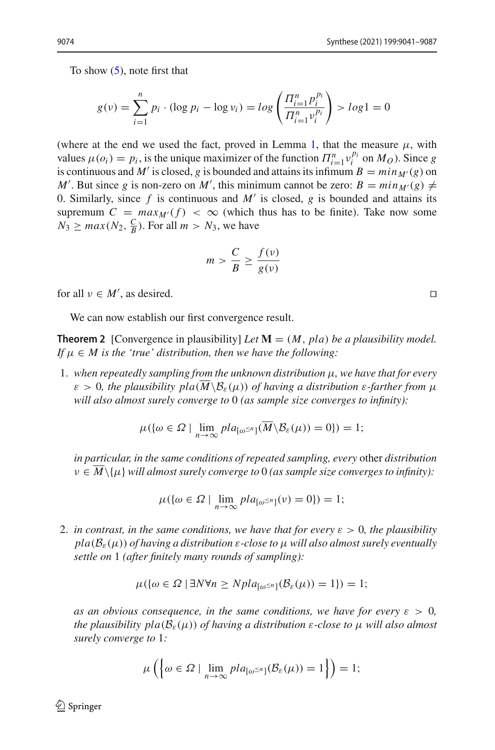To show [\(5\)](#page-33-1), note first that

$$
g(v) = \sum_{i=1}^{n} p_i \cdot (\log p_i - \log v_i) = \log \left( \frac{\prod_{i=1}^{n} p_i^{p_i}}{\prod_{i=1}^{n} v_i^{p_i}} \right) > \log 1 = 0
$$

(where at the end we used the fact, proved in Lemma [1,](#page-8-1) that the measure  $\mu$ , with values  $\mu(o_i) = p_i$ , is the unique maximizer of the function  $\Pi_{i=1}^n v_i^{p_i}$  on  $M_O$ ). Since *g* is continuous and *M*/ is closed as is been ded and attains its infigure *n* with  $\mu$  (c) and is continuous and *M'* is closed, *g* is bounded and attains its infimum  $B = min_{M'}(g)$  on *M*<sup> $\prime$ </sup>. But since *g* is non-zero on *M*<sup> $\prime$ </sup>, this minimum cannot be zero: *B* =  $min_{M'}(g) \neq$ 0. Similarly, since  $f$  is continuous and  $M'$  is closed,  $g$  is bounded and attains its supremum  $C = max_{M'}(f) < \infty$  (which thus has to be finite). Take now some  $N_3 \ge \max(N_2, \frac{C}{B})$ . For all  $m > N_3$ , we have

<span id="page-34-0"></span>
$$
m > \frac{C}{B} \ge \frac{f(v)}{g(v)}
$$

for all  $v \in M'$ , as desired.

We can now establish our first convergence result.

**Theorem 2** [Convergence in plausibility] *Let*  $M = (M, pla)$  *be a plausibility model. If*  $\mu \in M$  *is the 'true' distribution, then we have the following:* 

1. *when repeatedly sampling from the unknown distribution* μ*, we have that for every*  $\varepsilon > 0$ , the plausibility pla $(M\setminus B_{\varepsilon}(\mu))$  of having a distribution  $\varepsilon$ -farther from  $\mu$ *will also almost surely converge to* 0 *(as sample size converges to infinity):*

$$
\mu({\omega \in \Omega \mid \lim_{n \to \infty} \rho la_{[\omega^{\leq n}]}(M \backslash \mathcal{B}_{\varepsilon}(\mu)) = 0}) = 1;
$$

*in particular, in the same conditions of repeated sampling, every* other *distribution*  $v \in \overline{M} \setminus \{\mu\}$  will almost surely converge to 0 (as sample size converges to infinity):

$$
\mu({\omega \in \Omega \mid \lim_{n \to \infty} pla_{[\omega^{\leq n}]}(v) = 0}) = 1;
$$

2. *in contrast, in the same conditions, we have that for every*  $\varepsilon > 0$ *, the plausibility*  $pla(\mathcal{B}_{\varepsilon}(\mu))$  *of having a distribution*  $\varepsilon$ -close to  $\mu$  will also almost surely eventually *settle on* 1 *(after finitely many rounds of sampling):*

$$
\mu({\omega \in \Omega \mid \exists N \forall n \ge Npl}a_{\omega^{\le n}]}(\mathcal{B}_{\varepsilon}(\mu)) = 1) = 1;
$$

*as an obvious consequence, in the same conditions, we have for every*  $\varepsilon > 0$ , *the plausibility pla*( $B_{\varepsilon}(\mu)$ ) *of having a distribution*  $\varepsilon$ -close to  $\mu$  will also almost *surely converge to* 1*:*

$$
\mu\left(\left\{\omega \in \Omega \mid \lim_{n \to \infty} pla_{\left[\omega^{\leq n}\right]}(\mathcal{B}_{\varepsilon}(\mu)) = 1\right\}\right) = 1;
$$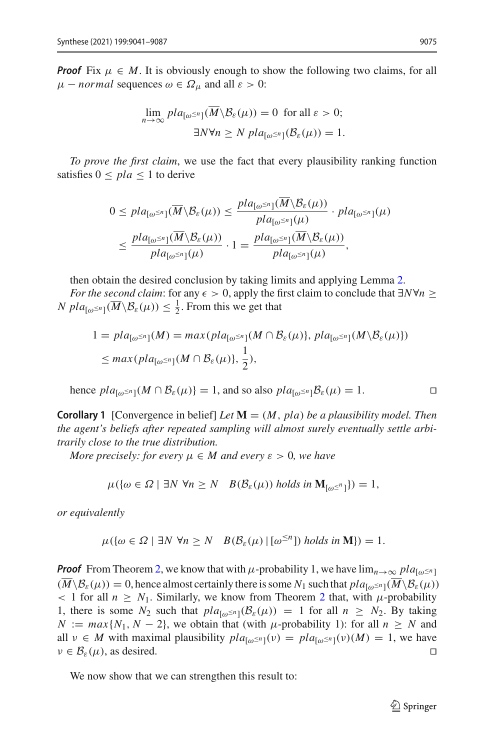*Proof* Fix  $\mu \in M$ . It is obviously enough to show the following two claims, for all  $\mu$  – *normal* sequences  $\omega \in \Omega_{\mu}$  and all  $\varepsilon > 0$ :

$$
\lim_{n \to \infty} pla_{\lbrack \omega^{\le n} \rbrack}(\overline{M} \backslash \mathcal{B}_{\varepsilon}(\mu)) = 0 \text{ for all } \varepsilon > 0;
$$
  

$$
\exists N \forall n \ge N \ pla_{\lbrack \omega^{\le n} \rbrack}(\mathcal{B}_{\varepsilon}(\mu)) = 1.
$$

*To prove the first claim*, we use the fact that every plausibility ranking function satisfies  $0 \leq pla \leq 1$  to derive

$$
0 \leq pla_{[\omega^{\leq n}]}(\overline{M} \setminus \mathcal{B}_{\varepsilon}(\mu)) \leq \frac{pla_{[\omega^{\leq n}]}(M \setminus \mathcal{B}_{\varepsilon}(\mu))}{pla_{[\omega^{\leq n}]}(\mu)} \cdot pla_{[\omega^{\leq n}]}(\mu)
$$

$$
\leq \frac{pla_{[\omega^{\leq n}]}(\overline{M} \setminus \mathcal{B}_{\varepsilon}(\mu))}{pla_{[\omega^{\leq n}]}(\mu)} \cdot 1 = \frac{pla_{[\omega^{\leq n}]}(\overline{M} \setminus \mathcal{B}_{\varepsilon}(\mu))}{pla_{[\omega^{\leq n}]}(\mu)},
$$

then obtain the desired conclusion by taking limits and applying Lemma [2.](#page-31-1)

*For the second claim*: for any  $\epsilon > 0$ , apply the first claim to conclude that  $\exists N \forall n \geq 1$  $N$   $pla_{\lbrack \omega^{\leq n}]}\left(\overline{M}\backslash\mathcal{B}_{\varepsilon}(\mu)\right) \leq \frac{1}{2}$ . From this we get that

$$
1 = pla_{[\omega^{\leq n}]}(M) = max(pla_{[\omega^{\leq n}]}(M \cap B_{\varepsilon}(\mu)), pla_{[\omega^{\leq n}]}(M \setminus B_{\varepsilon}(\mu)))
$$
  

$$
\leq max(pla_{[\omega^{\leq n}]}(M \cap B_{\varepsilon}(\mu)), \frac{1}{2}),
$$

hence  $pla_{\lceil \omega \leq n \rceil}(M \cap B_{\varepsilon}(\mu)) = 1$ , and so also  $pla_{\lceil \omega \leq n \rceil}B_{\varepsilon}(\mu) = 1$ .

<span id="page-35-0"></span>**Corollary 1** [Convergence in belief] *Let* **M** = (*M*, *pla*) *be a plausibility model. Then the agent's beliefs after repeated sampling will almost surely eventually settle arbitrarily close to the true distribution.*

*More precisely: for every*  $\mu \in M$  *and every*  $\varepsilon > 0$ *, we have* 

$$
\mu({\omega \in \Omega \mid \exists N \ \forall n \ge N} \quad B(\mathcal{B}_{\varepsilon}(\mu)) \ holds \ in \ \mathbf{M}_{[\omega^{\le n}]})) = 1,
$$

*or equivalently*

$$
\mu(\{\omega \in \Omega \mid \exists N \ \forall n \ge N \ B(\mathcal{B}_{\varepsilon}(\mu) \mid [\omega^{\le n}]) \ holds \ in \ \mathbf{M}\}) = 1.
$$

*Proof* From Theorem [2,](#page-34-0) we know that with  $\mu$ -probability 1, we have  $\lim_{n\to\infty}$   $pla_{\lceil \omega \leq n \rceil}$  $(\overline{M}\setminus\mathcal{B}_{\varepsilon}(\mu))=0$ , hence almost certainly there is some  $N_1$  such that  $pla_{[\omega \leq n]}(M\setminus\mathcal{B}_{\varepsilon}(\mu))$  $\langle 1 \rangle$  1 for all  $n \geq N_1$ . Similarly, we know from Theorem [2](#page-34-0) that, with  $\mu$ -probability 1, there is some  $N_2$  such that  $pla_{[\omega^{\leq n}]}(\mathcal{B}_{\varepsilon}(\mu)) = 1$  for all  $n \geq N_2$ . By taking  $N := max\{N_1, N - 2\}$ , we obtain that (with  $\mu$ -probability 1): for all  $n \geq N$  and all  $v \in M$  with maximal plausibility  $pla_{[\omega \le n]}(v) = pla_{[\omega \le n]}(v)(M) = 1$ , we have  $v \in B<sub>\varepsilon</sub>(\mu)$ , as desired.  $\nu \in \mathcal{B}_{\varepsilon}(\mu)$ , as desired.

<span id="page-35-1"></span>We now show that we can strengthen this result to: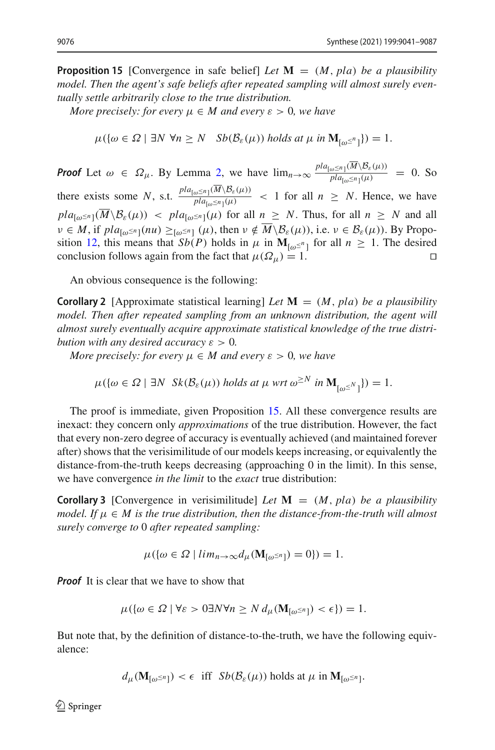**Proposition 15** [Convergence in safe belief] *Let*  $\mathbf{M} = (M, pla)$  *be a plausibility model. Then the agent's safe beliefs after repeated sampling will almost surely eventually settle arbitrarily close to the true distribution.*

*More precisely: for every*  $\mu \in M$  *and every*  $\varepsilon > 0$ *, we have* 

$$
\mu(\{\omega \in \Omega \mid \exists N \ \forall n \ge N \ \ Sb(\mathcal{B}_{\varepsilon}(\mu)) \ holds \ at \ \mu \ in \ \mathbf{M}_{[\omega^{\le n}]} \}) = 1.
$$

*Proof* Let  $\omega \in \Omega_{\mu}$ . By Lemma [2,](#page-31-1) we have  $\lim_{n\to\infty} \frac{pla_{[\omega \leq n]}(M\setminus B_{\varepsilon}(\mu))}{pla_{[\omega \leq n]}(\mu)} = 0$ . So there exists some *N*, s.t.  $\frac{pla_{[\omega \le n]}(M \setminus B_{\varepsilon}(\mu))}{pla_{[\omega \le n]}(\mu)} < 1$  for all  $n \ge N$ . Hence, we have  $pla_{\lceil \omega \leq n \rceil}(\overline{M} \backslash \mathcal{B}_{\varepsilon}(\mu))$  <  $pla_{\lceil \omega \leq n \rceil}(\mu)$  for all  $n \geq N$ . Thus, for all  $n \geq N$  and all  $v \in M$ , if  $pla_{\lceil \omega \leq n \rceil}(nu) \geq_{\lceil \omega \leq n \rceil} (\mu)$ , then  $v \notin \overline{M} \backslash \mathcal{B}_{\varepsilon}(\mu)$ , i.e.  $v \in \mathcal{B}_{\varepsilon}(\mu)$ ). By Propo-sition [12,](#page-29-0) this means that *Sb*(*P*) holds in  $\mu$  in  $\mathbf{M}_{[\omega^{\leq n}]}$  for all  $n \geq 1$ . The desired conclusion follows again from the fact that  $\mu(\Omega_n) = 1$ . conclusion follows again from the fact that  $\mu(\Omega_{\mu}) = 1$ .

<span id="page-36-0"></span>An obvious consequence is the following:

**Corollary 2** [Approximate statistical learning] *Let*  $\mathbf{M} = (M, pla)$  *be a plausibility model. Then after repeated sampling from an unknown distribution, the agent will almost surely eventually acquire approximate statistical knowledge of the true distribution with any desired accuracy*  $\varepsilon > 0$ *.* 

*More precisely: for every*  $\mu \in M$  *and every*  $\varepsilon > 0$ *, we have* 

$$
\mu(\{\omega \in \Omega \mid \exists N \ \ Sk(\mathcal{B}_{\varepsilon}(\mu)) \ holds \ at \ \mu \ \ \text{wrt} \ \omega^{\geq N} \ \text{in} \ \mathbf{M}_{\{\omega^{\leq N}\}}\}) = 1.
$$

The proof is immediate, given Proposition [15.](#page-35-1) All these convergence results are inexact: they concern only *approximations* of the true distribution. However, the fact that every non-zero degree of accuracy is eventually achieved (and maintained forever after) shows that the verisimilitude of our models keeps increasing, or equivalently the distance-from-the-truth keeps decreasing (approaching 0 in the limit). In this sense, we have convergence *in the limit* to the *exact* true distribution:

**Corollary 3** [Convergence in verisimilitude] Let  $\mathbf{M} = (M, pla)$  be a plausibility *model. If*  $\mu \in M$  *is the true distribution, then the distance-from-the-truth will almost surely converge to* 0 *after repeated sampling:*

$$
\mu({\omega \in \Omega \mid \lim_{n \to \infty}}d_{\mu}(\mathbf{M}_{[\omega^{\leq n}]}) = 0}) = 1.
$$

*Proof* It is clear that we have to show that

$$
\mu(\{\omega \in \Omega \mid \forall \varepsilon > 0 \exists N \forall n \ge N d_{\mu}(\mathbf{M}_{[\omega^{\le n}]}) < \epsilon\}) = 1.
$$

But note that, by the definition of distance-to-the-truth, we have the following equivalence:

$$
d_{\mu}(\mathbf{M}_{[\omega^{\leq n}]}) < \epsilon \text{ iff } Sb(\mathcal{B}_{\varepsilon}(\mu)) \text{ holds at } \mu \text{ in } \mathbf{M}_{[\omega^{\leq n}]}.
$$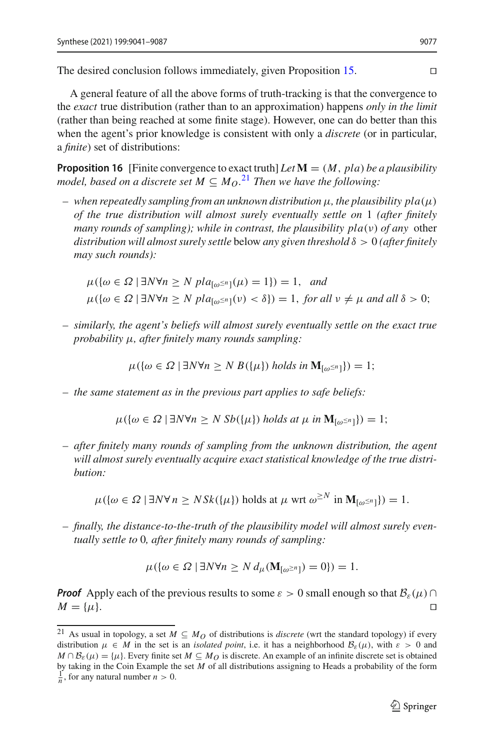The desired conclusion follows immediately, given Proposition [15.](#page-35-1) 

A general feature of all the above forms of truth-tracking is that the convergence to the *exact* true distribution (rather than to an approximation) happens *only in the limit* (rather than being reached at some finite stage). However, one can do better than this when the agent's prior knowledge is consistent with only a *discrete* (or in particular, a *finite*) set of distributions:

**Proposition 16** [Finite convergence to exact truth] Let  $M = (M, pla)$  be a plausibility *model, based on a discrete set M*  $\subseteq$  *M* $_0$ .<sup>[21](#page-37-0)</sup> *Then we have the following:* 

 $-\nu$  when repeatedly sampling from an unknown distribution  $\mu$ , the plausibility pla $(\mu)$ *of the true distribution will almost surely eventually settle on* 1 *(after finitely many rounds of sampling); while in contrast, the plausibility pla(ν) of any* other *distribution will almost surely settle* below *any given threshold* δ > 0 *(after finitely may such rounds):*

$$
\mu({\omega \in \Omega \mid \exists N \forall n \ge N \text{ pla}_{\omega^{\le n}}(\mu) = 1}) = 1, \text{ and}
$$
  

$$
\mu({\omega \in \Omega \mid \exists N \forall n \ge N \text{ pla}_{\omega^{\le n}}(\nu) < \delta}) = 1, \text{ for all } \nu \ne \mu \text{ and all } \delta > 0;
$$

*– similarly, the agent's beliefs will almost surely eventually settle on the exact true probability* μ*, after finitely many rounds sampling:*

 $\mu(\{\omega \in \Omega \mid \exists N \forall n \ge N \ B(\{\mu\}) \ holds \ in \ \mathbf{M}_{\{\omega^{\le n}\}}\}) = 1;$ 

*– the same statement as in the previous part applies to safe beliefs:*

$$
\mu({\omega \in \Omega \mid \exists N \forall n \ge N \text{ } Sb(\{\mu\}) \text{ holds at } \mu \text{ in } \mathbf{M}_{[\omega^{\le n}]}) = 1};
$$

*– after finitely many rounds of sampling from the unknown distribution, the agent will almost surely eventually acquire exact statistical knowledge of the true distribution:*

 $\mu({\omega \in \Omega \mid \exists N \forall n \geq N Sk({\{\mu\}}))$  holds at  $\mu$  wrt  $\omega^{\geq N}$  in  $\mathbf{M}_{\{\omega^{\leq n}\}}$ ) = 1.

*– finally, the distance-to-the-truth of the plausibility model will almost surely eventually settle to* 0*, after finitely many rounds of sampling:*

$$
\mu(\{\omega \in \Omega \mid \exists N \forall n \ge N d_{\mu}(\mathbf{M}_{[\omega^{\ge n}]}) = 0\}) = 1.
$$

*Proof* Apply each of the previous results to some  $\varepsilon > 0$  small enough so that  $B_{\varepsilon}(\mu) \cap M = {\mu}$ .  $M = {\mu}.$ 

<span id="page-37-0"></span><sup>&</sup>lt;sup>21</sup> As usual in topology, a set  $M \subseteq M_O$  of distributions is *discrete* (wrt the standard topology) if every distribution  $\mu \in M$  in the set is an *isolated point*, i.e. it has a neighborhood  $\mathcal{B}_{\varepsilon}(\mu)$ , with  $\varepsilon > 0$  and  $M \cap B_{\varepsilon}(\mu) = {\mu}.$  Every finite set  $M \subseteq M_O$  is discrete. An example of an infinite discrete set is obtained by taking in the Coin Example the set *<sup>M</sup>* of all distributions assigning to Heads a probability of the form <sup>1</sup>  $\frac{1}{n}$ , for any natural number  $n > 0$ .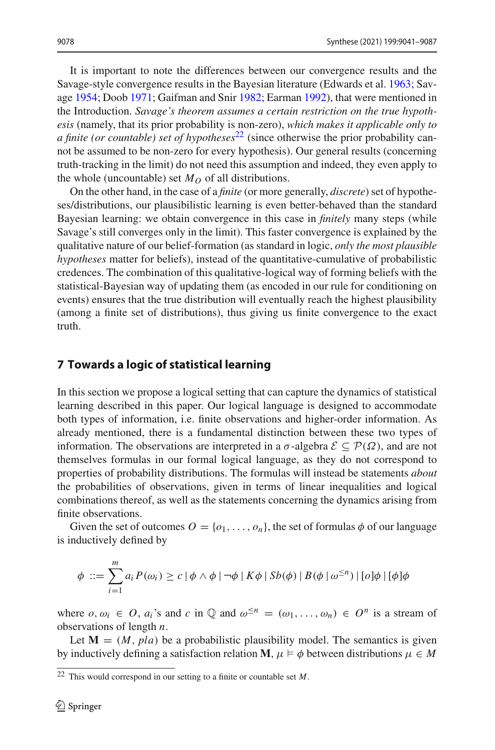It is important to note the differences between our convergence results and the Savage-style convergence results in the Bayesian literature (Edwards et al[.](#page-45-8) [1963](#page-45-8); Savag[e](#page-46-4) [1954;](#page-46-4) Doo[b](#page-45-19) [1971](#page-45-19); Gaifman and Sni[r](#page-45-5) [1982](#page-45-5); Earma[n](#page-45-20) [1992\)](#page-45-20), that were mentioned in the Introduction. *Savage's theorem assumes a certain restriction on the true hypothesis* (namely, that its prior probability is non-zero), *which makes it applicable only to a finite (or countable) set of hypotheses*<sup>[22](#page-38-1)</sup> (since otherwise the prior probability cannot be assumed to be non-zero for every hypothesis). Our general results (concerning truth-tracking in the limit) do not need this assumption and indeed, they even apply to the whole (uncountable) set  $M<sub>O</sub>$  of all distributions.

On the other hand, in the case of a *finite* (or more generally, *discrete*) set of hypotheses/distributions, our plausibilistic learning is even better-behaved than the standard Bayesian learning: we obtain convergence in this case in *finitely* many steps (while Savage's still converges only in the limit). This faster convergence is explained by the qualitative nature of our belief-formation (as standard in logic, *only the most plausible hypotheses* matter for beliefs), instead of the quantitative-cumulative of probabilistic credences. The combination of this qualitative-logical way of forming beliefs with the statistical-Bayesian way of updating them (as encoded in our rule for conditioning on events) ensures that the true distribution will eventually reach the highest plausibility (among a finite set of distributions), thus giving us finite convergence to the exact truth.

#### <span id="page-38-0"></span>**7 Towards a logic of statistical learning**

In this section we propose a logical setting that can capture the dynamics of statistical learning described in this paper. Our logical language is designed to accommodate both types of information, i.e. finite observations and higher-order information. As already mentioned, there is a fundamental distinction between these two types of information. The observations are interpreted in a  $\sigma$ -algebra  $\mathcal{E} \subset \mathcal{P}(\Omega)$ , and are not themselves formulas in our formal logical language, as they do not correspond to properties of probability distributions. The formulas will instead be statements *about* the probabilities of observations, given in terms of linear inequalities and logical combinations thereof, as well as the statements concerning the dynamics arising from finite observations.

Given the set of outcomes  $O = \{o_1, \ldots, o_n\}$ , the set of formulas  $\phi$  of our language is inductively defined by

$$
\phi ::= \sum_{i=1}^{m} a_i P(\omega_i) \ge c | \phi \wedge \phi | \neg \phi | K\phi | Sb(\phi) | B(\phi | \omega^{\le n}) | [\phi] \phi | [\phi] \phi
$$

where  $o, \omega_i \in O$ ,  $a_i$ 's and  $c$  in  $\mathbb Q$  and  $\omega^{\leq n} = (\omega_1, \ldots, \omega_n) \in O^n$  is a stream of observations of length *n*.

Let  $M = (M, pla)$  be a probabilistic plausibility model. The semantics is given by inductively defining a satisfaction relation **M**,  $\mu \models \phi$  between distributions  $\mu \in M$ 

<span id="page-38-1"></span><sup>22</sup> This would correspond in our setting to a finite or countable set *M*.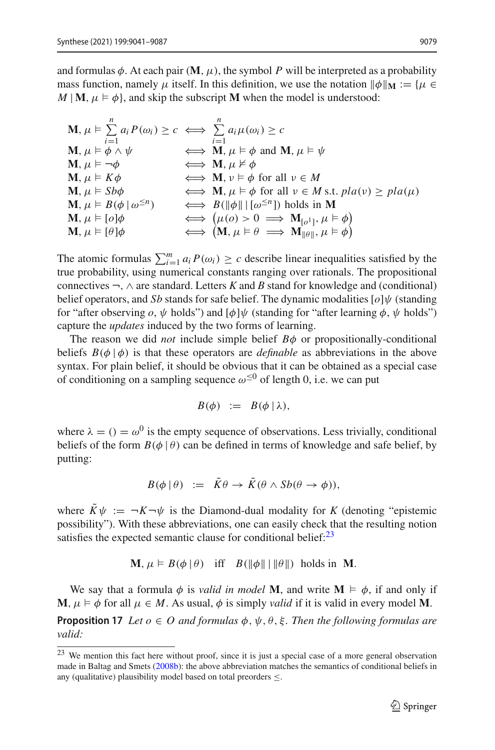and formulas  $\phi$ . At each pair  $(M, \mu)$ , the symbol *P* will be interpreted as a probability mass function, namely  $\mu$  itself. In this definition, we use the notation  $\|\phi\|_{\mathbf{M}} := {\mu \in \mathbb{N}}$  $M \mid \mathbf{M}, \mu \models \phi$ , and skip the subscript **M** when the model is understood:

$$
\mathbf{M}, \mu \vDash \sum_{i=1}^{n} a_i P(\omega_i) \ge c \iff \sum_{i=1}^{n} a_i \mu(\omega_i) \ge c
$$
\n
$$
\mathbf{M}, \mu \vDash \phi \land \psi \iff \mathbf{M}, \mu \vDash \phi \text{ and } \mathbf{M}, \mu \vDash \psi
$$
\n
$$
\mathbf{M}, \mu \vDash \neg \phi \iff \mathbf{M}, \mu \nvDash \phi \text{ and } \mathbf{M}, \mu \vDash \psi
$$
\n
$$
\mathbf{M}, \mu \vDash K\phi \iff \mathbf{M}, \nu \vDash \phi \text{ for all } \nu \in M
$$
\n
$$
\mathbf{M}, \mu \vDash Sb\phi \iff \mathbf{M}, \mu \vDash \phi \text{ for all } \nu \in M \text{ s.t. } pla(\nu) \ge pla(\mu)
$$
\n
$$
\mathbf{M}, \mu \vDash B(\phi \mid \omega^{\le n}) \iff B(\|\phi\| \mid [\omega^{\le n}]) \text{ holds in } \mathbf{M}
$$
\n
$$
\mathbf{M}, \mu \vDash [o]\phi \iff (\mu(o) > 0 \implies \mathbf{M}_{[o^1]}, \mu \vDash \phi)
$$
\n
$$
\mathbf{M}, \mu \vDash [\theta]\phi \iff (\mathbf{M}, \mu \vDash \theta \implies \mathbf{M}_{\|\theta\|}, \mu \vDash \phi)
$$

The atomic formulas  $\sum_{i=1}^{m} a_i P(\omega_i) \ge c$  describe linear inequalities satisfied by the true probability, using numerical constants ranging over rationals. The propositional connectives ¬, ∧ are standard. Letters *K* and *B* stand for knowledge and (conditional) belief operators, and *Sb* stands for safe belief. The dynamic modalities [*o*]ψ (standing for "after observing  $o, \psi$  holds") and  $[\phi]\psi$  (standing for "after learning  $\phi, \psi$  holds") capture the *updates* induced by the two forms of learning.

The reason we did *not* include simple belief  $B\phi$  or propositionally-conditional beliefs  $B(\phi | \phi)$  is that these operators are *definable* as abbreviations in the above syntax. For plain belief, it should be obvious that it can be obtained as a special case of conditioning on a sampling sequence  $\omega^{\leq 0}$  of length 0, i.e. we can put

$$
B(\phi) \ := \ B(\phi \,|\, \lambda),
$$

where  $\lambda = (x) = \omega^0$  is the empty sequence of observations. Less trivially, conditional beliefs of the form  $B(\phi | \theta)$  can be defined in terms of knowledge and safe belief, by putting:

$$
B(\phi | \theta) := \tilde{K}\theta \to \tilde{K}(\theta \wedge Sb(\theta \to \phi)),
$$

where  $\tilde{K}\psi := -K - \psi$  is the Diamond-dual modality for *K* (denoting "epistemic possibility"). With these abbreviations, one can easily check that the resulting notion satisfies the expected semantic clause for conditional belief: $2<sup>3</sup>$ 

$$
\mathbf{M}, \mu \models B(\phi \mid \theta) \quad \text{iff} \quad B(\|\phi\| \mid \|\theta\|) \text{ holds in } \mathbf{M}.
$$

We say that a formula  $\phi$  is *valid in model* **M**, and write **M**  $\models$   $\phi$ , if and only if **M**,  $\mu \models \phi$  for all  $\mu \in M$ . As usual,  $\phi$  is simply *valid* if it is valid in every model **M**.

**Proposition 17** *Let*  $o \in O$  *and formulas*  $\phi, \psi, \theta, \xi$ *. Then the following formulas are valid:*

<span id="page-39-0"></span><sup>&</sup>lt;sup>23</sup> We mention this fact here without proof, since it is just a special case of a more general observation made in Baltag and Smet[s](#page-45-4) [\(2008b](#page-45-4)): the above abbreviation matches the semantics of conditional beliefs in any (qualitative) plausibility model based on total preorders  $\leq$ .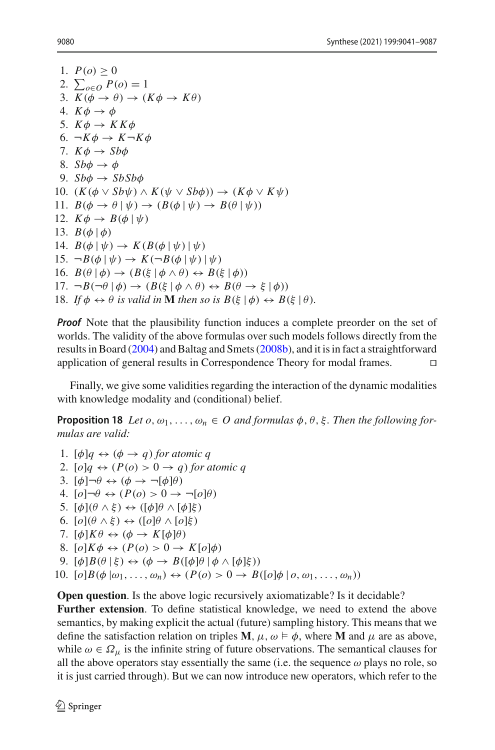1.  $P(o) > 0$ 2.  $\sum_{o \in O} P(o) = 1$ 3.  $K(\phi \rightarrow \theta) \rightarrow (K\phi \rightarrow K\theta)$ 4.  $K\phi \rightarrow \phi$ 5.  $K\phi \rightarrow K K \phi$ 6.  $\neg K\phi \rightarrow K \neg K\phi$ 7.  $K\phi \rightarrow Sb\phi$ 8. *Sb* $\phi \rightarrow \phi$ 9.  $Sb\phi \rightarrow SbSb\phi$ 10.  $(K(\phi \vee S\phi\psi) \wedge K(\psi \vee S\phi\phi)) \rightarrow (K\phi \vee K\psi)$ 11.  $B(\phi \rightarrow \theta | \psi) \rightarrow (B(\phi | \psi) \rightarrow B(\theta | \psi))$ 12.  $K\phi \rightarrow B(\phi | \psi)$ 13.  $B(\phi | \phi)$ 14.  $B(\phi | \psi) \rightarrow K(B(\phi | \psi) | \psi)$ 15.  $\neg B(\phi | \psi) \rightarrow K(\neg B(\phi | \psi) | \psi)$ 16.  $B(\theta | \phi) \rightarrow (B(\xi | \phi \land \theta) \leftrightarrow B(\xi | \phi))$ 17.  $\neg B(\neg \theta | \phi) \rightarrow (B(\xi | \phi \land \theta) \leftrightarrow B(\theta \rightarrow \xi | \phi))$ 18. *If*  $\phi \leftrightarrow \theta$  *is valid in* **M** *then so is*  $B(\xi | \phi) \leftrightarrow B(\xi | \theta)$ *.* 

*Proof* Note that the plausibility function induces a complete preorder on the set of worlds. The validity of the above formulas over such models follows directly from the results in Boar[d](#page-45-3) [\(2004\)](#page-45-3) and Baltag and Smet[s](#page-45-4) [\(2008b\)](#page-45-4), and it is in fact a straightforward application of general results in Correspondence Theory for modal frames. 

Finally, we give some validities regarding the interaction of the dynamic modalities with knowledge modality and (conditional) belief.

**Proposition 18** *Let*  $o, \omega_1, \ldots, \omega_n \in O$  *and formulas*  $\phi, \theta, \xi$ *. Then the following formulas are valid:*

1.  $[\phi]q \leftrightarrow (\phi \rightarrow q)$  *for atomic q* 2.  $[o]q \leftrightarrow (P(o) > 0 \rightarrow q)$  *for atomic q* 3.  $[\phi] \neg \theta \leftrightarrow (\phi \rightarrow \neg [\phi] \theta)$ 4.  $\left[0\right]\neg\theta \leftrightarrow \left(P(0) > 0 \rightarrow \neg\left[0\right]\theta\right)$ 5.  $[\phi](\theta \wedge \xi) \leftrightarrow ([\phi]\theta \wedge [\phi]\xi)$ 6.  $[o](\theta \wedge \xi) \leftrightarrow ([o]\theta \wedge [o]\xi)$ 7.  $[\phi]K\theta \leftrightarrow (\phi \rightarrow K[\phi]\theta)$ 8.  $[o]K\phi \leftrightarrow (P(o) > 0 \rightarrow K[o]\phi)$ 9.  $\lbrack \phi \rbrack B(\theta \rbrack \xi) \leftrightarrow (\phi \rightarrow B(\lbrack \phi \rbrack \theta \rbrack \phi \wedge \lbrack \phi \rbrack \xi))$ 10.  $\lbrack \rho \rbrack B(\phi \rbrack \omega_1, \ldots, \omega_n) \leftrightarrow (P(\rho) > 0 \rightarrow B(\lbrack \rho \rbrack \phi \rbrack \rho, \omega_1, \ldots, \omega_n))$ 

**Open question**. Is the above logic recursively axiomatizable? Is it decidable? **Further extension**. To define statistical knowledge, we need to extend the above semantics, by making explicit the actual (future) sampling history. This means that we define the satisfaction relation on triples **M**,  $\mu$ ,  $\omega \models \phi$ , where **M** and  $\mu$  are as above, while  $\omega \in \Omega_{\mu}$  is the infinite string of future observations. The semantical clauses for all the above operators stay essentially the same (i.e. the sequence  $\omega$  plays no role, so it is just carried through). But we can now introduce new operators, which refer to the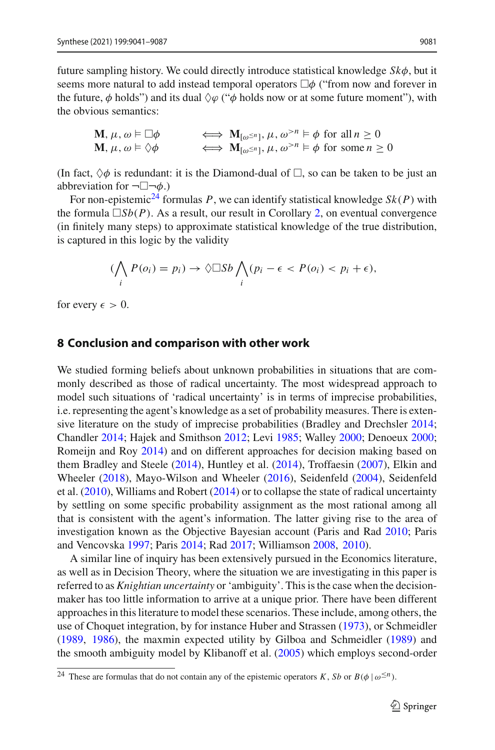future sampling history. We could directly introduce statistical knowledge *Sk*φ, but it seems more natural to add instead temporal operators  $\Box \phi$  ("from now and forever in the future,  $\phi$  holds") and its dual  $\Diamond \varphi$  (" $\phi$  holds now or at some future moment"), with the obvious semantics:

$$
\mathbf{M}, \mu, \omega \vDash \Box \phi \iff \mathbf{M}_{[\omega^{\le n}]}, \mu, \omega^{>n} \vDash \phi \text{ for all } n \ge 0
$$
  

$$
\mathbf{M}, \mu, \omega \vDash \Diamond \phi \iff \mathbf{M}_{[\omega^{\le n}]}, \mu, \omega^{>n} \vDash \phi \text{ for some } n \ge 0
$$

(In fact,  $\Diamond \phi$  is redundant: it is the Diamond-dual of  $\Box$ , so can be taken to be just an abbreviation for  $\neg \Box \neg \phi$ .)

For non-epistemic<sup>24</sup> formulas *P*, we can identify statistical knowledge  $Sk(P)$  with the formula  $\Box Sb(P)$ . As a result, our result in Corollary [2,](#page-36-0) on eventual convergence (in finitely many steps) to approximate statistical knowledge of the true distribution, is captured in this logic by the validity

$$
(\bigwedge_i P(o_i) = p_i) \to \Diamond \Box Sb \bigwedge_i (p_i - \epsilon < P(o_i) < p_i + \epsilon),
$$

for every  $\epsilon > 0$ .

#### <span id="page-41-0"></span>**8 Conclusion and comparison with other work**

We studied forming beliefs about unknown probabilities in situations that are commonly described as those of radical uncertainty. The most widespread approach to model such situations of 'radical uncertainty' is in terms of imprecise probabilities, i.e. representing the agent's knowledge as a set of probability measures. There is extensive literature on the study of imprecise probabilities (Bradley and Drechsle[r](#page-45-21) [2014](#page-45-21); Chandle[r](#page-45-22) [2014;](#page-45-22) Hajek and Smithso[n](#page-45-23) [2012](#page-45-23); Lev[i](#page-46-18) [1985](#page-46-18); Walle[y](#page-47-6) [2000](#page-47-6); Denoeu[x](#page-45-24) [2000](#page-45-24); Romeijn and Ro[y](#page-46-19) [2014](#page-46-19)) and on different approaches for decision making based on them Bradley and Steel[e](#page-45-25) [\(2014\)](#page-45-25), Huntley et al[.](#page-45-26) [\(2014\)](#page-45-26), Troffaesi[n](#page-47-7) [\(2007\)](#page-47-7), Elkin and Wheele[r](#page-45-27) [\(2018](#page-45-27)), Mayo-Wilson and Wheele[r](#page-46-20) [\(2016](#page-46-20)), Seidenfel[d](#page-46-21) [\(2004](#page-46-21)), Seidenfeld et al[.](#page-46-22) [\(2010\)](#page-46-22), Williams and Rober[t](#page-47-8) [\(2014](#page-47-8)) or to collapse the state of radical uncertainty by settling on some specific probability assignment as the most rational among all that is consistent with the agent's information. The latter giving rise to the area of investigation known as the Objective Bayesian account (Paris and Ra[d](#page-46-23) [2010](#page-46-23); Paris and Vencovsk[a](#page-46-12) [1997](#page-46-12); Pari[s](#page-46-24) [2014](#page-46-24); Ra[d](#page-46-25) [2017](#page-46-25); Williamso[n](#page-47-9) [2008,](#page-47-9) [2010](#page-47-10)).

A similar line of inquiry has been extensively pursued in the Economics literature, as well as in Decision Theory, where the situation we are investigating in this paper is referred to as *Knightian uncertainty* or 'ambiguity'. This is the case when the decisionmaker has too little information to arrive at a unique prior. There have been different approaches in this literature to model these scenarios. These include, among others, the use of Choquet integration, by for instance Huber and Strasse[n](#page-45-28) [\(1973](#page-45-28)), or Schmeidle[r](#page-46-26) [\(1989,](#page-46-26) [1986\)](#page-46-27), the maxmin expected utility by Gilboa and Schmeidle[r](#page-45-29) [\(1989](#page-45-29)) and the smooth ambiguity model by Klibanoff et al[.](#page-46-28) [\(2005\)](#page-46-28) which employs second-order

<span id="page-41-1"></span><sup>&</sup>lt;sup>24</sup> These are formulas that do not contain any of the epistemic operators *K*, *Sb* or  $B(\phi \mid \omega^{\leq n})$ .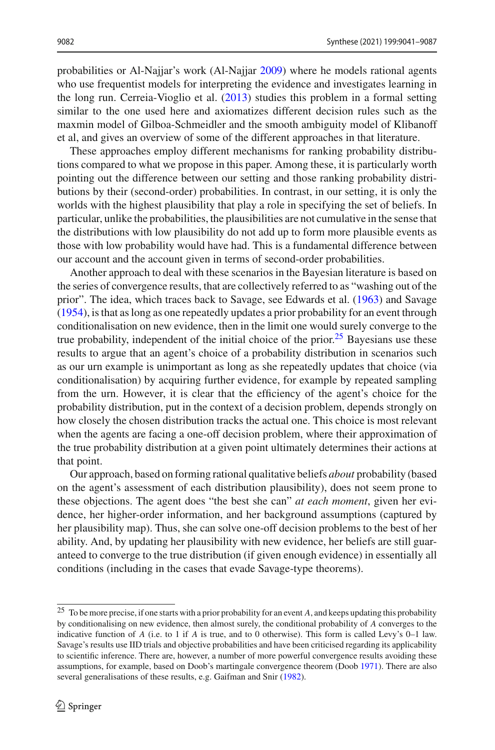probabilities or Al-Najjar's work (Al-Najja[r](#page-44-4) [2009\)](#page-44-4) where he models rational agents who use frequentist models for interpreting the evidence and investigates learning in the long run. Cerreia-Vioglio et al[.](#page-45-0) [\(2013\)](#page-45-0) studies this problem in a formal setting similar to the one used here and axiomatizes different decision rules such as the maxmin model of Gilboa-Schmeidler and the smooth ambiguity model of Klibanoff et al, and gives an overview of some of the different approaches in that literature.

These approaches employ different mechanisms for ranking probability distributions compared to what we propose in this paper. Among these, it is particularly worth pointing out the difference between our setting and those ranking probability distributions by their (second-order) probabilities. In contrast, in our setting, it is only the worlds with the highest plausibility that play a role in specifying the set of beliefs. In particular, unlike the probabilities, the plausibilities are not cumulative in the sense that the distributions with low plausibility do not add up to form more plausible events as those with low probability would have had. This is a fundamental difference between our account and the account given in terms of second-order probabilities.

Another approach to deal with these scenarios in the Bayesian literature is based on the series of convergence results, that are collectively referred to as "washing out of the prior". The idea, which traces back to Savage, see Edwards et al[.](#page-45-8) [\(1963\)](#page-45-8) and Savag[e](#page-46-4) [\(1954\)](#page-46-4), is that as long as one repeatedly updates a prior probability for an event through conditionalisation on new evidence, then in the limit one would surely converge to the true probability, independent of the initial choice of the prior.<sup>[25](#page-42-0)</sup> Bayesians use these results to argue that an agent's choice of a probability distribution in scenarios such as our urn example is unimportant as long as she repeatedly updates that choice (via conditionalisation) by acquiring further evidence, for example by repeated sampling from the urn. However, it is clear that the efficiency of the agent's choice for the probability distribution, put in the context of a decision problem, depends strongly on how closely the chosen distribution tracks the actual one. This choice is most relevant when the agents are facing a one-off decision problem, where their approximation of the true probability distribution at a given point ultimately determines their actions at that point.

Our approach, based on forming rational qualitative beliefs *about* probability (based on the agent's assessment of each distribution plausibility), does not seem prone to these objections. The agent does "the best she can" *at each moment*, given her evidence, her higher-order information, and her background assumptions (captured by her plausibility map). Thus, she can solve one-off decision problems to the best of her ability. And, by updating her plausibility with new evidence, her beliefs are still guaranteed to converge to the true distribution (if given enough evidence) in essentially all conditions (including in the cases that evade Savage-type theorems).

<span id="page-42-0"></span><sup>25</sup> To be more precise, if one starts with a prior probability for an event *A*, and keeps updating this probability by conditionalising on new evidence, then almost surely, the conditional probability of *A* converges to the indicative function of *A* (i.e. to 1 if *A* is true, and to 0 otherwise). This form is called Levy's 0–1 law. Savage's results use IID trials and objective probabilities and have been criticised regarding its applicability to scientific inference. There are, however, a number of more powerful convergence results avoiding these assumptions, for example, based on Doob's martingale convergence theorem (Doo[b](#page-45-19) [1971](#page-45-19)). There are also several generalisations of these results, e.g. Gaifman and Sni[r](#page-45-5) [\(1982](#page-45-5)).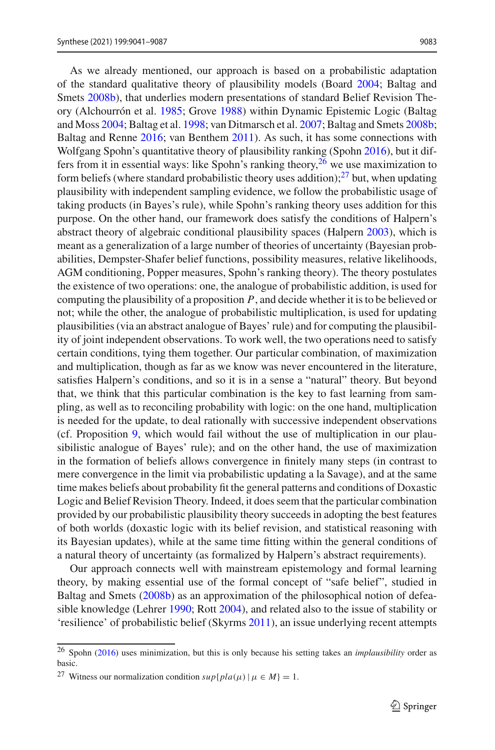As we already mentioned, our approach is based on a probabilistic adaptation of the standard qualitative theory of plausibility models (Boar[d](#page-45-3) [2004](#page-45-3); Baltag and Smet[s](#page-45-4) [2008b\)](#page-45-4), that underlies modern presentations of standard Belief Revision Theory (Alchourrón et al[.](#page-44-1) [1985](#page-44-1); Grov[e](#page-45-17) [1988](#page-45-17)) within Dynamic Epistemic Logic (Baltag and Mos[s](#page-44-5) [2004](#page-44-5); Baltag et al[.](#page-45-30) [1998](#page-45-30); van Ditmarsch et al[.](#page-47-2) [2007](#page-47-2); Baltag and Smet[s](#page-45-4) [2008b](#page-45-4); Baltag and Renn[e](#page-45-9) [2016;](#page-45-9) van Benthe[m](#page-47-4) [2011\)](#page-47-4). As such, it has some connections with Wolfgang Spohn's quantitative theory of plausibility ranking (Spoh[n](#page-46-29) [2016](#page-46-29)), but it differs from it in essential ways: like Spohn's ranking theory,  $26$  we use maximization to form beliefs (where standard probabilistic theory uses addition); $^{27}$  but, when updating plausibility with independent sampling evidence, we follow the probabilistic usage of taking products (in Bayes's rule), while Spohn's ranking theory uses addition for this purpose. On the other hand, our framework does satisfy the conditions of Halpern's abstract theory of algebraic conditional plausibility spaces (Halper[n](#page-45-31) [2003\)](#page-45-31), which is meant as a generalization of a large number of theories of uncertainty (Bayesian probabilities, Dempster-Shafer belief functions, possibility measures, relative likelihoods, AGM conditioning, Popper measures, Spohn's ranking theory). The theory postulates the existence of two operations: one, the analogue of probabilistic addition, is used for computing the plausibility of a proposition *P*, and decide whether it is to be believed or not; while the other, the analogue of probabilistic multiplication, is used for updating plausibilities (via an abstract analogue of Bayes' rule) and for computing the plausibility of joint independent observations. To work well, the two operations need to satisfy certain conditions, tying them together. Our particular combination, of maximization and multiplication, though as far as we know was never encountered in the literature, satisfies Halpern's conditions, and so it is in a sense a "natural" theory. But beyond that, we think that this particular combination is the key to fast learning from sampling, as well as to reconciling probability with logic: on the one hand, multiplication is needed for the update, to deal rationally with successive independent observations (cf. Proposition [9,](#page-24-0) which would fail without the use of multiplication in our plausibilistic analogue of Bayes' rule); and on the other hand, the use of maximization in the formation of beliefs allows convergence in finitely many steps (in contrast to mere convergence in the limit via probabilistic updating a la Savage), and at the same time makes beliefs about probability fit the general patterns and conditions of Doxastic Logic and Belief Revision Theory. Indeed, it does seem that the particular combination provided by our probabilistic plausibility theory succeeds in adopting the best features of both worlds (doxastic logic with its belief revision, and statistical reasoning with its Bayesian updates), while at the same time fitting within the general conditions of a natural theory of uncertainty (as formalized by Halpern's abstract requirements).

Our approach connects well with mainstream epistemology and formal learning theory, by making essential use of the formal concept of "safe belief", studied in Baltag and Smet[s](#page-45-4) [\(2008b\)](#page-45-4) as an approximation of the philosophical notion of defeasible knowledge (Lehre[r](#page-46-1) [1990;](#page-46-1) Rot[t](#page-46-3) [2004\)](#page-46-3), and related also to the issue of stability or 'resilience' of probabilistic belief (Skyrm[s](#page-46-30) [2011\)](#page-46-30), an issue underlying recent attempts

<span id="page-43-0"></span><sup>26</sup> Spoh[n](#page-46-29) [\(2016\)](#page-46-29) uses minimization, but this is only because his setting takes an *implausibility* order as basic.

<span id="page-43-1"></span><sup>&</sup>lt;sup>27</sup> Witness our normalization condition  $sup\{pla(\mu) | \mu \in M\} = 1$ .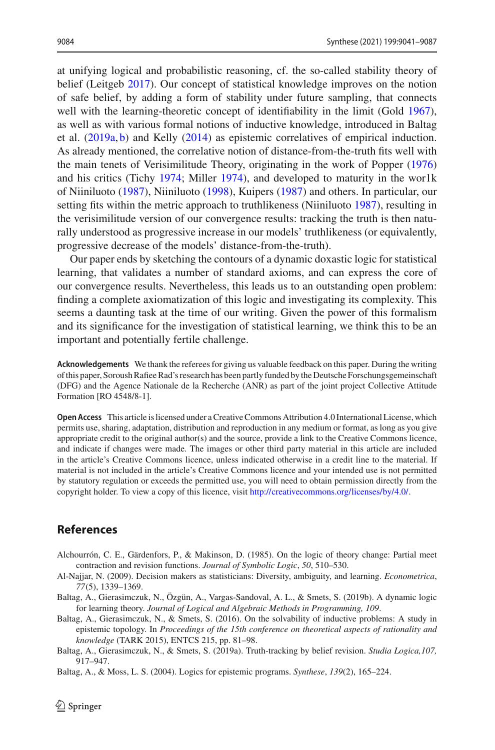at unifying logical and probabilistic reasoning, cf. the so-called stability theory of belief (Leitge[b](#page-46-5) [2017](#page-46-5)). Our concept of statistical knowledge improves on the notion of safe belief, by adding a form of stability under future sampling, that connects well with the learning-theoretic concept of i[d](#page-45-7)entifiability in the limit (Gold [1967](#page-45-7)), as well as with various formal notions of inductive knowledge, introduced in Baltag et al[.](#page-44-0) [\(2019a](#page-44-0), [b](#page-44-3)) and Kell[y](#page-45-13) [\(2014\)](#page-45-13) as epistemic correlatives of empirical induction. As already mentioned, the correlative notion of distance-from-the-truth fits well with the main tenets of Verisimilitude Theory, originating in the work of Poppe[r](#page-46-13) [\(1976\)](#page-46-13) and his critics (Tich[y](#page-47-5) [1974](#page-47-5); Mille[r](#page-46-14) [1974\)](#page-46-14), and developed to maturity in the wor1k of Niiniluot[o](#page-46-15) [\(1987](#page-46-15)), Niiniluot[o](#page-46-16) [\(1998](#page-46-16)), Kuiper[s](#page-46-17) [\(1987\)](#page-46-17) and others. In particular, our setting fits within the metric appr[o](#page-46-15)ach to truthlikeness (Niiniluoto [1987\)](#page-46-15), resulting in the verisimilitude version of our convergence results: tracking the truth is then naturally understood as progressive increase in our models' truthlikeness (or equivalently, progressive decrease of the models' distance-from-the-truth).

Our paper ends by sketching the contours of a dynamic doxastic logic for statistical learning, that validates a number of standard axioms, and can express the core of our convergence results. Nevertheless, this leads us to an outstanding open problem: finding a complete axiomatization of this logic and investigating its complexity. This seems a daunting task at the time of our writing. Given the power of this formalism and its significance for the investigation of statistical learning, we think this to be an important and potentially fertile challenge.

**Acknowledgements** We thank the referees for giving us valuable feedback on this paper. During the writing of this paper, Soroush Rafiee Rad's research has been partly funded by the Deutsche Forschungsgemeinschaft (DFG) and the Agence Nationale de la Recherche (ANR) as part of the joint project Collective Attitude Formation [RO 4548/8-1].

**Open Access** This article is licensed under a Creative Commons Attribution 4.0 International License, which permits use, sharing, adaptation, distribution and reproduction in any medium or format, as long as you give appropriate credit to the original author(s) and the source, provide a link to the Creative Commons licence, and indicate if changes were made. The images or other third party material in this article are included in the article's Creative Commons licence, unless indicated otherwise in a credit line to the material. If material is not included in the article's Creative Commons licence and your intended use is not permitted by statutory regulation or exceeds the permitted use, you will need to obtain permission directly from the copyright holder. To view a copy of this licence, visit [http://creativecommons.org/licenses/by/4.0/.](http://creativecommons.org/licenses/by/4.0/)

#### **References**

- <span id="page-44-1"></span>Alchourrón, C. E., Gärdenfors, P., & Makinson, D. (1985). On the logic of theory change: Partial meet contraction and revision functions. *Journal of Symbolic Logic*, *50*, 510–530.
- <span id="page-44-4"></span>Al-Najjar, N. (2009). Decision makers as statisticians: Diversity, ambiguity, and learning. *Econometrica*, *77*(5), 1339–1369.
- <span id="page-44-3"></span>Baltag, A., Gierasimczuk, N., Özgün, A., Vargas-Sandoval, A. L., & Smets, S. (2019b). A dynamic logic for learning theory. *Journal of Logical and Algebraic Methods in Programming, 109*.
- <span id="page-44-2"></span>Baltag, A., Gierasimczuk, N., & Smets, S. (2016). On the solvability of inductive problems: A study in epistemic topology. In *Proceedings of the 15th conference on theoretical aspects of rationality and knowledge* (TARK 2015), ENTCS 215, pp. 81–98.
- <span id="page-44-0"></span>Baltag, A., Gierasimczuk, N., & Smets, S. (2019a). Truth-tracking by belief revision. *Studia Logica,107,* 917–947.

<span id="page-44-5"></span>Baltag, A., & Moss, L. S. (2004). Logics for epistemic programs. *Synthese*, *139*(2), 165–224.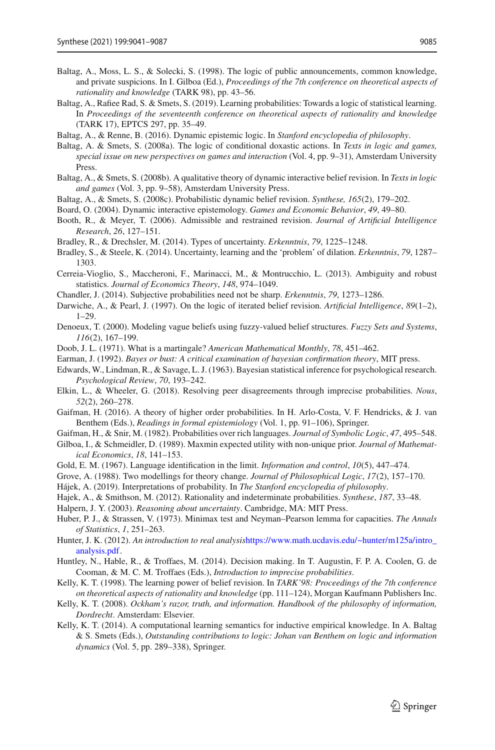- <span id="page-45-30"></span>Baltag, A., Moss, L. S., & Solecki, S. (1998). The logic of public announcements, common knowledge, and private suspicions. In I. Gilboa (Ed.), *Proceedings of the 7th conference on theoretical aspects of rationality and knowledge* (TARK 98), pp. 43–56.
- <span id="page-45-15"></span>Baltag, A., Rafiee Rad, S. & Smets, S. (2019). Learning probabilities: Towards a logic of statistical learning. In *Proceedings of the seventeenth conference on theoretical aspects of rationality and knowledge* (TARK 17), EPTCS 297, pp. 35–49.
- <span id="page-45-9"></span>Baltag, A., & Renne, B. (2016). Dynamic epistemic logic. In *Stanford encyclopedia of philosophy*.
- <span id="page-45-18"></span>Baltag, A. & Smets, S. (2008a). The logic of conditional doxastic actions. In *Texts in logic and games, special issue on new perspectives on games and interaction* (Vol. 4, pp. 9–31), Amsterdam University Press.
- <span id="page-45-4"></span>Baltag, A., & Smets, S. (2008b). A qualitative theory of dynamic interactive belief revision. In *Texts in logic and games* (Vol. 3, pp. 9–58), Amsterdam University Press.
- <span id="page-45-12"></span>Baltag, A., & Smets, S. (2008c). Probabilistic dynamic belief revision. *Synthese, 165*(2), 179–202.
- <span id="page-45-3"></span>Board, O. (2004). Dynamic interactive epistemology. *Games and Economic Behavior*, *49*, 49–80.
- <span id="page-45-11"></span>Booth, R., & Meyer, T. (2006). Admissible and restrained revision. *Journal of Artificial Intelligence Research*, *26*, 127–151.
- <span id="page-45-21"></span>Bradley, R., & Drechsler, M. (2014). Types of uncertainty. *Erkenntnis*, *79*, 1225–1248.
- <span id="page-45-25"></span>Bradley, S., & Steele, K. (2014). Uncertainty, learning and the 'problem' of dilation. *Erkenntnis*, *79*, 1287– 1303.
- <span id="page-45-0"></span>Cerreia-Vioglio, S., Maccheroni, F., Marinacci, M., & Montrucchio, L. (2013). Ambiguity and robust statistics. *Journal of Economics Theory*, *148*, 974–1049.
- <span id="page-45-22"></span>Chandler, J. (2014). Subjective probabilities need not be sharp. *Erkenntnis*, *79*, 1273–1286.
- <span id="page-45-10"></span>Darwiche, A., & Pearl, J. (1997). On the logic of iterated belief revision. *Artificial Intelligence*, *89*(1–2), 1–29.
- <span id="page-45-24"></span>Denoeux, T. (2000). Modeling vague beliefs using fuzzy-valued belief structures. *Fuzzy Sets and Systems*, *116*(2), 167–199.
- <span id="page-45-19"></span>Doob, J. L. (1971). What is a martingale? *American Mathematical Monthly*, *78*, 451–462.
- <span id="page-45-20"></span>Earman, J. (1992). *Bayes or bust: A critical examination of bayesian confirmation theory*, MIT press.
- <span id="page-45-8"></span>Edwards, W., Lindman, R., & Savage, L. J. (1963). Bayesian statistical inference for psychological research. *Psychological Review*, *70*, 193–242.
- <span id="page-45-27"></span>Elkin, L., & Wheeler, G. (2018). Resolving peer disagreements through imprecise probabilities. *Nous*, *52*(2), 260–278.
- <span id="page-45-6"></span>Gaifman, H. (2016). A theory of higher order probabilities. In H. Arlo-Costa, V. F. Hendricks, & J. van Benthem (Eds.), *Readings in formal epistemiology* (Vol. 1, pp. 91–106), Springer.
- <span id="page-45-5"></span>Gaifman, H., & Snir, M. (1982). Probabilities over rich languages. *Journal of Symbolic Logic*, *47*, 495–548.
- <span id="page-45-29"></span>Gilboa, I., & Schmeidler, D. (1989). Maxmin expected utility with non-unique prior. *Journal of Mathematical Economics*, *18*, 141–153.
- <span id="page-45-7"></span>Gold, E. M. (1967). Language identification in the limit. *Information and control*, *10*(5), 447–474.
- <span id="page-45-17"></span>Grove, A. (1988). Two modellings for theory change. *Journal of Philosophical Logic*, *17*(2), 157–170.
- <span id="page-45-1"></span>Hájek, A. (2019). Interpretations of probability. In *The Stanford encyclopedia of philosophy*.
- <span id="page-45-23"></span>Hajek, A., & Smithson, M. (2012). Rationality and indeterminate probabilities. *Synthese*, *187*, 33–48.
- <span id="page-45-31"></span>Halpern, J. Y. (2003). *Reasoning about uncertainty*. Cambridge, MA: MIT Press.
- <span id="page-45-28"></span>Huber, P. J., & Strassen, V. (1973). Minimax test and Neyman–Pearson lemma for capacities. *The Annals of Statistics*, *1*, 251–263.
- <span id="page-45-16"></span>Hunter, J. K. (2012). *An introduction to real analysis*[https://www.math.ucdavis.edu/~hunter/m125a/intro\\_](https://www.math.ucdavis.edu/~hunter/m125a/intro_analysis.pdf) [analysis.pdf.](https://www.math.ucdavis.edu/~hunter/m125a/intro_analysis.pdf)
- <span id="page-45-26"></span>Huntley, N., Hable, R., & Troffaes, M. (2014). Decision making. In T. Augustin, F. P. A. Coolen, G. de Cooman, & M. C. M. Troffaes (Eds.), *Introduction to imprecise probabilities*.
- <span id="page-45-14"></span>Kelly, K. T. (1998). The learning power of belief revision. In *TARK'98: Proceedings of the 7th conference on theoretical aspects of rationality and knowledge* (pp. 111–124), Morgan Kaufmann Publishers Inc.
- <span id="page-45-2"></span>Kelly, K. T. (2008). *Ockham's razor, truth, and information. Handbook of the philosophy of information, Dordrecht*. Amsterdam: Elsevier.
- <span id="page-45-13"></span>Kelly, K. T. (2014). A computational learning semantics for inductive empirical knowledge. In A. Baltag & S. Smets (Eds.), *Outstanding contributions to logic: Johan van Benthem on logic and information dynamics* (Vol. 5, pp. 289–338), Springer.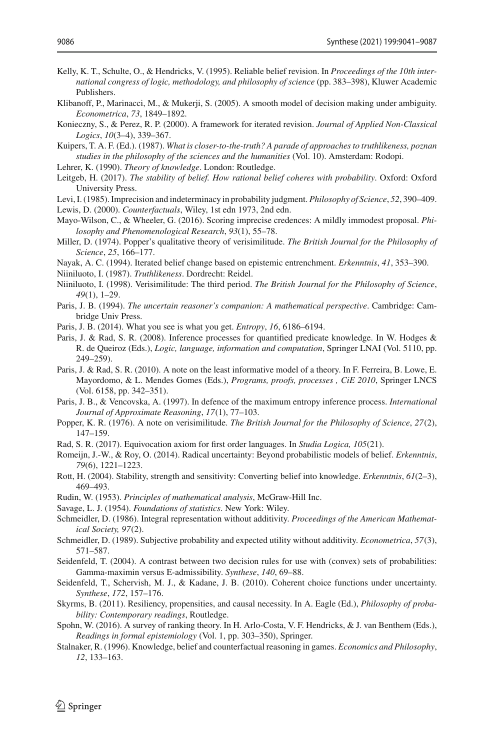- <span id="page-46-8"></span>Kelly, K. T., Schulte, O., & Hendricks, V. (1995). Reliable belief revision. In *Proceedings of the 10th international congress of logic, methodology, and philosophy of science* (pp. 383–398), Kluwer Academic Publishers.
- <span id="page-46-28"></span>Klibanoff, P., Marinacci, M., & Mukerji, S. (2005). A smooth model of decision making under ambiguity. *Econometrica*, *73*, 1849–1892.
- <span id="page-46-6"></span>Konieczny, S., & Perez, R. P. (2000). A framework for iterated revision. *Journal of Applied Non-Classical Logics*, *10*(3–4), 339–367.
- <span id="page-46-17"></span>Kuipers, T. A. F. (Ed.). (1987). *What is closer-to-the-truth? A parade of approaches to truthlikeness, poznan studies in the philosophy of the sciences and the humanities* (Vol. 10). Amsterdam: Rodopi.
- <span id="page-46-1"></span>Lehrer, K. (1990). *Theory of knowledge*. London: Routledge.
- <span id="page-46-5"></span>Leitgeb, H. (2017). *The stability of belief. How rational belief coheres with probability*. Oxford: Oxford University Press.
- <span id="page-46-18"></span>Levi, I. (1985). Imprecision and indeterminacy in probability judgment. *Philosophy of Science*, *52*, 390–409.
- <span id="page-46-10"></span>Lewis, D. (2000). *Counterfactuals*, Wiley, 1st edn 1973, 2nd edn.
- <span id="page-46-20"></span>Mayo-Wilson, C., & Wheeler, G. (2016). Scoring imprecise credences: A mildly immodest proposal. *Philosophy and Phenomenological Research*, *93*(1), 55–78.
- <span id="page-46-14"></span>Miller, D. (1974). Popper's qualitative theory of verisimilitude. *The British Journal for the Philosophy of Science*, *25*, 166–177.
- <span id="page-46-7"></span>Nayak, A. C. (1994). Iterated belief change based on epistemic entrenchment. *Erkenntnis*, *41*, 353–390.
- <span id="page-46-15"></span>Niiniluoto, I. (1987). *Truthlikeness*. Dordrecht: Reidel.
- <span id="page-46-16"></span>Niiniluoto, I. (1998). Verisimilitude: The third period. *The British Journal for the Philosophy of Science*, *49*(1), 1–29.
- <span id="page-46-0"></span>Paris, J. B. (1994). *The uncertain reasoner's companion: A mathematical perspective*. Cambridge: Cambridge Univ Press.
- <span id="page-46-24"></span>Paris, J. B. (2014). What you see is what you get. *Entropy*, *16*, 6186–6194.
- <span id="page-46-11"></span>Paris, J. & Rad, S. R. (2008). Inference processes for quantified predicate knowledge. In W. Hodges & R. de Queiroz (Eds.), *Logic, language, information and computation*, Springer LNAI (Vol. 5110, pp. 249–259).
- <span id="page-46-23"></span>Paris, J. & Rad, S. R. (2010). A note on the least informative model of a theory. In F. Ferreira, B. Lowe, E. Mayordomo, & L. Mendes Gomes (Eds.), *Programs, proofs, processes , CiE 2010*, Springer LNCS (Vol. 6158, pp. 342–351).
- <span id="page-46-12"></span>Paris, J. B., & Vencovska, A. (1997). In defence of the maximum entropy inference process. *International Journal of Approximate Reasoning*, *17*(1), 77–103.
- <span id="page-46-13"></span>Popper, K. R. (1976). A note on verisimilitude. *The British Journal for the Philosophy of Science*, *27*(2), 147–159.
- <span id="page-46-25"></span>Rad, S. R. (2017). Equivocation axiom for first order languages. In *Studia Logica, 105*(21).
- <span id="page-46-19"></span>Romeijn, J.-W., & Roy, O. (2014). Radical uncertainty: Beyond probabilistic models of belief. *Erkenntnis*, *79*(6), 1221–1223.
- <span id="page-46-3"></span>Rott, H. (2004). Stability, strength and sensitivity: Converting belief into knowledge. *Erkenntnis*, *61*(2–3), 469–493.
- <span id="page-46-9"></span>Rudin, W. (1953). *Principles of mathematical analysis*, McGraw-Hill Inc.
- <span id="page-46-4"></span>Savage, L. J. (1954). *Foundations of statistics*. New York: Wiley.
- <span id="page-46-27"></span>Schmeidler, D. (1986). Integral representation without additivity. *Proceedings of the American Mathematical Society, 97*(2).
- <span id="page-46-26"></span>Schmeidler, D. (1989). Subjective probability and expected utility without additivity. *Econometrica*, *57*(3), 571–587.
- <span id="page-46-21"></span>Seidenfeld, T. (2004). A contrast between two decision rules for use with (convex) sets of probabilities: Gamma-maximin versus E-admissibility. *Synthese*, *140*, 69–88.
- <span id="page-46-22"></span>Seidenfeld, T., Schervish, M. J., & Kadane, J. B. (2010). Coherent choice functions under uncertainty. *Synthese*, *172*, 157–176.
- <span id="page-46-30"></span>Skyrms, B. (2011). Resiliency, propensities, and causal necessity. In A. Eagle (Ed.), *Philosophy of probability: Contemporary readings*, Routledge.
- <span id="page-46-29"></span>Spohn, W. (2016). A survey of ranking theory. In H. Arlo-Costa, V. F. Hendricks, & J. van Benthem (Eds.), *Readings in formal epistemiology* (Vol. 1, pp. 303–350), Springer.
- <span id="page-46-2"></span>Stalnaker, R. (1996). Knowledge, belief and counterfactual reasoning in games. *Economics and Philosophy*, *12*, 133–163.